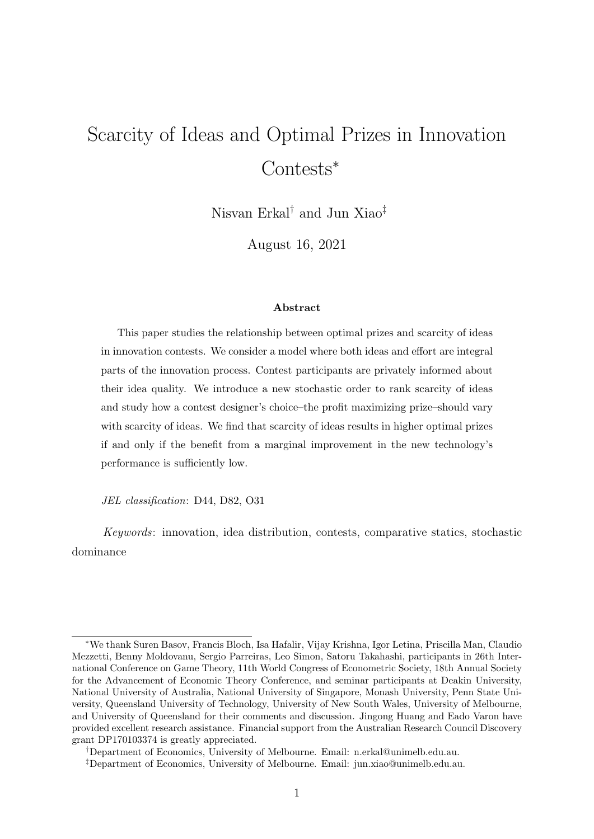# Scarcity of Ideas and Optimal Prizes in Innovation Contests<sup>∗</sup>

Nisvan Erkal† and Jun Xiao‡

August 16, 2021

#### Abstract

This paper studies the relationship between optimal prizes and scarcity of ideas in innovation contests. We consider a model where both ideas and effort are integral parts of the innovation process. Contest participants are privately informed about their idea quality. We introduce a new stochastic order to rank scarcity of ideas and study how a contest designer's choice–the profit maximizing prize–should vary with scarcity of ideas. We find that scarcity of ideas results in higher optimal prizes if and only if the benefit from a marginal improvement in the new technology's performance is sufficiently low.

JEL classification: D44, D82, O31

Keywords: innovation, idea distribution, contests, comparative statics, stochastic dominance

<sup>∗</sup>We thank Suren Basov, Francis Bloch, Isa Hafalir, Vijay Krishna, Igor Letina, Priscilla Man, Claudio Mezzetti, Benny Moldovanu, Sergio Parreiras, Leo Simon, Satoru Takahashi, participants in 26th International Conference on Game Theory, 11th World Congress of Econometric Society, 18th Annual Society for the Advancement of Economic Theory Conference, and seminar participants at Deakin University, National University of Australia, National University of Singapore, Monash University, Penn State University, Queensland University of Technology, University of New South Wales, University of Melbourne, and University of Queensland for their comments and discussion. Jingong Huang and Eado Varon have provided excellent research assistance. Financial support from the Australian Research Council Discovery grant DP170103374 is greatly appreciated.

<sup>†</sup>Department of Economics, University of Melbourne. Email: n.erkal@unimelb.edu.au.

<sup>‡</sup>Department of Economics, University of Melbourne. Email: jun.xiao@unimelb.edu.au.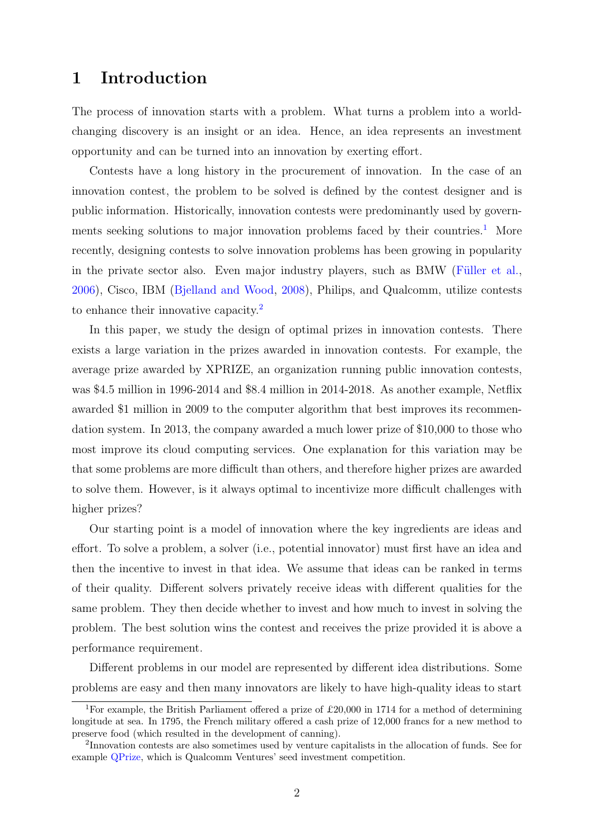### 1 Introduction

The process of innovation starts with a problem. What turns a problem into a worldchanging discovery is an insight or an idea. Hence, an idea represents an investment opportunity and can be turned into an innovation by exerting effort.

Contests have a long history in the procurement of innovation. In the case of an innovation contest, the problem to be solved is defined by the contest designer and is public information. Historically, innovation contests were predominantly used by govern-ments seeking solutions to major innovation problems faced by their countries.<sup>[1](#page-1-0)</sup> More recently, designing contests to solve innovation problems has been growing in popularity in the private sector also. Even major industry players, such as BMW (Füller et al., [2006\)](#page-25-0), Cisco, IBM [\(Bjelland and Wood,](#page-25-1) [2008\)](#page-25-1), Philips, and Qualcomm, utilize contests to enhance their innovative capacity.<sup>[2](#page-1-1)</sup>

In this paper, we study the design of optimal prizes in innovation contests. There exists a large variation in the prizes awarded in innovation contests. For example, the average prize awarded by XPRIZE, an organization running public innovation contests, was \$4.5 million in 1996-2014 and \$8.4 million in 2014-2018. As another example, Netflix awarded \$1 million in 2009 to the computer algorithm that best improves its recommendation system. In 2013, the company awarded a much lower prize of \$10,000 to those who most improve its cloud computing services. One explanation for this variation may be that some problems are more difficult than others, and therefore higher prizes are awarded to solve them. However, is it always optimal to incentivize more difficult challenges with higher prizes?

Our starting point is a model of innovation where the key ingredients are ideas and effort. To solve a problem, a solver (i.e., potential innovator) must first have an idea and then the incentive to invest in that idea. We assume that ideas can be ranked in terms of their quality. Different solvers privately receive ideas with different qualities for the same problem. They then decide whether to invest and how much to invest in solving the problem. The best solution wins the contest and receives the prize provided it is above a performance requirement.

Different problems in our model are represented by different idea distributions. Some problems are easy and then many innovators are likely to have high-quality ideas to start

<span id="page-1-0"></span><sup>&</sup>lt;sup>1</sup>For example, the British Parliament offered a prize of £20,000 in 1714 for a method of determining longitude at sea. In 1795, the French military offered a cash prize of 12,000 francs for a new method to preserve food (which resulted in the development of canning).

<span id="page-1-1"></span><sup>&</sup>lt;sup>2</sup>Innovation contests are also sometimes used by venture capitalists in the allocation of funds. See for example [QPrize,](https://qualcommventures.com/qprize/) which is Qualcomm Ventures' seed investment competition.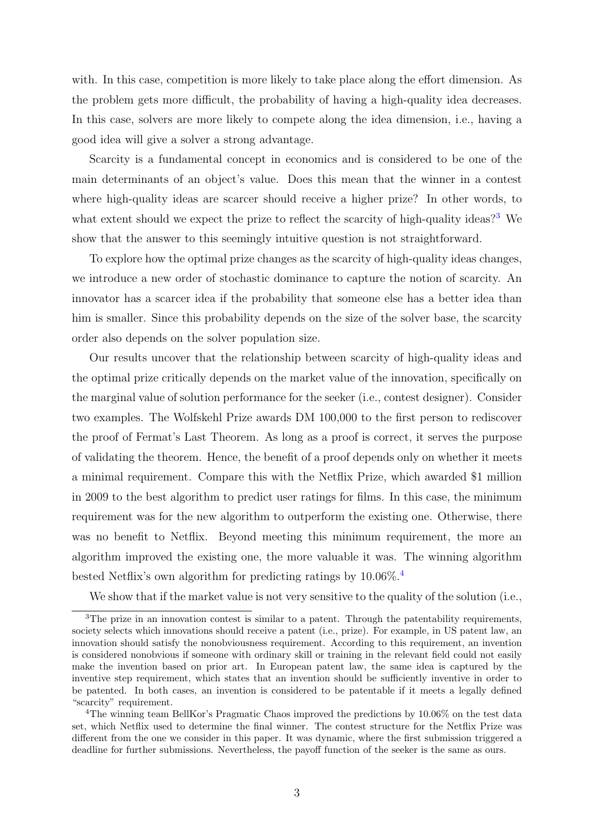with. In this case, competition is more likely to take place along the effort dimension. As the problem gets more difficult, the probability of having a high-quality idea decreases. In this case, solvers are more likely to compete along the idea dimension, i.e., having a good idea will give a solver a strong advantage.

Scarcity is a fundamental concept in economics and is considered to be one of the main determinants of an object's value. Does this mean that the winner in a contest where high-quality ideas are scarcer should receive a higher prize? In other words, to what extent should we expect the prize to reflect the scarcity of high-quality ideas?<sup>[3](#page-2-0)</sup> We show that the answer to this seemingly intuitive question is not straightforward.

To explore how the optimal prize changes as the scarcity of high-quality ideas changes, we introduce a new order of stochastic dominance to capture the notion of scarcity. An innovator has a scarcer idea if the probability that someone else has a better idea than him is smaller. Since this probability depends on the size of the solver base, the scarcity order also depends on the solver population size.

Our results uncover that the relationship between scarcity of high-quality ideas and the optimal prize critically depends on the market value of the innovation, specifically on the marginal value of solution performance for the seeker (i.e., contest designer). Consider two examples. The Wolfskehl Prize awards DM 100,000 to the first person to rediscover the proof of Fermat's Last Theorem. As long as a proof is correct, it serves the purpose of validating the theorem. Hence, the benefit of a proof depends only on whether it meets a minimal requirement. Compare this with the Netflix Prize, which awarded \$1 million in 2009 to the best algorithm to predict user ratings for films. In this case, the minimum requirement was for the new algorithm to outperform the existing one. Otherwise, there was no benefit to Netflix. Beyond meeting this minimum requirement, the more an algorithm improved the existing one, the more valuable it was. The winning algorithm bested Netflix's own algorithm for predicting ratings by 10.06%.[4](#page-2-1)

We show that if the market value is not very sensitive to the quality of the solution (i.e.,

<span id="page-2-0"></span><sup>&</sup>lt;sup>3</sup>The prize in an innovation contest is similar to a patent. Through the patentability requirements, society selects which innovations should receive a patent (i.e., prize). For example, in US patent law, an innovation should satisfy the nonobviousness requirement. According to this requirement, an invention is considered nonobvious if someone with ordinary skill or training in the relevant field could not easily make the invention based on prior art. In European patent law, the same idea is captured by the inventive step requirement, which states that an invention should be sufficiently inventive in order to be patented. In both cases, an invention is considered to be patentable if it meets a legally defined "scarcity" requirement.

<span id="page-2-1"></span><sup>4</sup>The winning team BellKor's Pragmatic Chaos improved the predictions by 10.06% on the test data set, which Netflix used to determine the final winner. The contest structure for the Netflix Prize was different from the one we consider in this paper. It was dynamic, where the first submission triggered a deadline for further submissions. Nevertheless, the payoff function of the seeker is the same as ours.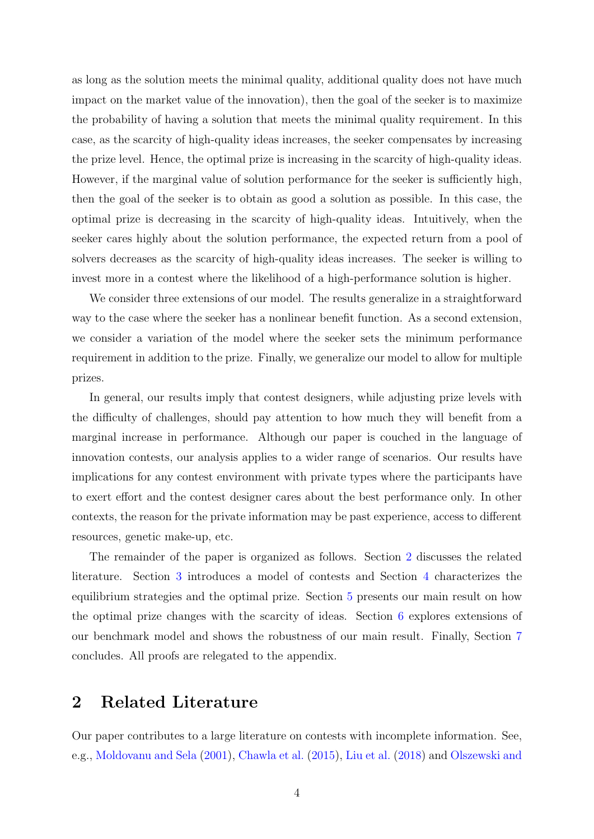as long as the solution meets the minimal quality, additional quality does not have much impact on the market value of the innovation), then the goal of the seeker is to maximize the probability of having a solution that meets the minimal quality requirement. In this case, as the scarcity of high-quality ideas increases, the seeker compensates by increasing the prize level. Hence, the optimal prize is increasing in the scarcity of high-quality ideas. However, if the marginal value of solution performance for the seeker is sufficiently high, then the goal of the seeker is to obtain as good a solution as possible. In this case, the optimal prize is decreasing in the scarcity of high-quality ideas. Intuitively, when the seeker cares highly about the solution performance, the expected return from a pool of solvers decreases as the scarcity of high-quality ideas increases. The seeker is willing to invest more in a contest where the likelihood of a high-performance solution is higher.

We consider three extensions of our model. The results generalize in a straightforward way to the case where the seeker has a nonlinear benefit function. As a second extension, we consider a variation of the model where the seeker sets the minimum performance requirement in addition to the prize. Finally, we generalize our model to allow for multiple prizes.

In general, our results imply that contest designers, while adjusting prize levels with the difficulty of challenges, should pay attention to how much they will benefit from a marginal increase in performance. Although our paper is couched in the language of innovation contests, our analysis applies to a wider range of scenarios. Our results have implications for any contest environment with private types where the participants have to exert effort and the contest designer cares about the best performance only. In other contexts, the reason for the private information may be past experience, access to different resources, genetic make-up, etc.

The remainder of the paper is organized as follows. Section [2](#page-3-0) discusses the related literature. Section [3](#page-5-0) introduces a model of contests and Section [4](#page-7-0) characterizes the equilibrium strategies and the optimal prize. Section [5](#page-9-0) presents our main result on how the optimal prize changes with the scarcity of ideas. Section [6](#page-18-0) explores extensions of our benchmark model and shows the robustness of our main result. Finally, Section [7](#page-23-0) concludes. All proofs are relegated to the appendix.

#### <span id="page-3-0"></span>2 Related Literature

Our paper contributes to a large literature on contests with incomplete information. See, e.g., [Moldovanu and Sela](#page-27-0) [\(2001\)](#page-27-0), [Chawla et al.](#page-25-2) [\(2015\)](#page-25-2), [Liu et al.](#page-26-0) [\(2018\)](#page-26-0) and [Olszewski and](#page-27-1)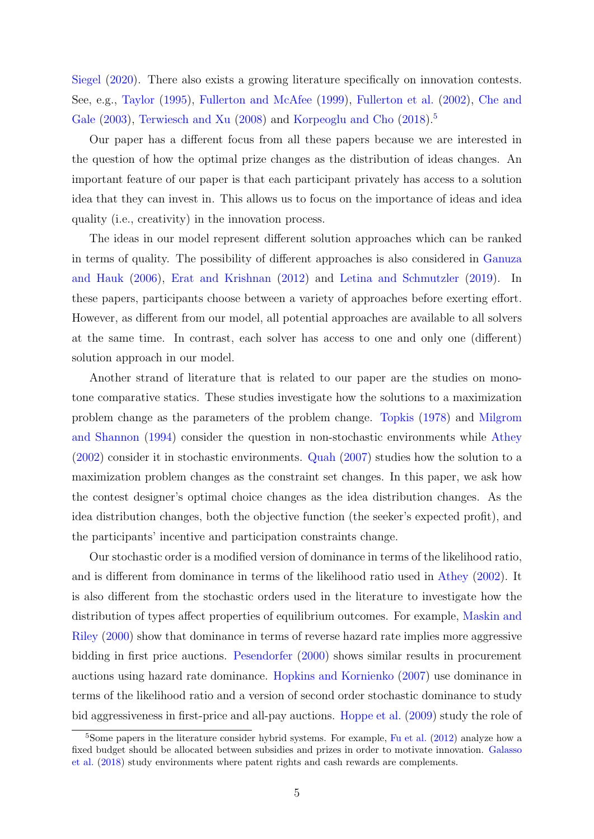[Siegel](#page-27-1) [\(2020\)](#page-27-1). There also exists a growing literature specifically on innovation contests. See, e.g., [Taylor](#page-27-2) [\(1995\)](#page-27-2), [Fullerton and McAfee](#page-25-3) [\(1999\)](#page-25-3), [Fullerton et al.](#page-25-4) [\(2002\)](#page-25-4), [Che and](#page-25-5) [Gale](#page-25-5) [\(2003\)](#page-25-5), [Terwiesch and Xu](#page-27-3) [\(2008\)](#page-27-3) and [Korpeoglu and Cho](#page-26-1) [\(2018\)](#page-26-1).<sup>[5](#page-4-0)</sup>

Our paper has a different focus from all these papers because we are interested in the question of how the optimal prize changes as the distribution of ideas changes. An important feature of our paper is that each participant privately has access to a solution idea that they can invest in. This allows us to focus on the importance of ideas and idea quality (i.e., creativity) in the innovation process.

The ideas in our model represent different solution approaches which can be ranked in terms of quality. The possibility of different approaches is also considered in [Ganuza](#page-26-2) [and Hauk](#page-26-2) [\(2006\)](#page-26-2), [Erat and Krishnan](#page-25-6) [\(2012\)](#page-25-6) and [Letina and Schmutzler](#page-26-3) [\(2019\)](#page-26-3). In these papers, participants choose between a variety of approaches before exerting effort. However, as different from our model, all potential approaches are available to all solvers at the same time. In contrast, each solver has access to one and only one (different) solution approach in our model.

Another strand of literature that is related to our paper are the studies on monotone comparative statics. These studies investigate how the solutions to a maximization problem change as the parameters of the problem change. [Topkis](#page-27-4) [\(1978\)](#page-27-4) and [Milgrom](#page-26-4) [and Shannon](#page-26-4) [\(1994\)](#page-26-4) consider the question in non-stochastic environments while [Athey](#page-25-7) [\(2002\)](#page-25-7) consider it in stochastic environments. [Quah](#page-27-5) [\(2007\)](#page-27-5) studies how the solution to a maximization problem changes as the constraint set changes. In this paper, we ask how the contest designer's optimal choice changes as the idea distribution changes. As the idea distribution changes, both the objective function (the seeker's expected profit), and the participants' incentive and participation constraints change.

Our stochastic order is a modified version of dominance in terms of the likelihood ratio, and is different from dominance in terms of the likelihood ratio used in [Athey](#page-25-7) [\(2002\)](#page-25-7). It is also different from the stochastic orders used in the literature to investigate how the distribution of types affect properties of equilibrium outcomes. For example, [Maskin and](#page-26-5) [Riley](#page-26-5) [\(2000\)](#page-26-5) show that dominance in terms of reverse hazard rate implies more aggressive bidding in first price auctions. [Pesendorfer](#page-27-6) [\(2000\)](#page-27-6) shows similar results in procurement auctions using hazard rate dominance. [Hopkins and Kornienko](#page-26-6) [\(2007\)](#page-26-6) use dominance in terms of the likelihood ratio and a version of second order stochastic dominance to study bid aggressiveness in first-price and all-pay auctions. [Hoppe et al.](#page-26-7) [\(2009\)](#page-26-7) study the role of

<span id="page-4-0"></span><sup>&</sup>lt;sup>5</sup>Some papers in the literature consider hybrid systems. For example, [Fu et al.](#page-25-8) [\(2012\)](#page-25-8) analyze how a fixed budget should be allocated between subsidies and prizes in order to motivate innovation. [Galasso](#page-26-8) [et al.](#page-26-8) [\(2018\)](#page-26-8) study environments where patent rights and cash rewards are complements.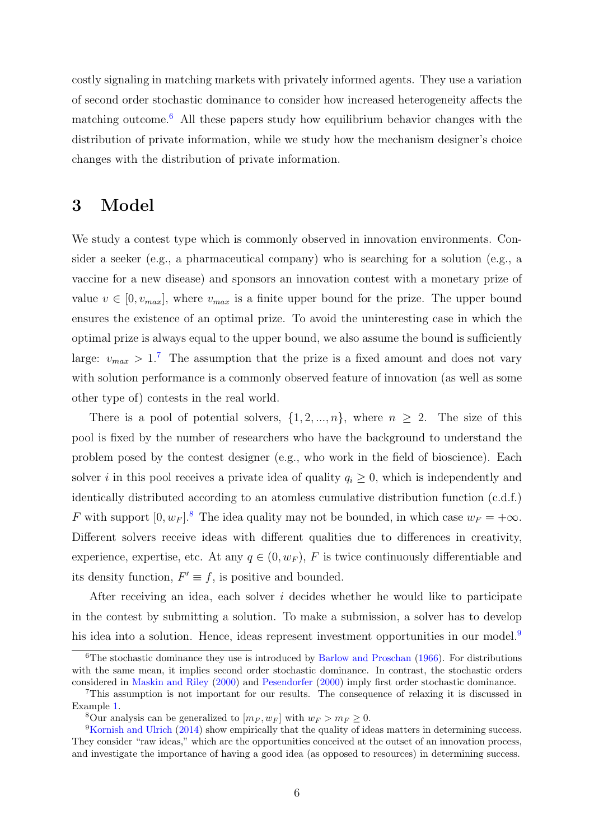costly signaling in matching markets with privately informed agents. They use a variation of second order stochastic dominance to consider how increased heterogeneity affects the matching outcome.[6](#page-5-1) All these papers study how equilibrium behavior changes with the distribution of private information, while we study how the mechanism designer's choice changes with the distribution of private information.

### <span id="page-5-0"></span>3 Model

We study a contest type which is commonly observed in innovation environments. Consider a seeker (e.g., a pharmaceutical company) who is searching for a solution (e.g., a vaccine for a new disease) and sponsors an innovation contest with a monetary prize of value  $v \in [0, v_{max}]$ , where  $v_{max}$  is a finite upper bound for the prize. The upper bound ensures the existence of an optimal prize. To avoid the uninteresting case in which the optimal prize is always equal to the upper bound, we also assume the bound is sufficiently large:  $v_{max} > 1$ .<sup>[7](#page-5-2)</sup> The assumption that the prize is a fixed amount and does not vary with solution performance is a commonly observed feature of innovation (as well as some other type of) contests in the real world.

There is a pool of potential solvers,  $\{1, 2, ..., n\}$ , where  $n \geq 2$ . The size of this pool is fixed by the number of researchers who have the background to understand the problem posed by the contest designer (e.g., who work in the field of bioscience). Each solver i in this pool receives a private idea of quality  $q_i \geq 0$ , which is independently and identically distributed according to an atomless cumulative distribution function (c.d.f.) F with support  $[0, w_F]$ .<sup>[8](#page-5-3)</sup> The idea quality may not be bounded, in which case  $w_F = +\infty$ . Different solvers receive ideas with different qualities due to differences in creativity, experience, expertise, etc. At any  $q \in (0, w_F)$ , F is twice continuously differentiable and its density function,  $F' \equiv f$ , is positive and bounded.

After receiving an idea, each solver  $i$  decides whether he would like to participate in the contest by submitting a solution. To make a submission, a solver has to develop his idea into a solution. Hence, ideas represent investment opportunities in our model.<sup>[9](#page-5-4)</sup>

<span id="page-5-1"></span> $6$ The stochastic dominance they use is introduced by [Barlow and Proschan](#page-25-9) [\(1966\)](#page-25-9). For distributions with the same mean, it implies second order stochastic dominance. In contrast, the stochastic orders considered in [Maskin and Riley](#page-26-5) [\(2000\)](#page-26-5) and [Pesendorfer](#page-27-6) [\(2000\)](#page-27-6) imply first order stochastic dominance.

<span id="page-5-2"></span><sup>7</sup>This assumption is not important for our results. The consequence of relaxing it is discussed in Example [1.](#page-14-0)

<span id="page-5-4"></span><span id="page-5-3"></span><sup>&</sup>lt;sup>8</sup>Our analysis can be generalized to  $[m_F, w_F]$  with  $w_F > m_F > 0$ .

<sup>9</sup>[Kornish and Ulrich](#page-26-9) [\(2014\)](#page-26-9) show empirically that the quality of ideas matters in determining success. They consider "raw ideas," which are the opportunities conceived at the outset of an innovation process, and investigate the importance of having a good idea (as opposed to resources) in determining success.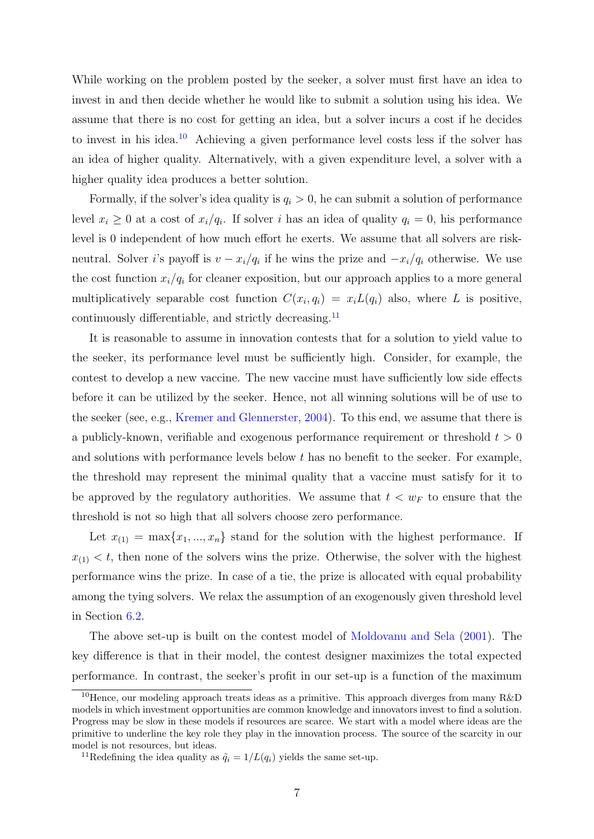While working on the problem posted by the seeker, a solver must first have an idea to invest in and then decide whether he would like to submit a solution using his idea. We assume that there is no cost for getting an idea, but a solver incurs a cost if he decides to invest in his idea.[10](#page-6-0) Achieving a given performance level costs less if the solver has an idea of higher quality. Alternatively, with a given expenditure level, a solver with a higher quality idea produces a better solution.

Formally, if the solver's idea quality is  $q_i > 0$ , he can submit a solution of performance level  $x_i \geq 0$  at a cost of  $x_i/q_i$ . If solver i has an idea of quality  $q_i = 0$ , his performance level is 0 independent of how much effort he exerts. We assume that all solvers are riskneutral. Solver *i*'s payoff is  $v - x_i/q_i$  if he wins the prize and  $-x_i/q_i$  otherwise. We use the cost function  $x_i/q_i$  for cleaner exposition, but our approach applies to a more general multiplicatively separable cost function  $C(x_i, q_i) = x_i L(q_i)$  also, where L is positive, continuously differentiable, and strictly decreasing.[11](#page-6-1)

It is reasonable to assume in innovation contests that for a solution to yield value to the seeker, its performance level must be sufficiently high. Consider, for example, the contest to develop a new vaccine. The new vaccine must have sufficiently low side effects before it can be utilized by the seeker. Hence, not all winning solutions will be of use to the seeker (see, e.g., [Kremer and Glennerster,](#page-26-10) [2004\)](#page-26-10). To this end, we assume that there is a publicly-known, verifiable and exogenous performance requirement or threshold  $t > 0$ and solutions with performance levels below  $t$  has no benefit to the seeker. For example, the threshold may represent the minimal quality that a vaccine must satisfy for it to be approved by the regulatory authorities. We assume that  $t < w_F$  to ensure that the threshold is not so high that all solvers choose zero performance.

Let  $x_{(1)} = \max\{x_1, ..., x_n\}$  stand for the solution with the highest performance. If  $x_{(1)} < t$ , then none of the solvers wins the prize. Otherwise, the solver with the highest performance wins the prize. In case of a tie, the prize is allocated with equal probability among the tying solvers. We relax the assumption of an exogenously given threshold level in Section [6.2.](#page-19-0)

The above set-up is built on the contest model of [Moldovanu and Sela](#page-27-0) [\(2001\)](#page-27-0). The key difference is that in their model, the contest designer maximizes the total expected performance. In contrast, the seeker's profit in our set-up is a function of the maximum

<span id="page-6-0"></span><sup>&</sup>lt;sup>10</sup>Hence, our modeling approach treats ideas as a primitive. This approach diverges from many  $R\&D$ models in which investment opportunities are common knowledge and innovators invest to find a solution. Progress may be slow in these models if resources are scarce. We start with a model where ideas are the primitive to underline the key role they play in the innovation process. The source of the scarcity in our model is not resources, but ideas.

<span id="page-6-1"></span><sup>&</sup>lt;sup>11</sup>Redefining the idea quality as  $\tilde{q}_i = 1/L(q_i)$  yields the same set-up.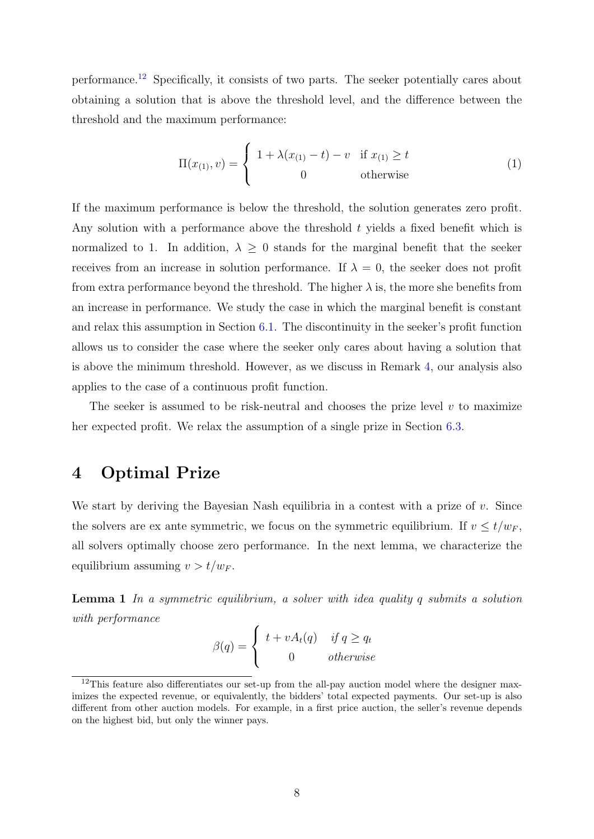performance.[12](#page-7-1) Specifically, it consists of two parts. The seeker potentially cares about obtaining a solution that is above the threshold level, and the difference between the threshold and the maximum performance:

<span id="page-7-3"></span>
$$
\Pi(x_{(1)}, v) = \begin{cases} 1 + \lambda(x_{(1)} - t) - v & \text{if } x_{(1)} \ge t \\ 0 & \text{otherwise} \end{cases}
$$
 (1)

If the maximum performance is below the threshold, the solution generates zero profit. Any solution with a performance above the threshold  $t$  yields a fixed benefit which is normalized to 1. In addition,  $\lambda \geq 0$  stands for the marginal benefit that the seeker receives from an increase in solution performance. If  $\lambda = 0$ , the seeker does not profit from extra performance beyond the threshold. The higher  $\lambda$  is, the more she benefits from an increase in performance. We study the case in which the marginal benefit is constant and relax this assumption in Section [6.1.](#page-18-1) The discontinuity in the seeker's profit function allows us to consider the case where the seeker only cares about having a solution that is above the minimum threshold. However, as we discuss in Remark [4,](#page-16-0) our analysis also applies to the case of a continuous profit function.

The seeker is assumed to be risk-neutral and chooses the prize level  $v$  to maximize her expected profit. We relax the assumption of a single prize in Section [6.3.](#page-22-0)

# <span id="page-7-0"></span>4 Optimal Prize

We start by deriving the Bayesian Nash equilibria in a contest with a prize of  $v$ . Since the solvers are ex ante symmetric, we focus on the symmetric equilibrium. If  $v \le t/w_F$ , all solvers optimally choose zero performance. In the next lemma, we characterize the equilibrium assuming  $v > t/w_F$ .

<span id="page-7-2"></span>**Lemma 1** In a symmetric equilibrium, a solver with idea quality q submits a solution with performance

$$
\beta(q) = \begin{cases} t + vA_t(q) & \text{if } q \ge q_t \\ 0 & \text{otherwise} \end{cases}
$$

<span id="page-7-1"></span> $12$ This feature also differentiates our set-up from the all-pay auction model where the designer maximizes the expected revenue, or equivalently, the bidders' total expected payments. Our set-up is also different from other auction models. For example, in a first price auction, the seller's revenue depends on the highest bid, but only the winner pays.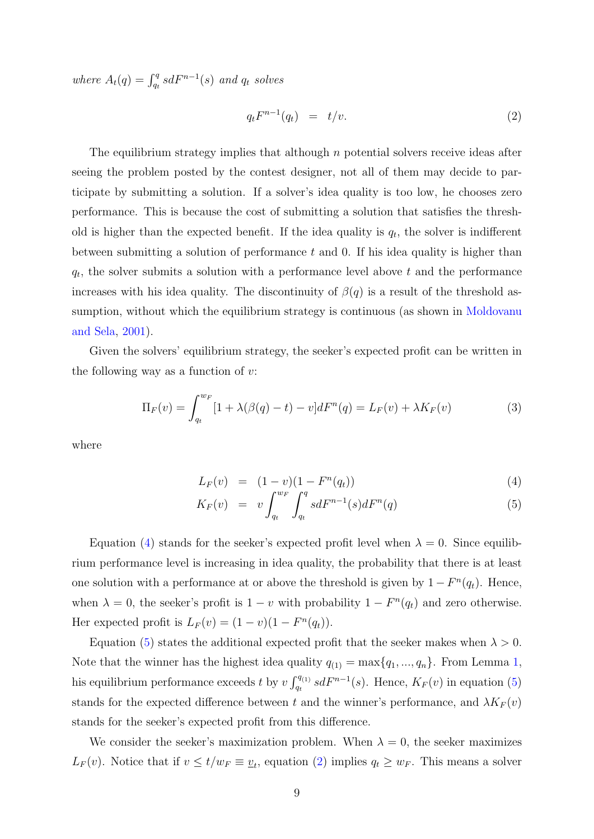where  $A_t(q) = \int_{q_t}^q s dF^{n-1}(s)$  and  $q_t$  solves

<span id="page-8-1"></span>
$$
q_t F^{n-1}(q_t) = t/v.
$$
\n
$$
(2)
$$

The equilibrium strategy implies that although  $n$  potential solvers receive ideas after seeing the problem posted by the contest designer, not all of them may decide to participate by submitting a solution. If a solver's idea quality is too low, he chooses zero performance. This is because the cost of submitting a solution that satisfies the threshold is higher than the expected benefit. If the idea quality is  $q_t$ , the solver is indifferent between submitting a solution of performance  $t$  and  $0$ . If his idea quality is higher than  $q_t$ , the solver submits a solution with a performance level above t and the performance increases with his idea quality. The discontinuity of  $\beta(q)$  is a result of the threshold assumption, without which the equilibrium strategy is continuous (as shown in [Moldovanu](#page-27-0) [and Sela,](#page-27-0) [2001\)](#page-27-0).

Given the solvers' equilibrium strategy, the seeker's expected profit can be written in the following way as a function of  $v$ :

<span id="page-8-2"></span>
$$
\Pi_F(v) = \int_{q_t}^{w_F} [1 + \lambda(\beta(q) - t) - v] dF^n(q) = L_F(v) + \lambda K_F(v)
$$
\n(3)

where

<span id="page-8-0"></span>
$$
L_F(v) = (1 - v)(1 - F^n(q_t))
$$
\n(4)

$$
K_F(v) = v \int_{q_t}^{w_F} \int_{q_t}^{q} s dF^{n-1}(s) dF^n(q)
$$
 (5)

Equation [\(4\)](#page-8-0) stands for the seeker's expected profit level when  $\lambda = 0$ . Since equilibrium performance level is increasing in idea quality, the probability that there is at least one solution with a performance at or above the threshold is given by  $1 - F<sup>n</sup>(q<sub>t</sub>)$ . Hence, when  $\lambda = 0$ , the seeker's profit is  $1 - v$  with probability  $1 - F^{n}(q_t)$  and zero otherwise. Her expected profit is  $L_F(v) = (1 - v)(1 - F^n(q_t)).$ 

Equation [\(5\)](#page-8-0) states the additional expected profit that the seeker makes when  $\lambda > 0$ . Note that the winner has the highest idea quality  $q_{(1)} = \max\{q_1, ..., q_n\}$  $q_{(1)} = \max\{q_1, ..., q_n\}$  $q_{(1)} = \max\{q_1, ..., q_n\}$ . From Lemma 1, his equilibrium performance exceeds t by  $v \int_{q_t}^{q_{(1)}} s dF^{n-1}(s)$ . Hence,  $K_F(v)$  in equation [\(5\)](#page-8-0) stands for the expected difference between t and the winner's performance, and  $\lambda K_F(v)$ stands for the seeker's expected profit from this difference.

We consider the seeker's maximization problem. When  $\lambda = 0$ , the seeker maximizes  $L_F(v)$ . Notice that if  $v \le t/w_F \equiv v_t$ , equation [\(2\)](#page-8-1) implies  $q_t \ge w_F$ . This means a solver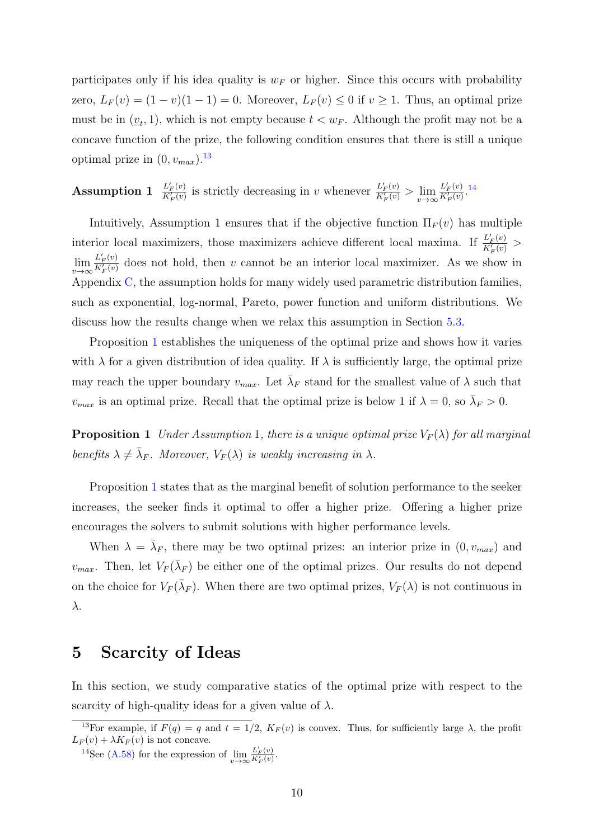participates only if his idea quality is  $w_F$  or higher. Since this occurs with probability zero,  $L_F(v) = (1 - v)(1 - 1) = 0$ . Moreover,  $L_F(v) \le 0$  if  $v \ge 1$ . Thus, an optimal prize must be in  $(\underline{v}_t, 1)$ , which is not empty because  $t < w_F$ . Although the profit may not be a concave function of the prize, the following condition ensures that there is still a unique optimal prize in  $(0, v_{max})$ .<sup>[13](#page-9-1)</sup>

Assumption 1  $\frac{L'_{F}(v)}{K'(v)}$  $\frac{L'_{F}(v)}{K'_{F}(v)}$  is strictly decreasing in  $v$  whenever  $\frac{L'_{F}(v)}{K'_{F}(v)}$  $\frac{L'_{F}(v)}{K'_{F}(v)} > \lim_{v \to \infty} \frac{L'_{F}(v)}{K'_{F}(v)}$  $\frac{L'_{F}(v)}{K'_{F}(v)}$ . [14](#page-9-2)

Intuitively, Assumption 1 ensures that if the objective function  $\Pi_F(v)$  has multiple interior local maximizers, those maximizers achieve different local maxima. If  $\frac{L'_{F}(v)}{K'_{F}(v)}$  $\frac{L_F(v)}{K'_F(v)}$  >  $\lim_{v\to\infty}\frac{L'_F(v)}{K'_F(v)}$  $\frac{L_F(v)}{K_F'(v)}$  does not hold, then v cannot be an interior local maximizer. As we show in Appendix [C,](#page-39-0) the assumption holds for many widely used parametric distribution families, such as exponential, log-normal, Pareto, power function and uniform distributions. We discuss how the results change when we relax this assumption in Section [5.3.](#page-17-0)

Proposition [1](#page-9-3) establishes the uniqueness of the optimal prize and shows how it varies with  $\lambda$  for a given distribution of idea quality. If  $\lambda$  is sufficiently large, the optimal prize may reach the upper boundary  $v_{max}$ . Let  $\bar{\lambda}_F$  stand for the smallest value of  $\lambda$  such that  $v_{max}$  is an optimal prize. Recall that the optimal prize is below 1 if  $\lambda = 0$ , so  $\bar{\lambda}_F > 0$ .

<span id="page-9-3"></span>**Proposition 1** Under Assumption 1, there is a unique optimal prize  $V_F(\lambda)$  for all marginal benefits  $\lambda \neq \bar{\lambda}_F$ . Moreover,  $V_F(\lambda)$  is weakly increasing in  $\lambda$ .

Proposition [1](#page-9-3) states that as the marginal benefit of solution performance to the seeker increases, the seeker finds it optimal to offer a higher prize. Offering a higher prize encourages the solvers to submit solutions with higher performance levels.

When  $\lambda = \bar{\lambda}_F$ , there may be two optimal prizes: an interior prize in  $(0, v_{max})$  and  $v_{max}$ . Then, let  $V_F(\bar{\lambda}_F)$  be either one of the optimal prizes. Our results do not depend on the choice for  $V_F(\bar{\lambda}_F)$ . When there are two optimal prizes,  $V_F(\lambda)$  is not continuous in λ.

#### <span id="page-9-0"></span>5 Scarcity of Ideas

In this section, we study comparative statics of the optimal prize with respect to the scarcity of high-quality ideas for a given value of  $\lambda$ .

<span id="page-9-1"></span><sup>&</sup>lt;sup>13</sup>For example, if  $F(q) = q$  and  $t = 1/2$ ,  $K_F(v)$  is convex. Thus, for sufficiently large  $\lambda$ , the profit  $L_F(v) + \lambda K_F(v)$  is not concave.

<span id="page-9-2"></span><sup>&</sup>lt;sup>14</sup>See [\(A.58\)](#page-52-0) for the expression of  $\lim_{v \to \infty} \frac{L'_F(v)}{K'_F(v)}$ .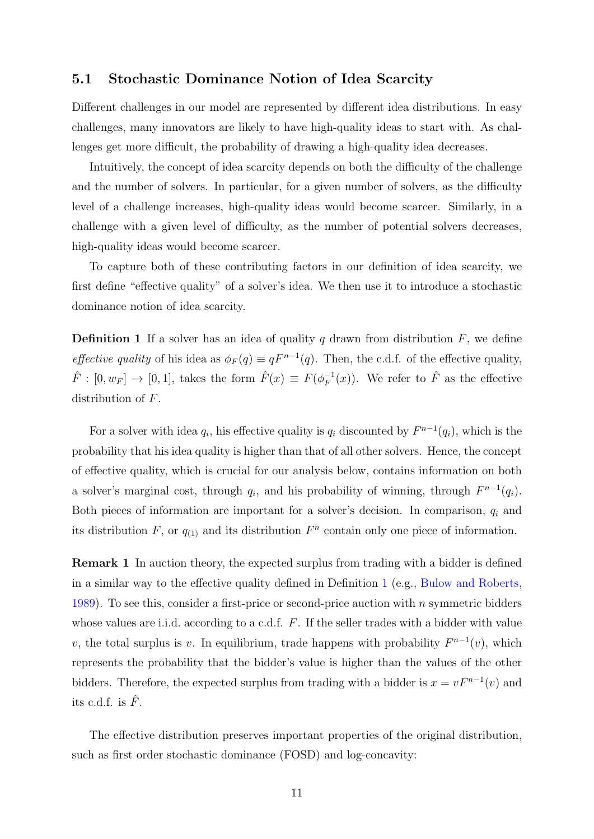#### <span id="page-10-2"></span>5.1 Stochastic Dominance Notion of Idea Scarcity

Different challenges in our model are represented by different idea distributions. In easy challenges, many innovators are likely to have high-quality ideas to start with. As challenges get more difficult, the probability of drawing a high-quality idea decreases.

Intuitively, the concept of idea scarcity depends on both the difficulty of the challenge and the number of solvers. In particular, for a given number of solvers, as the difficulty level of a challenge increases, high-quality ideas would become scarcer. Similarly, in a challenge with a given level of difficulty, as the number of potential solvers decreases, high-quality ideas would become scarcer.

To capture both of these contributing factors in our definition of idea scarcity, we first define "effective quality" of a solver's idea. We then use it to introduce a stochastic dominance notion of idea scarcity.

<span id="page-10-0"></span>**Definition 1** If a solver has an idea of quality q drawn from distribution  $F$ , we define *effective quality* of his idea as  $\phi_F(q) \equiv qF^{n-1}(q)$ . Then, the c.d.f. of the effective quality,  $\hat{F} : [0, w_F] \to [0, 1],$  takes the form  $\hat{F}(x) \equiv F(\phi_F^{-1})$  $F_F^{-1}(x)$ ). We refer to  $\hat{F}$  as the effective distribution of F.

For a solver with idea  $q_i$ , his effective quality is  $q_i$  discounted by  $F^{n-1}(q_i)$ , which is the probability that his idea quality is higher than that of all other solvers. Hence, the concept of effective quality, which is crucial for our analysis below, contains information on both a solver's marginal cost, through  $q_i$ , and his probability of winning, through  $F^{n-1}(q_i)$ . Both pieces of information are important for a solver's decision. In comparison,  $q_i$  and its distribution F, or  $q_{(1)}$  and its distribution  $F<sup>n</sup>$  contain only one piece of information.

Remark 1 In auction theory, the expected surplus from trading with a bidder is defined in a similar way to the effective quality defined in Definition [1](#page-10-0) (e.g., [Bulow and Roberts,](#page-25-10) [1989\)](#page-25-10). To see this, consider a first-price or second-price auction with n symmetric bidders whose values are i.i.d. according to a c.d.f. F. If the seller trades with a bidder with value v, the total surplus is v. In equilibrium, trade happens with probability  $F^{n-1}(v)$ , which represents the probability that the bidder's value is higher than the values of the other bidders. Therefore, the expected surplus from trading with a bidder is  $x = vF^{n-1}(v)$  and its c.d.f. is  $\hat{F}$ .

<span id="page-10-1"></span>The effective distribution preserves important properties of the original distribution, such as first order stochastic dominance (FOSD) and log-concavity: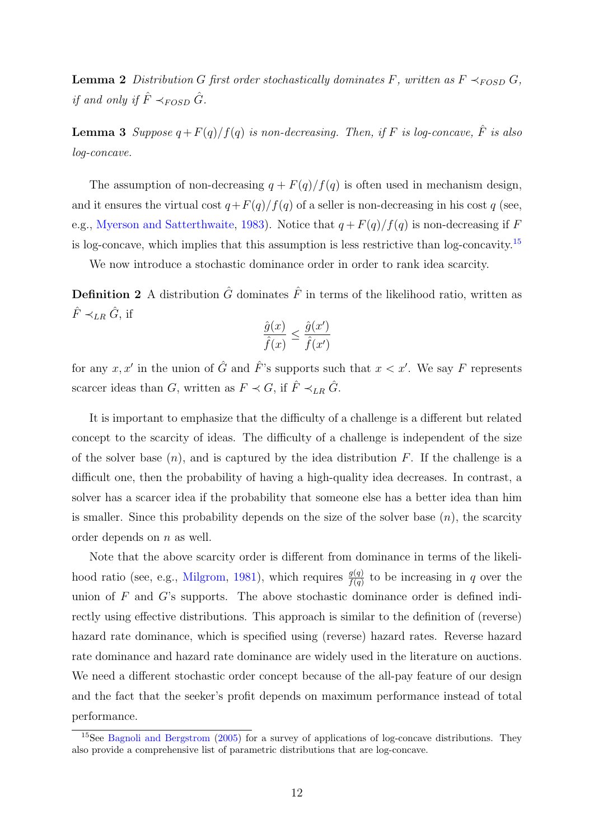**Lemma 2** Distribution G first order stochastically dominates F, written as  $F \prec_{FOSD} G$ , if and only if  $\hat{F} \prec_{FOSD} \hat{G}$ .

<span id="page-11-2"></span>**Lemma 3** Suppose  $q + F(q)/f(q)$  is non-decreasing. Then, if F is log-concave,  $\hat{F}$  is also log-concave.

The assumption of non-decreasing  $q + F(q)/f(q)$  is often used in mechanism design, and it ensures the virtual cost  $q+F(q)/f(q)$  of a seller is non-decreasing in his cost q (see, e.g., [Myerson and Satterthwaite,](#page-27-7) [1983\)](#page-27-7). Notice that  $q + F(q)/f(q)$  is non-decreasing if F is log-concave, which implies that this assumption is less restrictive than log-concavity.[15](#page-11-0)

We now introduce a stochastic dominance order in order to rank idea scarcity.

**Definition 2** A distribution  $\hat{G}$  dominates  $\hat{F}$  in terms of the likelihood ratio, written as  $\hat{F} \prec_{LR} \hat{G}$ , if

<span id="page-11-1"></span>
$$
\frac{\hat{g}(x)}{\hat{f}(x)} \le \frac{\hat{g}(x')}{\hat{f}(x')}
$$

for any x, x' in the union of  $\hat{G}$  and  $\hat{F}$ 's supports such that  $x < x'$ . We say F represents scarcer ideas than G, written as  $F \prec G$ , if  $\hat{F} \prec_{LR} \hat{G}$ .

It is important to emphasize that the difficulty of a challenge is a different but related concept to the scarcity of ideas. The difficulty of a challenge is independent of the size of the solver base  $(n)$ , and is captured by the idea distribution F. If the challenge is a difficult one, then the probability of having a high-quality idea decreases. In contrast, a solver has a scarcer idea if the probability that someone else has a better idea than him is smaller. Since this probability depends on the size of the solver base  $(n)$ , the scarcity order depends on n as well.

Note that the above scarcity order is different from dominance in terms of the likeli-hood ratio (see, e.g., [Milgrom,](#page-26-11) [1981\)](#page-26-11), which requires  $\frac{g(q)}{f(q)}$  to be increasing in q over the union of  $F$  and  $G$ 's supports. The above stochastic dominance order is defined indirectly using effective distributions. This approach is similar to the definition of (reverse) hazard rate dominance, which is specified using (reverse) hazard rates. Reverse hazard rate dominance and hazard rate dominance are widely used in the literature on auctions. We need a different stochastic order concept because of the all-pay feature of our design and the fact that the seeker's profit depends on maximum performance instead of total performance.

<span id="page-11-0"></span><sup>15</sup>See [Bagnoli and Bergstrom](#page-25-11) [\(2005\)](#page-25-11) for a survey of applications of log-concave distributions. They also provide a comprehensive list of parametric distributions that are log-concave.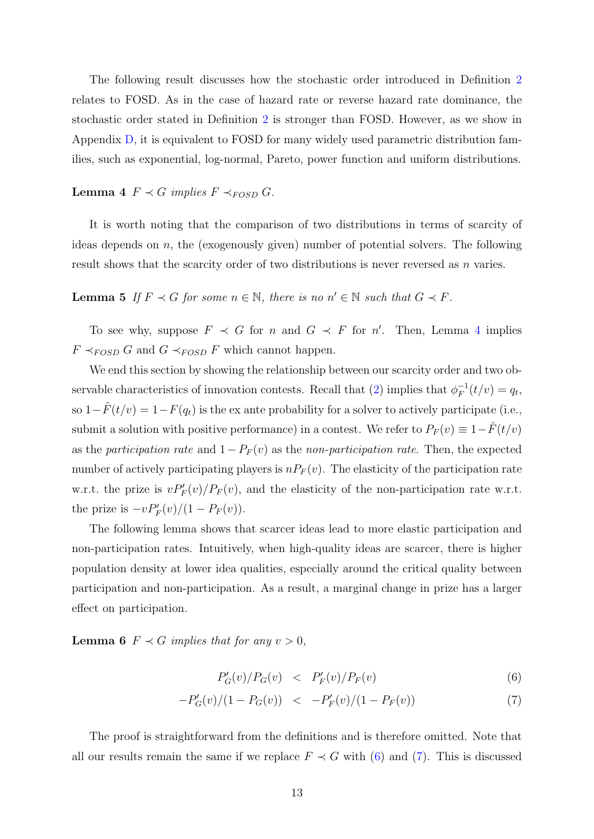The following result discusses how the stochastic order introduced in Definition [2](#page-11-1) relates to FOSD. As in the case of hazard rate or reverse hazard rate dominance, the stochastic order stated in Definition [2](#page-11-1) is stronger than FOSD. However, as we show in Appendix [D,](#page-54-0) it is equivalent to FOSD for many widely used parametric distribution families, such as exponential, log-normal, Pareto, power function and uniform distributions.

### <span id="page-12-0"></span>Lemma 4  $F \prec G$  implies  $F \prec_{FOSD} G$ .

It is worth noting that the comparison of two distributions in terms of scarcity of ideas depends on  $n$ , the (exogenously given) number of potential solvers. The following result shows that the scarcity order of two distributions is never reversed as n varies.

**Lemma 5** If  $F \prec G$  for some  $n \in \mathbb{N}$ , there is no  $n' \in \mathbb{N}$  such that  $G \prec F$ .

To see why, suppose  $F \prec G$  for n and  $G \prec F$  for n'. Then, Lemma [4](#page-12-0) implies  $F \prec_{FOSD} G$  and  $G \prec_{FOSD} F$  which cannot happen.

We end this section by showing the relationship between our scarcity order and two observable characteristics of innovation contests. Recall that  $(2)$  implies that  $\phi_F^{-1}$  $q_F^{-1}(t/v) = q_t,$ so  $1-\hat{F}(t/v) = 1-F(q_t)$  is the ex ante probability for a solver to actively participate (i.e., submit a solution with positive performance) in a contest. We refer to  $P_F(v) \equiv 1-F(t/v)$ as the participation rate and  $1-P_F(v)$  as the non-participation rate. Then, the expected number of actively participating players is  $nP_F(v)$ . The elasticity of the participation rate w.r.t. the prize is  $vP'_F(v)/P_F(v)$ , and the elasticity of the non-participation rate w.r.t. the prize is  $-vP'_F(v)/(1-P_F(v)).$ 

The following lemma shows that scarcer ideas lead to more elastic participation and non-participation rates. Intuitively, when high-quality ideas are scarcer, there is higher population density at lower idea qualities, especially around the critical quality between participation and non-participation. As a result, a marginal change in prize has a larger effect on participation.

<span id="page-12-2"></span>**Lemma 6**  $F \prec G$  implies that for any  $v > 0$ ,

<span id="page-12-1"></span>
$$
P'_{G}(v)/P_{G}(v) \quad < \quad P'_{F}(v)/P_{F}(v) \tag{6}
$$

$$
-P'_{G}(v)/(1 - P_{G}(v)) \le -P'_{F}(v)/(1 - P_{F}(v)) \tag{7}
$$

The proof is straightforward from the definitions and is therefore omitted. Note that all our results remain the same if we replace  $F \prec G$  with [\(6\)](#page-12-1) and [\(7\)](#page-12-1). This is discussed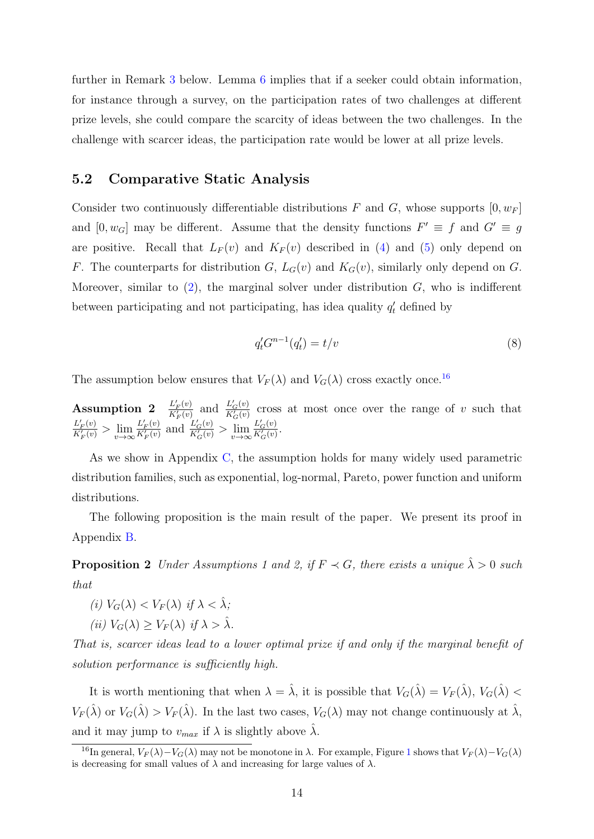further in Remark [3](#page-16-1) below. Lemma [6](#page-12-2) implies that if a seeker could obtain information, for instance through a survey, on the participation rates of two challenges at different prize levels, she could compare the scarcity of ideas between the two challenges. In the challenge with scarcer ideas, the participation rate would be lower at all prize levels.

#### 5.2 Comparative Static Analysis

Consider two continuously differentiable distributions F and G, whose supports  $[0, w_F]$ and  $[0, w_G]$  may be different. Assume that the density functions  $F' \equiv f$  and  $G' \equiv g$ are positive. Recall that  $L_F(v)$  and  $K_F(v)$  described in [\(4\)](#page-8-0) and [\(5\)](#page-8-0) only depend on F. The counterparts for distribution G,  $L_G(v)$  and  $K_G(v)$ , similarly only depend on G. Moreover, similar to  $(2)$ , the marginal solver under distribution  $G$ , who is indifferent between participating and not participating, has idea quality  $q'_t$  defined by

$$
q'_t G^{n-1}(q'_t) = t/v \tag{8}
$$

The assumption below ensures that  $V_F(\lambda)$  and  $V_G(\lambda)$  cross exactly once.<sup>[16](#page-13-0)</sup>

Assumption 2  $\frac{L'_{F}(v)}{K'(v)}$  $rac{L'_F(v)}{K'_F(v)}$  and  $rac{L'_G(v)}{K'_G(v)}$  $rac{E_G(v)}{K_G'(v)}$  cross at most once over the range of v such that  $L'_F(v)$  $\frac{L'_{F}(v)}{K'_{F}(v)} > \lim_{v \to \infty} \frac{L'_{F}(v)}{K'_{F}(v)}$  $rac{L'_F(v)}{K'_F(v)}$  and  $rac{L'_G(v)}{K'_G(v)}$  $\frac{L_G'(v)}{K_G'(v)} > \lim_{v \to \infty} \frac{L_G'(v)}{K_G'(v)}$  $rac{L_G(v)}{K_G'(v)}$ .

As we show in Appendix [C,](#page-39-0) the assumption holds for many widely used parametric distribution families, such as exponential, log-normal, Pareto, power function and uniform distributions.

The following proposition is the main result of the paper. We present its proof in Appendix [B.](#page-34-0)

<span id="page-13-1"></span>**Proposition 2** Under Assumptions 1 and 2, if  $F \prec G$ , there exists a unique  $\hat{\lambda} > 0$  such that

- (i)  $V_G(\lambda) < V_F(\lambda)$  if  $\lambda < \hat{\lambda}$ :
- (ii)  $V_G(\lambda) > V_F(\lambda)$  if  $\lambda > \lambda$ .

That is, scarcer ideas lead to a lower optimal prize if and only if the marginal benefit of solution performance is sufficiently high.

It is worth mentioning that when  $\lambda = \hat{\lambda}$ , it is possible that  $V_G(\hat{\lambda}) = V_F(\hat{\lambda}), V_G(\hat{\lambda}) <$  $V_F(\hat{\lambda})$  or  $V_G(\hat{\lambda}) > V_F(\hat{\lambda})$ . In the last two cases,  $V_G(\lambda)$  may not change continuously at  $\hat{\lambda}$ , and it may jump to  $v_{max}$  if  $\lambda$  is slightly above  $\hat{\lambda}$ .

<span id="page-13-0"></span><sup>&</sup>lt;sup>[1](#page-14-1)6</sup>In general,  $V_F(\lambda)-V_G(\lambda)$  may not be monotone in  $\lambda$ . For example, Figure 1 shows that  $V_F(\lambda)-V_G(\lambda)$ is decreasing for small values of  $\lambda$  and increasing for large values of  $\lambda$ .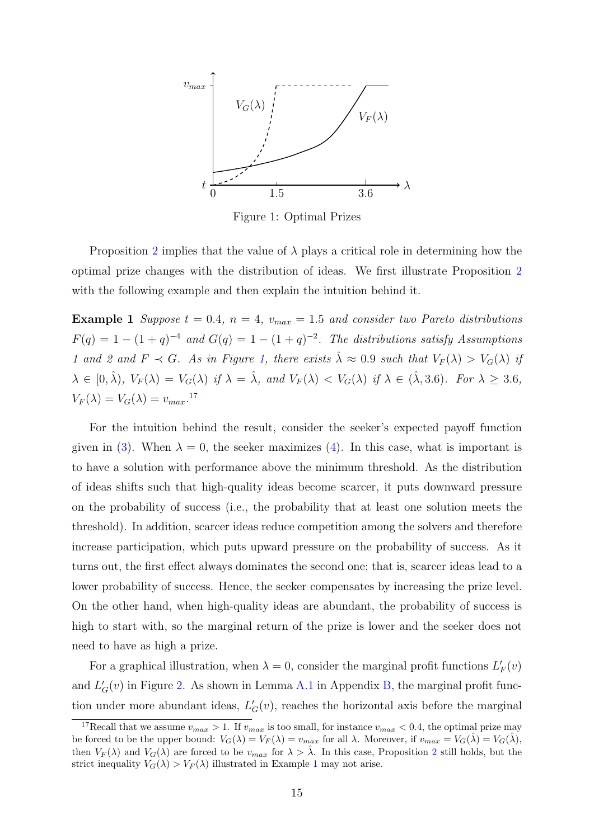<span id="page-14-1"></span>

Figure 1: Optimal Prizes

Proposition [2](#page-13-1) implies that the value of  $\lambda$  plays a critical role in determining how the optimal prize changes with the distribution of ideas. We first illustrate Proposition [2](#page-13-1) with the following example and then explain the intuition behind it.

<span id="page-14-0"></span>**Example 1** Suppose  $t = 0.4$ ,  $n = 4$ ,  $v_{max} = 1.5$  and consider two Pareto distributions  $F(q) = 1 - (1 + q)^{-4}$  and  $G(q) = 1 - (1 + q)^{-2}$ . The distributions satisfy Assumptions 1 and 2 and  $F \prec G$ . As in Figure [1,](#page-14-1) there exists  $\hat{\lambda} \approx 0.9$  such that  $V_F(\lambda) > V_G(\lambda)$  if  $\lambda \in [0, \hat{\lambda}), V_F(\lambda) = V_G(\lambda)$  if  $\lambda = \hat{\lambda}$ , and  $V_F(\lambda) < V_G(\lambda)$  if  $\lambda \in (\hat{\lambda}, 3.6)$ . For  $\lambda \geq 3.6$ ,  $V_F(\lambda) = V_G(\lambda) = v_{max}.$ <sup>[17](#page-14-2)</sup>

For the intuition behind the result, consider the seeker's expected payoff function given in [\(3\)](#page-8-2). When  $\lambda = 0$ , the seeker maximizes [\(4\)](#page-8-0). In this case, what is important is to have a solution with performance above the minimum threshold. As the distribution of ideas shifts such that high-quality ideas become scarcer, it puts downward pressure on the probability of success (i.e., the probability that at least one solution meets the threshold). In addition, scarcer ideas reduce competition among the solvers and therefore increase participation, which puts upward pressure on the probability of success. As it turns out, the first effect always dominates the second one; that is, scarcer ideas lead to a lower probability of success. Hence, the seeker compensates by increasing the prize level. On the other hand, when high-quality ideas are abundant, the probability of success is high to start with, so the marginal return of the prize is lower and the seeker does not need to have as high a prize.

For a graphical illustration, when  $\lambda = 0$ , consider the marginal profit functions  $L'_{F}(v)$ and  $L_G'(v)$  in Figure [2.](#page-15-0) As shown in Lemma [A.1](#page-7-2) in Appendix [B,](#page-34-0) the marginal profit function under more abundant ideas,  $L_G'(v)$ , reaches the horizontal axis before the marginal

<span id="page-14-2"></span><sup>&</sup>lt;sup>17</sup>Recall that we assume  $v_{max} > 1$ . If  $v_{max}$  is too small, for instance  $v_{max} < 0.4$ , the optimal prize may be forced to be the upper bound:  $V_G(\lambda) = V_F(\lambda) = v_{max}$  for all  $\lambda$ . Moreover, if  $v_{max} = V_G(\hat{\lambda}) = V_G(\hat{\lambda}),$ then  $V_F(\lambda)$  and  $V_G(\lambda)$  are forced to be  $v_{max}$  for  $\lambda > \lambda$ . In this case, Proposition [2](#page-13-1) still holds, but the strict inequality  $V_G(\lambda) > V_F(\lambda)$  illustrated in Example [1](#page-14-0) may not arise.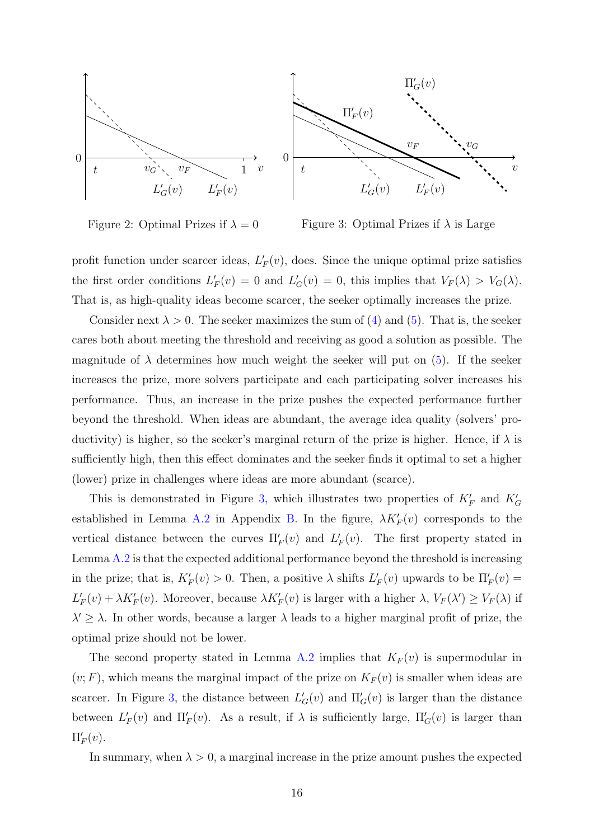<span id="page-15-0"></span>

Figure 2: Optimal Prizes if  $\lambda = 0$ Figure 3: Optimal Prizes if  $\lambda$  is Large

profit function under scarcer ideas,  $L'_{F}(v)$ , does. Since the unique optimal prize satisfies the first order conditions  $L'_F(v) = 0$  and  $L'_G(v) = 0$ , this implies that  $V_F(\lambda) > V_G(\lambda)$ . That is, as high-quality ideas become scarcer, the seeker optimally increases the prize.

Consider next  $\lambda > 0$ . The seeker maximizes the sum of [\(4\)](#page-8-0) and [\(5\)](#page-8-0). That is, the seeker cares both about meeting the threshold and receiving as good a solution as possible. The magnitude of  $\lambda$  determines how much weight the seeker will put on [\(5\)](#page-8-0). If the seeker increases the prize, more solvers participate and each participating solver increases his performance. Thus, an increase in the prize pushes the expected performance further beyond the threshold. When ideas are abundant, the average idea quality (solvers' productivity) is higher, so the seeker's marginal return of the prize is higher. Hence, if  $\lambda$  is sufficiently high, then this effect dominates and the seeker finds it optimal to set a higher (lower) prize in challenges where ideas are more abundant (scarce).

This is demonstrated in Figure [3,](#page-15-0) which illustrates two properties of  $K_F'$  and  $K_G'$ established in Lemma [A.2](#page-10-1) in Appendix [B.](#page-34-0) In the figure,  $\lambda K'_F(v)$  corresponds to the vertical distance between the curves  $\Pi'_F(v)$  and  $L'_F(v)$ . The first property stated in Lemma [A.2](#page-10-1) is that the expected additional performance beyond the threshold is increasing in the prize; that is,  $K_F'(v) > 0$ . Then, a positive  $\lambda$  shifts  $L_F'(v)$  upwards to be  $\Pi_F'(v) =$  $L'_F(v) + \lambda K'_F(v)$ . Moreover, because  $\lambda K'_F(v)$  is larger with a higher  $\lambda$ ,  $V_F(\lambda') \ge V_F(\lambda)$  if  $\lambda' \geq \lambda$ . In other words, because a larger  $\lambda$  leads to a higher marginal profit of prize, the optimal prize should not be lower.

The second property stated in Lemma [A.2](#page-10-1) implies that  $K_F(v)$  is supermodular in  $(v; F)$ , which means the marginal impact of the prize on  $K_F(v)$  is smaller when ideas are scarcer. In Figure [3,](#page-15-0) the distance between  $L'_{G}(v)$  and  $\Pi'_{G}(v)$  is larger than the distance between  $L'_F(v)$  and  $\Pi'_F(v)$ . As a result, if  $\lambda$  is sufficiently large,  $\Pi'_G(v)$  is larger than  $\Pi'_F(v)$ .

In summary, when  $\lambda > 0$ , a marginal increase in the prize amount pushes the expected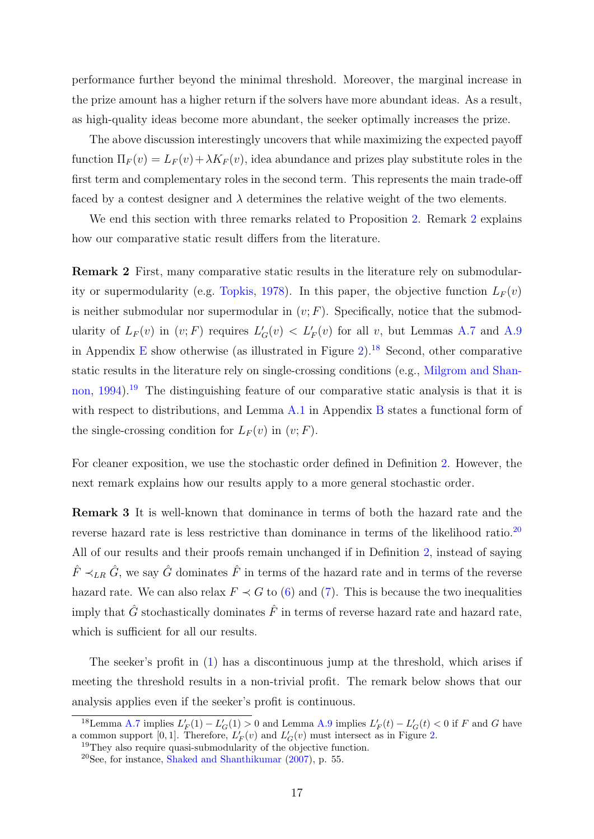performance further beyond the minimal threshold. Moreover, the marginal increase in the prize amount has a higher return if the solvers have more abundant ideas. As a result, as high-quality ideas become more abundant, the seeker optimally increases the prize.

The above discussion interestingly uncovers that while maximizing the expected payoff function  $\Pi_F(v) = L_F(v) + \lambda K_F(v)$ , idea abundance and prizes play substitute roles in the first term and complementary roles in the second term. This represents the main trade-off faced by a contest designer and  $\lambda$  determines the relative weight of the two elements.

We end this section with three remarks related to Proposition [2.](#page-13-1) Remark [2](#page-16-2) explains how our comparative static result differs from the literature.

<span id="page-16-2"></span>Remark 2 First, many comparative static results in the literature rely on submodular-ity or supermodularity (e.g. [Topkis,](#page-27-4) [1978\)](#page-27-4). In this paper, the objective function  $L_F(v)$ is neither submodular nor supermodular in  $(v; F)$ . Specifically, notice that the submodularity of  $L_F(v)$  in  $(v; F)$  requires  $L'_G(v) < L'_F(v)$  for all v, but Lemmas [A.7](#page-55-0) and [A.9](#page-56-0) in Appendix [E](#page-55-1) show otherwise (as illustrated in Figure [2\)](#page-15-0).<sup>[18](#page-16-3)</sup> Second, other comparative static results in the literature rely on single-crossing conditions (e.g., [Milgrom and Shan](#page-26-4)[non,](#page-26-4) [1994\)](#page-26-4).<sup>[19](#page-16-4)</sup> The distinguishing feature of our comparative static analysis is that it is with respect to distributions, and Lemma [A.1](#page-7-2) in Appendix [B](#page-34-0) states a functional form of the single-crossing condition for  $L_F(v)$  in  $(v; F)$ .

<span id="page-16-1"></span>For cleaner exposition, we use the stochastic order defined in Definition [2.](#page-11-1) However, the next remark explains how our results apply to a more general stochastic order.

Remark 3 It is well-known that dominance in terms of both the hazard rate and the reverse hazard rate is less restrictive than dominance in terms of the likelihood ratio.<sup>[20](#page-16-5)</sup> All of our results and their proofs remain unchanged if in Definition [2,](#page-11-1) instead of saying  $\hat{F} \prec_{LR} \hat{G}$ , we say  $\hat{G}$  dominates  $\hat{F}$  in terms of the hazard rate and in terms of the reverse hazard rate. We can also relax  $F \prec G$  to [\(6\)](#page-12-1) and [\(7\)](#page-12-1). This is because the two inequalities imply that  $\hat{G}$  stochastically dominates  $\hat{F}$  in terms of reverse hazard rate and hazard rate, which is sufficient for all our results.

The seeker's profit in [\(1\)](#page-7-3) has a discontinuous jump at the threshold, which arises if meeting the threshold results in a non-trivial profit. The remark below shows that our analysis applies even if the seeker's profit is continuous.

<span id="page-16-3"></span><sup>&</sup>lt;sup>18</sup>Lemma [A.7](#page-55-0) implies  $L'_F(1) - L'_G(1) > 0$  and Lemma [A.9](#page-56-0) implies  $L'_F(t) - L'_G(t) < 0$  if F and G have a common support [0, 1]. Therefore,  $L'_{F}(v)$  and  $L'_{G}(v)$  must intersect as in Figure [2.](#page-15-0)

<span id="page-16-4"></span><span id="page-16-0"></span><sup>&</sup>lt;sup>19</sup>They also require quasi-submodularity of the objective function.

<span id="page-16-5"></span><sup>20</sup>See, for instance, [Shaked and Shanthikumar](#page-27-8) [\(2007\)](#page-27-8), p. 55.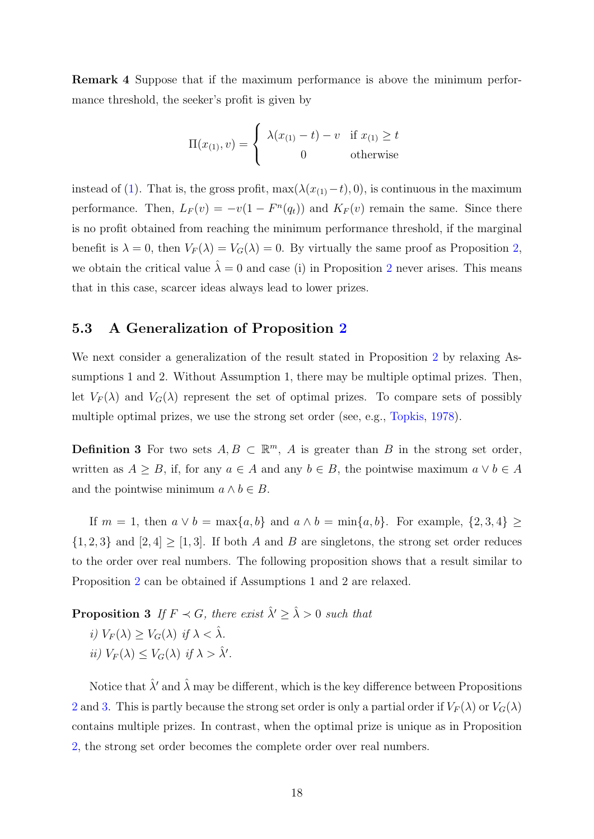Remark 4 Suppose that if the maximum performance is above the minimum performance threshold, the seeker's profit is given by

$$
\Pi(x_{(1)}, v) = \begin{cases} \lambda(x_{(1)} - t) - v & \text{if } x_{(1)} \ge t \\ 0 & \text{otherwise} \end{cases}
$$

instead of [\(1\)](#page-7-3). That is, the gross profit, max( $\lambda(x_{(1)}-t)$ , 0), is continuous in the maximum performance. Then,  $L_F(v) = -v(1 - F^n(q_t))$  and  $K_F(v)$  remain the same. Since there is no profit obtained from reaching the minimum performance threshold, if the marginal benefit is  $\lambda = 0$ , then  $V_F(\lambda) = V_G(\lambda) = 0$ . By virtually the same proof as Proposition [2,](#page-13-1) we obtain the critical value  $\hat{\lambda} = 0$  and case (i) in Proposition [2](#page-13-1) never arises. This means that in this case, scarcer ideas always lead to lower prizes.

#### <span id="page-17-0"></span>5.3 A Generalization of Proposition [2](#page-13-1)

We next consider a generalization of the result stated in Proposition [2](#page-13-1) by relaxing Assumptions 1 and 2. Without Assumption 1, there may be multiple optimal prizes. Then, let  $V_F(\lambda)$  and  $V_G(\lambda)$  represent the set of optimal prizes. To compare sets of possibly multiple optimal prizes, we use the strong set order (see, e.g., [Topkis,](#page-27-4) [1978\)](#page-27-4).

<span id="page-17-2"></span>**Definition 3** For two sets  $A, B \subset \mathbb{R}^m$ , A is greater than B in the strong set order, written as  $A \geq B$ , if, for any  $a \in A$  and any  $b \in B$ , the pointwise maximum  $a \vee b \in A$ and the pointwise minimum  $a \wedge b \in B$ .

If  $m = 1$ , then  $a \vee b = \max\{a, b\}$  and  $a \wedge b = \min\{a, b\}$ . For example,  $\{2, 3, 4\} \ge$  $\{1, 2, 3\}$  and  $[2, 4] \geq [1, 3]$ . If both A and B are singletons, the strong set order reduces to the order over real numbers. The following proposition shows that a result similar to Proposition [2](#page-13-1) can be obtained if Assumptions 1 and 2 are relaxed.

<span id="page-17-1"></span>**Proposition 3** If  $F \prec G$ , there exist  $\hat{\lambda}' \geq \hat{\lambda} > 0$  such that i)  $V_F(\lambda) > V_G(\lambda)$  if  $\lambda < \hat{\lambda}$ . ii)  $V_F(\lambda) \leq V_G(\lambda)$  if  $\lambda > \hat{\lambda}'$ .

Notice that  $\hat{\lambda}'$  and  $\hat{\lambda}$  may be different, which is the key difference between Propositions [2](#page-13-1) and [3.](#page-17-1) This is partly because the strong set order is only a partial order if  $V_F(\lambda)$  or  $V_G(\lambda)$ contains multiple prizes. In contrast, when the optimal prize is unique as in Proposition [2,](#page-13-1) the strong set order becomes the complete order over real numbers.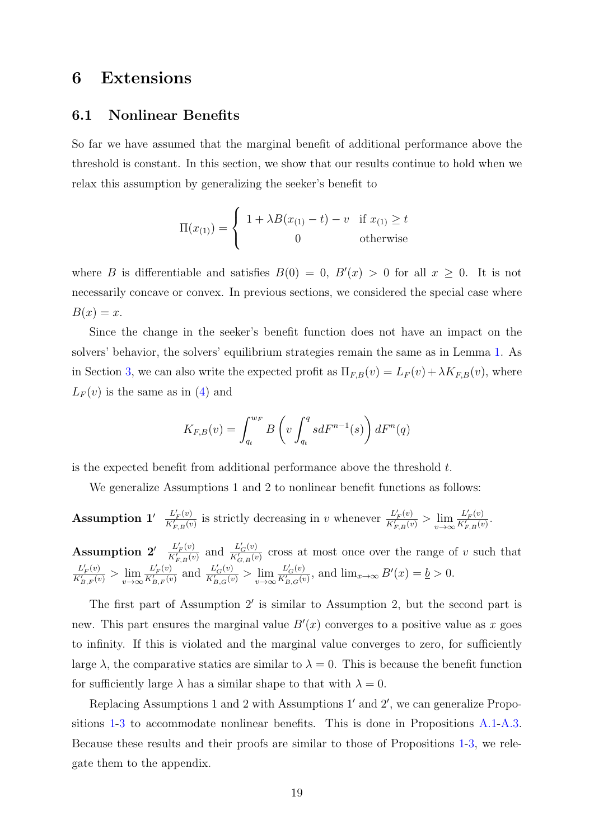### <span id="page-18-0"></span>6 Extensions

#### <span id="page-18-1"></span>6.1 Nonlinear Benefits

So far we have assumed that the marginal benefit of additional performance above the threshold is constant. In this section, we show that our results continue to hold when we relax this assumption by generalizing the seeker's benefit to

$$
\Pi(x_{(1)}) = \begin{cases} 1 + \lambda B(x_{(1)} - t) - v & \text{if } x_{(1)} \ge t \\ 0 & \text{otherwise} \end{cases}
$$

where B is differentiable and satisfies  $B(0) = 0$ ,  $B'(x) > 0$  for all  $x \ge 0$ . It is not necessarily concave or convex. In previous sections, we considered the special case where  $B(x) = x$ .

Since the change in the seeker's benefit function does not have an impact on the solvers' behavior, the solvers' equilibrium strategies remain the same as in Lemma [1.](#page-7-2) As in Section [3,](#page-5-0) we can also write the expected profit as  $\Pi_{F,B}(v) = L_F(v) + \lambda K_{F,B}(v)$ , where  $L_F(v)$  is the same as in [\(4\)](#page-8-0) and

$$
K_{F,B}(v) = \int_{q_t}^{w_F} B\left(v \int_{q_t}^q s dF^{n-1}(s)\right) dF^n(q)
$$

is the expected benefit from additional performance above the threshold  $t$ .

We generalize Assumptions 1 and 2 to nonlinear benefit functions as follows:

**Assumption 1'** 
$$
\frac{L'_F(v)}{K'_{F,B}(v)}
$$
 is strictly decreasing in  $v$  whenever  $\frac{L'_F(v)}{K'_{F,B}(v)} > \lim_{v \to \infty} \frac{L'_F(v)}{K'_{F,B}(v)}$ .

\n**Assumption 2'**  $\frac{L'_F(v)}{K'_{F,B}(v)}$  and  $\frac{L'_G(v)}{K'_{G,B}(v)}$  cross at most once over the range of  $v$  such that

 $L'_F(v)$  $\frac{L'_{F}(v)}{K'_{B,F}(v)} > \lim_{v \to \infty} \frac{L'_{F}(v)}{K'_{B,F}(v)}$  $\frac{L'_{F}(v)}{K'_{B,F}(v)}$  and  $\frac{L'_{G}(v)}{K'_{B,G}(v)}$  $\frac{L_G'(v)}{K_{B,G}'(v)} > \lim_{v \to \infty} \frac{L_G'(v)}{K_{B,G}'(v)}$  $\frac{L_G(v)}{K'_{B,G}(v)}$ , and  $\lim_{x\to\infty} B'(x) = \underline{b} > 0$ .

The first part of Assumption  $2'$  is similar to Assumption 2, but the second part is new. This part ensures the marginal value  $B'(x)$  converges to a positive value as x goes to infinity. If this is violated and the marginal value converges to zero, for sufficiently large  $\lambda$ , the comparative statics are similar to  $\lambda = 0$ . This is because the benefit function for sufficiently large  $\lambda$  has a similar shape to that with  $\lambda = 0$ .

Replacing Assumptions 1 and 2 with Assumptions  $1'$  and  $2'$ , we can generalize Propositions [1-](#page-9-3)[3](#page-17-1) to accommodate nonlinear benefits. This is done in Propositions [A.1-](#page-9-3)[A.3.](#page-17-1) Because these results and their proofs are similar to those of Propositions [1-](#page-9-3)[3,](#page-17-1) we relegate them to the appendix.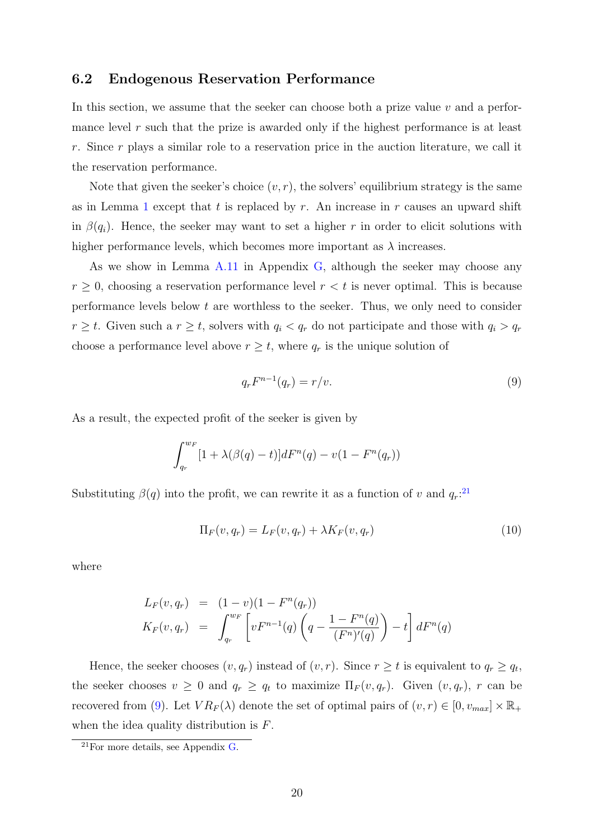#### <span id="page-19-0"></span>6.2 Endogenous Reservation Performance

In this section, we assume that the seeker can choose both a prize value  $v$  and a performance level  $r$  such that the prize is awarded only if the highest performance is at least r. Since r plays a similar role to a reservation price in the auction literature, we call it the reservation performance.

Note that given the seeker's choice  $(v, r)$ , the solvers' equilibrium strategy is the same as in Lemma [1](#page-7-2) except that t is replaced by r. An increase in r causes an upward shift in  $\beta(q_i)$ . Hence, the seeker may want to set a higher r in order to elicit solutions with higher performance levels, which becomes more important as  $\lambda$  increases.

As we show in Lemma [A.11](#page-58-0) in Appendix [G,](#page-58-1) although the seeker may choose any  $r \geq 0$ , choosing a reservation performance level  $r < t$  is never optimal. This is because performance levels below  $t$  are worthless to the seeker. Thus, we only need to consider  $r \geq t$ . Given such a  $r \geq t$ , solvers with  $q_i < q_r$  do not participate and those with  $q_i > q_r$ choose a performance level above  $r \geq t$ , where  $q_r$  is the unique solution of

<span id="page-19-2"></span>
$$
q_r F^{n-1}(q_r) = r/v.
$$
\n<sup>(9)</sup>

As a result, the expected profit of the seeker is given by

$$
\int_{q_r}^{w_F} [1 + \lambda(\beta(q) - t)] dF^n(q) - v(1 - F^n(q_r))
$$

Substituting  $\beta(q)$  into the profit, we can rewrite it as a function of v and  $q_r$ <sup>[21](#page-19-1)</sup>

$$
\Pi_F(v, q_r) = L_F(v, q_r) + \lambda K_F(v, q_r)
$$
\n(10)

where

$$
L_F(v, q_r) = (1 - v)(1 - F^n(q_r))
$$
  
\n
$$
K_F(v, q_r) = \int_{q_r}^{w_F} \left[ v F^{n-1}(q) \left( q - \frac{1 - F^n(q)}{(F^n)'(q)} \right) - t \right] dF^n(q)
$$

Hence, the seeker chooses  $(v, q_r)$  instead of  $(v, r)$ . Since  $r \ge t$  is equivalent to  $q_r \ge q_t$ , the seeker chooses  $v \geq 0$  and  $q_r \geq q_t$  to maximize  $\Pi_F(v,q_r)$ . Given  $(v,q_r)$ , r can be recovered from [\(9\)](#page-19-2). Let  $VR_F(\lambda)$  denote the set of optimal pairs of  $(v, r) \in [0, v_{max}] \times \mathbb{R}_+$ when the idea quality distribution is  $F$ .

<span id="page-19-1"></span> $^{21}$ For more details, see Appendix [G.](#page-58-1)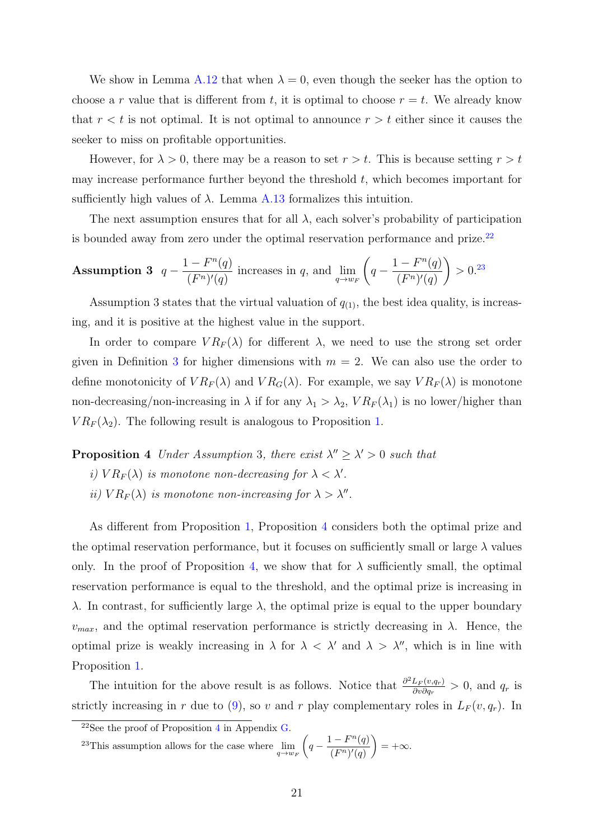We show in Lemma [A.12](#page-59-0) that when  $\lambda = 0$ , even though the seeker has the option to choose a r value that is different from t, it is optimal to choose  $r = t$ . We already know that  $r < t$  is not optimal. It is not optimal to announce  $r > t$  either since it causes the seeker to miss on profitable opportunities.

However, for  $\lambda > 0$ , there may be a reason to set  $r > t$ . This is because setting  $r > t$ may increase performance further beyond the threshold  $t$ , which becomes important for sufficiently high values of  $\lambda$ . Lemma [A.13](#page-60-0) formalizes this intuition.

The next assumption ensures that for all  $\lambda$ , each solver's probability of participation is bounded away from zero under the optimal reservation performance and prize.<sup>[22](#page-20-0)</sup>

**Assumption 3** 
$$
q - \frac{1 - F^n(q)}{(F^n)'(q)}
$$
 increases in q, and  $\lim_{q \to w_F} \left( q - \frac{1 - F^n(q)}{(F^n)'(q)} \right) > 0$ .<sup>23</sup>

Assumption 3 states that the virtual valuation of  $q_{(1)}$ , the best idea quality, is increasing, and it is positive at the highest value in the support.

In order to compare  $VR_F(\lambda)$  for different  $\lambda$ , we need to use the strong set order given in Definition [3](#page-17-2) for higher dimensions with  $m = 2$ . We can also use the order to define monotonicity of  $VR_F(\lambda)$  and  $VR_G(\lambda)$ . For example, we say  $VR_F(\lambda)$  is monotone non-decreasing/non-increasing in  $\lambda$  if for any  $\lambda_1 > \lambda_2$ ,  $VR_F(\lambda_1)$  is no lower/higher than  $VR_F(\lambda_2)$ . The following result is analogous to Proposition [1.](#page-9-3)

<span id="page-20-2"></span>**Proposition 4** Under Assumption 3, there exist  $\lambda'' \geq \lambda' > 0$  such that

- i)  $VR_F(\lambda)$  is monotone non-decreasing for  $\lambda < \lambda'$ .
- ii)  $VR_F(\lambda)$  is monotone non-increasing for  $\lambda > \lambda''$ .

As different from Proposition [1,](#page-9-3) Proposition [4](#page-20-2) considers both the optimal prize and the optimal reservation performance, but it focuses on sufficiently small or large  $\lambda$  values only. In the proof of Proposition [4,](#page-20-2) we show that for  $\lambda$  sufficiently small, the optimal reservation performance is equal to the threshold, and the optimal prize is increasing in λ. In contrast, for sufficiently large λ, the optimal prize is equal to the upper boundary  $v_{max}$ , and the optimal reservation performance is strictly decreasing in  $\lambda$ . Hence, the optimal prize is weakly increasing in  $\lambda$  for  $\lambda < \lambda'$  and  $\lambda > \lambda''$ , which is in line with Proposition [1.](#page-9-3)

The intuition for the above result is as follows. Notice that  $\frac{\partial^2 L_F(v,q_r)}{\partial v \partial q}$  $\frac{L_F(v,q_r)}{\partial v \partial q_r} > 0$ , and  $q_r$  is strictly increasing in r due to [\(9\)](#page-19-2), so v and r play complementary roles in  $L_F(v, q_r)$ . In

<span id="page-20-1"></span><sup>23</sup>This assumption allows for the case where  $\lim_{q \to w_F} \left( q - \frac{1 - F^n(q)}{(F^n)'(q)} \right)$  $(F^n)'(q)$  $= +\infty$ .

<span id="page-20-0"></span><sup>22</sup>See the proof of Proposition [4](#page-20-2) in Appendix [G.](#page-58-1)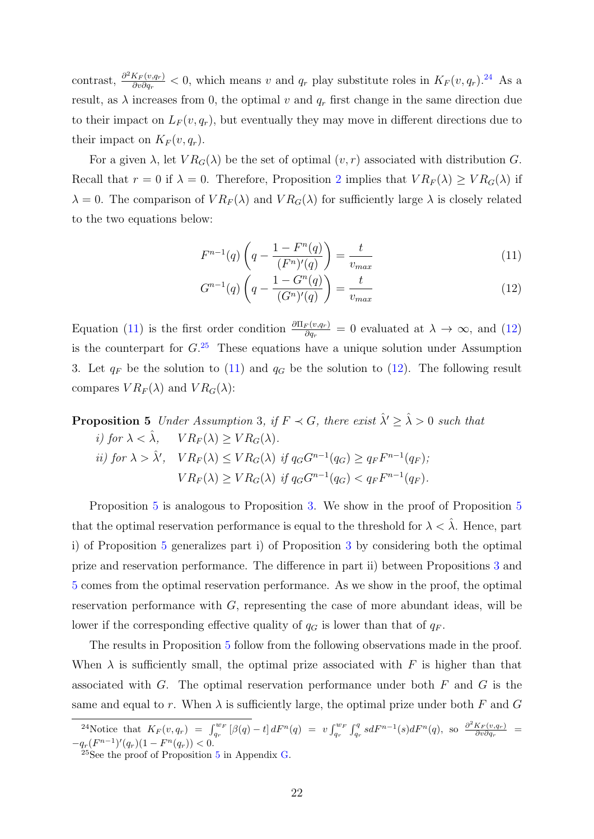contrast,  $\frac{\partial^2 K_F(v,q_r)}{\partial v \partial q}$  $\frac{K_F(v,q_r)}{\partial v \partial q_r}$  < 0, which means v and  $q_r$  play substitute roles in  $K_F(v,q_r)$ .<sup>[24](#page-21-0)</sup> As a result, as  $\lambda$  increases from 0, the optimal v and  $q_r$  first change in the same direction due to their impact on  $L_F(v, q_r)$ , but eventually they may move in different directions due to their impact on  $K_F(v, q_r)$ .

For a given  $\lambda$ , let  $VR_G(\lambda)$  be the set of optimal  $(v, r)$  associated with distribution G. Recall that  $r = 0$  if  $\lambda = 0$ . Therefore, Proposition [2](#page-13-1) implies that  $VR_F(\lambda) \geq VR_G(\lambda)$  if  $\lambda = 0$ . The comparison of  $VR_F(\lambda)$  and  $VR_G(\lambda)$  for sufficiently large  $\lambda$  is closely related to the two equations below:

<span id="page-21-1"></span>
$$
F^{n-1}(q)\left(q - \frac{1 - F^n(q)}{(F^n)'(q)}\right) = \frac{t}{v_{max}}\tag{11}
$$

$$
G^{n-1}(q)\left(q - \frac{1 - G^n(q)}{(G^n)'(q)}\right) = \frac{t}{v_{max}}\tag{12}
$$

Equation [\(11\)](#page-21-1) is the first order condition  $\frac{\partial \Pi_F(v,q_r)}{\partial q_r} = 0$  evaluated at  $\lambda \to \infty$ , and [\(12\)](#page-21-1) is the counterpart for  $G<sup>25</sup>$  $G<sup>25</sup>$  $G<sup>25</sup>$ . These equations have a unique solution under Assumption 3. Let  $q_F$  be the solution to [\(11\)](#page-21-1) and  $q_G$  be the solution to [\(12\)](#page-21-1). The following result compares  $VR_F(\lambda)$  and  $VR_G(\lambda)$ :

<span id="page-21-3"></span>**Proposition 5** Under Assumption 3, if  $F \prec G$ , there exist  $\hat{\lambda}' \geq \hat{\lambda} > 0$  such that i) for  $\lambda < \lambda$ ,  $VR_F(\lambda) \geq VR_G(\lambda)$ . ii) for  $\lambda > \hat{\lambda}'$ ,  $VR_F(\lambda) \leq VR_G(\lambda)$  if  $q_GG^{n-1}(q_G) \geq q_FF^{n-1}(q_F)$ ;  $VR_F(\lambda) \geq VR_G(\lambda)$  if  $q_GG^{n-1}(q_G) < q_FF^{n-1}(q_F)$ .

Proposition [5](#page-21-3) is analogous to Proposition [3.](#page-17-1) We show in the proof of Proposition [5](#page-21-3) that the optimal reservation performance is equal to the threshold for  $\lambda < \hat{\lambda}$ . Hence, part i) of Proposition [5](#page-21-3) generalizes part i) of Proposition [3](#page-17-1) by considering both the optimal prize and reservation performance. The difference in part ii) between Propositions [3](#page-17-1) and [5](#page-21-3) comes from the optimal reservation performance. As we show in the proof, the optimal reservation performance with  $G$ , representing the case of more abundant ideas, will be lower if the corresponding effective quality of  $q_G$  is lower than that of  $q_F$ .

The results in Proposition [5](#page-21-3) follow from the following observations made in the proof. When  $\lambda$  is sufficiently small, the optimal prize associated with F is higher than that associated with G. The optimal reservation performance under both  $F$  and  $G$  is the same and equal to r. When  $\lambda$  is sufficiently large, the optimal prize under both F and G

<span id="page-21-0"></span><sup>&</sup>lt;sup>24</sup>Notice that  $K_F(v,q_r) = \int_{q_r}^{w_F} [\beta(q) - t] dF^n(q) = v \int_{q_r}^{w_F} \int_{q_r}^q s dF^{n-1}(s) dF^n(q)$ , so  $\frac{\partial^2 K_F(v,q_r)}{\partial v \partial q_r}$  $\frac{\partial F(v,q_r)}{\partial v \partial q_r} =$  $-q_r(F^{n-1})'(q_r)(1 - F^n(q_r)) < 0.$ 

<span id="page-21-2"></span><sup>&</sup>lt;sup>2[5](#page-21-3)</sup>See the proof of Proposition  $5$  in Appendix  $G$ .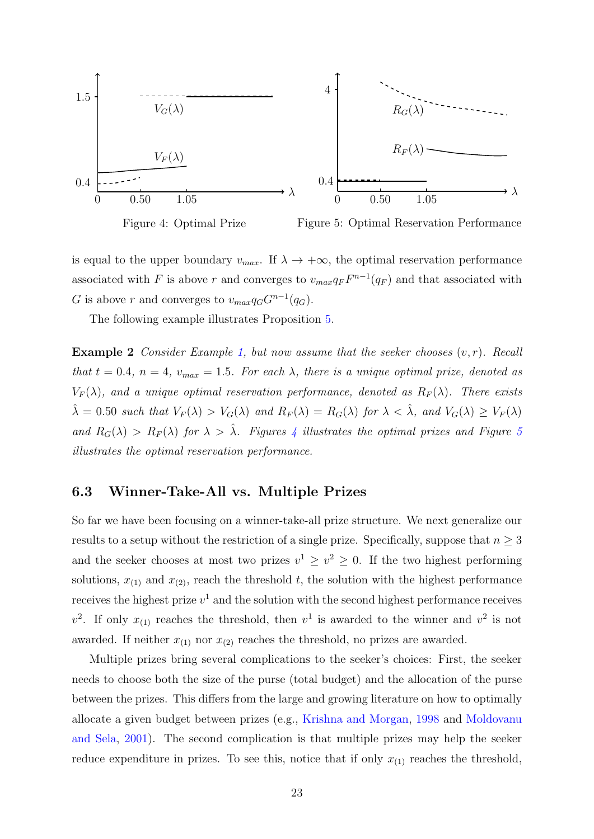<span id="page-22-1"></span>

Figure 4: Optimal Prize

Figure 5: Optimal Reservation Performance

is equal to the upper boundary  $v_{max}$ . If  $\lambda \to +\infty$ , the optimal reservation performance associated with F is above r and converges to  $v_{max}q_F F^{n-1}(q_F)$  and that associated with G is above r and converges to  $v_{max}q_GG^{n-1}(q_G)$ .

The following example illustrates Proposition [5.](#page-21-3)

**Example 2** Consider Example [1,](#page-14-0) but now assume that the seeker chooses  $(v, r)$ . Recall that  $t = 0.4$ ,  $n = 4$ ,  $v_{max} = 1.5$ . For each  $\lambda$ , there is a unique optimal prize, denoted as  $V_F(\lambda)$ , and a unique optimal reservation performance, denoted as  $R_F(\lambda)$ . There exists  $\hat{\lambda} = 0.50$  such that  $V_F(\lambda) > V_G(\lambda)$  and  $R_F(\lambda) = R_G(\lambda)$  for  $\lambda < \hat{\lambda}$ , and  $V_G(\lambda) \ge V_F(\lambda)$ and  $R_G(\lambda) > R_F(\lambda)$  for  $\lambda > \lambda$ . Figures [4](#page-22-1) illustrates the optimal prizes and Figure [5](#page-22-1) illustrates the optimal reservation performance.

#### <span id="page-22-0"></span>6.3 Winner-Take-All vs. Multiple Prizes

So far we have been focusing on a winner-take-all prize structure. We next generalize our results to a setup without the restriction of a single prize. Specifically, suppose that  $n \geq 3$ and the seeker chooses at most two prizes  $v^1 \ge v^2 \ge 0$ . If the two highest performing solutions,  $x_{(1)}$  and  $x_{(2)}$ , reach the threshold t, the solution with the highest performance receives the highest prize  $v^1$  and the solution with the second highest performance receives  $v^2$ . If only  $x_{(1)}$  reaches the threshold, then  $v^1$  is awarded to the winner and  $v^2$  is not awarded. If neither  $x_{(1)}$  nor  $x_{(2)}$  reaches the threshold, no prizes are awarded.

Multiple prizes bring several complications to the seeker's choices: First, the seeker needs to choose both the size of the purse (total budget) and the allocation of the purse between the prizes. This differs from the large and growing literature on how to optimally allocate a given budget between prizes (e.g., [Krishna and Morgan,](#page-26-12) [1998](#page-26-12) and [Moldovanu](#page-27-0) [and Sela,](#page-27-0) [2001\)](#page-27-0). The second complication is that multiple prizes may help the seeker reduce expenditure in prizes. To see this, notice that if only  $x_{(1)}$  reaches the threshold,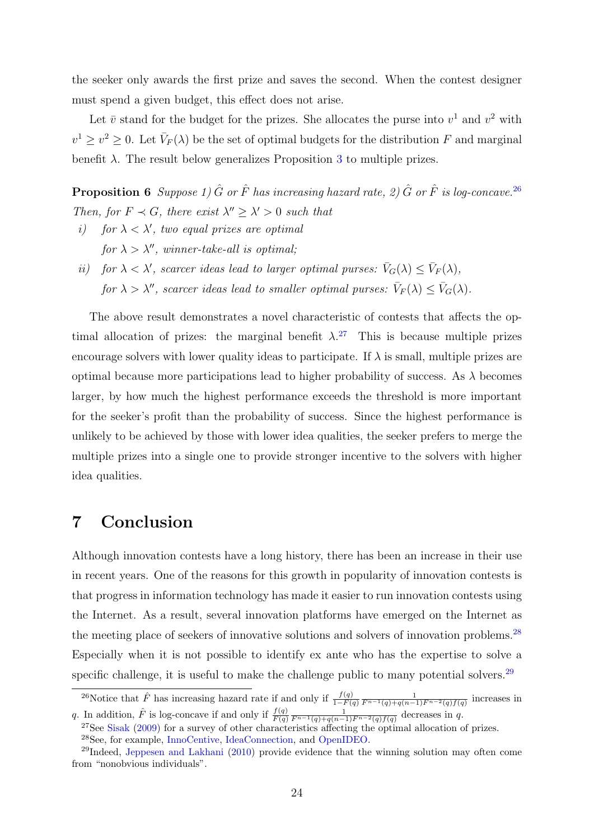the seeker only awards the first prize and saves the second. When the contest designer must spend a given budget, this effect does not arise.

Let  $\bar{v}$  stand for the budget for the prizes. She allocates the purse into  $v^1$  and  $v^2$  with  $v^1 \ge v^2 \ge 0$ . Let  $\bar{V}_F(\lambda)$  be the set of optimal budgets for the distribution F and marginal benefit  $\lambda$ . The result below generalizes Proposition [3](#page-17-1) to multiple prizes.

**Proposition 6** Suppose 1)  $\hat{G}$  or  $\hat{F}$  has increasing hazard rate, 2)  $\hat{G}$  or  $\hat{F}$  is log-concave.<sup>[26](#page-23-1)</sup> Then, for  $F \prec G$ , there exist  $\lambda'' \geq \lambda' > 0$  such that

- i) for  $\lambda < \lambda'$ , two equal prizes are optimal for  $\lambda > \lambda''$ , winner-take-all is optimal;
- ii) for  $\lambda < \lambda'$ , scarcer ideas lead to larger optimal purses:  $\bar{V}_G(\lambda) \leq \bar{V}_F(\lambda)$ , for  $\lambda > \lambda''$ , scarcer ideas lead to smaller optimal purses:  $\bar{V}_F(\lambda) \leq \bar{V}_G(\lambda)$ .

The above result demonstrates a novel characteristic of contests that affects the optimal allocation of prizes: the marginal benefit  $\lambda$ <sup>[27](#page-23-2)</sup> This is because multiple prizes encourage solvers with lower quality ideas to participate. If  $\lambda$  is small, multiple prizes are optimal because more participations lead to higher probability of success. As  $\lambda$  becomes larger, by how much the highest performance exceeds the threshold is more important for the seeker's profit than the probability of success. Since the highest performance is unlikely to be achieved by those with lower idea qualities, the seeker prefers to merge the multiple prizes into a single one to provide stronger incentive to the solvers with higher idea qualities.

### <span id="page-23-0"></span>7 Conclusion

Although innovation contests have a long history, there has been an increase in their use in recent years. One of the reasons for this growth in popularity of innovation contests is that progress in information technology has made it easier to run innovation contests using the Internet. As a result, several innovation platforms have emerged on the Internet as the meeting place of seekers of innovative solutions and solvers of innovation problems.<sup>[28](#page-23-3)</sup> Especially when it is not possible to identify ex ante who has the expertise to solve a specific challenge, it is useful to make the challenge public to many potential solvers.<sup>[29](#page-23-4)</sup>

<span id="page-23-1"></span><sup>&</sup>lt;sup>26</sup>Notice that  $\hat{F}$  has increasing hazard rate if and only if  $\frac{f(q)}{1-F(q)} \frac{1}{F^{n-1}(q)+q(n-1)F^{n-2}(q)f(q)}$  increases in q. In addition,  $\hat{F}$  is log-concave if and only if  $\frac{f(q)}{F(q)} \frac{1}{F^{n-1}(q)+q(n-1)F^{n-2}(q)f(q)}$  decreases in q.

<span id="page-23-3"></span><span id="page-23-2"></span> $^{27}$ See [Sisak](#page-27-9) [\(2009\)](#page-27-9) for a survey of other characteristics affecting the optimal allocation of prizes. <sup>28</sup>See, for example, [InnoCentive,](http://www.innocentive.com) [IdeaConnection,](http://www.ideaconnection.com) and [OpenIDEO.](https://openideo.com)

<span id="page-23-4"></span> $^{29}$ Indeed, [Jeppesen and Lakhani](#page-26-13) [\(2010\)](#page-26-13) provide evidence that the winning solution may often come from "nonobvious individuals".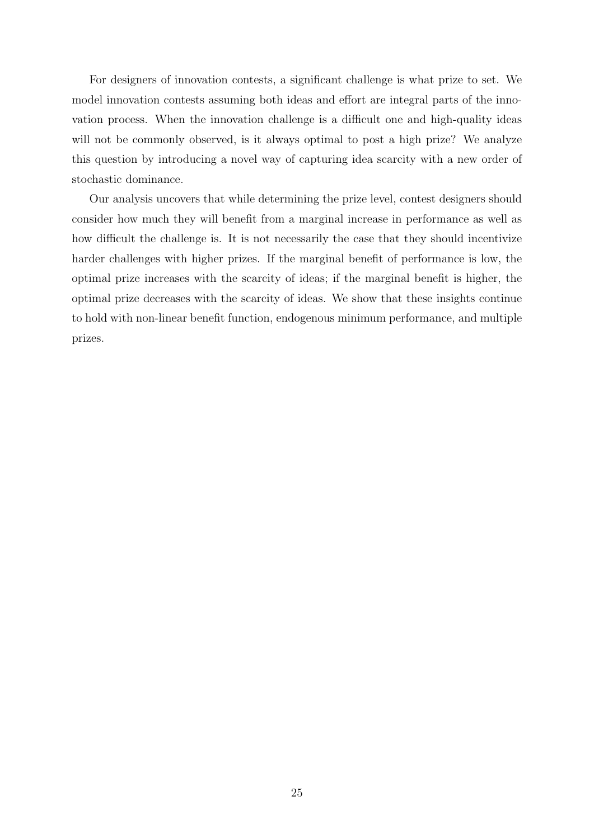For designers of innovation contests, a significant challenge is what prize to set. We model innovation contests assuming both ideas and effort are integral parts of the innovation process. When the innovation challenge is a difficult one and high-quality ideas will not be commonly observed, is it always optimal to post a high prize? We analyze this question by introducing a novel way of capturing idea scarcity with a new order of stochastic dominance.

Our analysis uncovers that while determining the prize level, contest designers should consider how much they will benefit from a marginal increase in performance as well as how difficult the challenge is. It is not necessarily the case that they should incentivize harder challenges with higher prizes. If the marginal benefit of performance is low, the optimal prize increases with the scarcity of ideas; if the marginal benefit is higher, the optimal prize decreases with the scarcity of ideas. We show that these insights continue to hold with non-linear benefit function, endogenous minimum performance, and multiple prizes.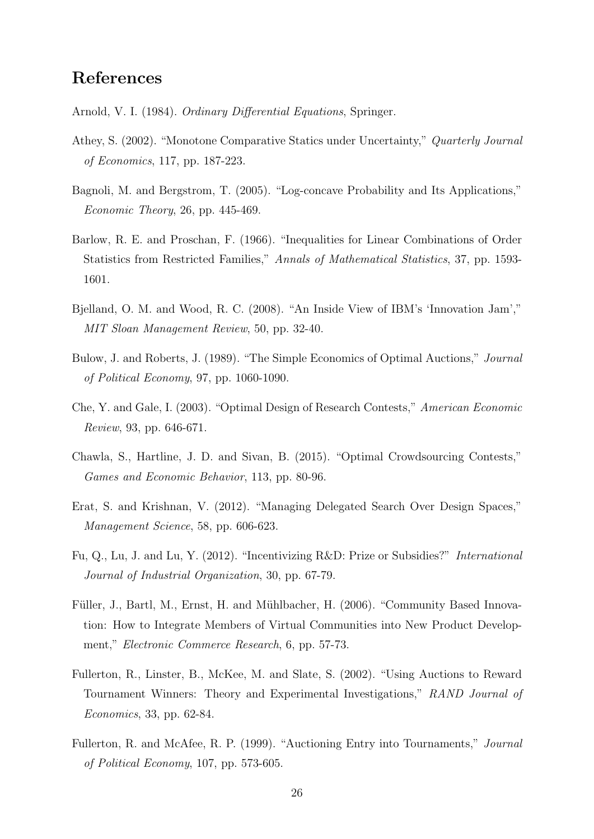### References

<span id="page-25-12"></span>Arnold, V. I. (1984). Ordinary Differential Equations, Springer.

- <span id="page-25-7"></span>Athey, S. (2002). "Monotone Comparative Statics under Uncertainty," Quarterly Journal of Economics, 117, pp. 187-223.
- <span id="page-25-11"></span>Bagnoli, M. and Bergstrom, T. (2005). "Log-concave Probability and Its Applications," Economic Theory, 26, pp. 445-469.
- <span id="page-25-9"></span>Barlow, R. E. and Proschan, F. (1966). "Inequalities for Linear Combinations of Order Statistics from Restricted Families," Annals of Mathematical Statistics, 37, pp. 1593- 1601.
- <span id="page-25-1"></span>Bjelland, O. M. and Wood, R. C. (2008). "An Inside View of IBM's 'Innovation Jam'," MIT Sloan Management Review, 50, pp. 32-40.
- <span id="page-25-10"></span>Bulow, J. and Roberts, J. (1989). "The Simple Economics of Optimal Auctions," Journal of Political Economy, 97, pp. 1060-1090.
- <span id="page-25-5"></span>Che, Y. and Gale, I. (2003). "Optimal Design of Research Contests," American Economic Review, 93, pp. 646-671.
- <span id="page-25-2"></span>Chawla, S., Hartline, J. D. and Sivan, B. (2015). "Optimal Crowdsourcing Contests," Games and Economic Behavior, 113, pp. 80-96.
- <span id="page-25-6"></span>Erat, S. and Krishnan, V. (2012). "Managing Delegated Search Over Design Spaces," Management Science, 58, pp. 606-623.
- <span id="page-25-8"></span>Fu, Q., Lu, J. and Lu, Y. (2012). "Incentivizing R&D: Prize or Subsidies?" International Journal of Industrial Organization, 30, pp. 67-79.
- <span id="page-25-0"></span>Füller, J., Bartl, M., Ernst, H. and Mühlbacher, H. (2006). "Community Based Innovation: How to Integrate Members of Virtual Communities into New Product Development," *Electronic Commerce Research*, 6, pp. 57-73.
- <span id="page-25-4"></span>Fullerton, R., Linster, B., McKee, M. and Slate, S. (2002). "Using Auctions to Reward Tournament Winners: Theory and Experimental Investigations," RAND Journal of Economics, 33, pp. 62-84.
- <span id="page-25-3"></span>Fullerton, R. and McAfee, R. P. (1999). "Auctioning Entry into Tournaments," Journal of Political Economy, 107, pp. 573-605.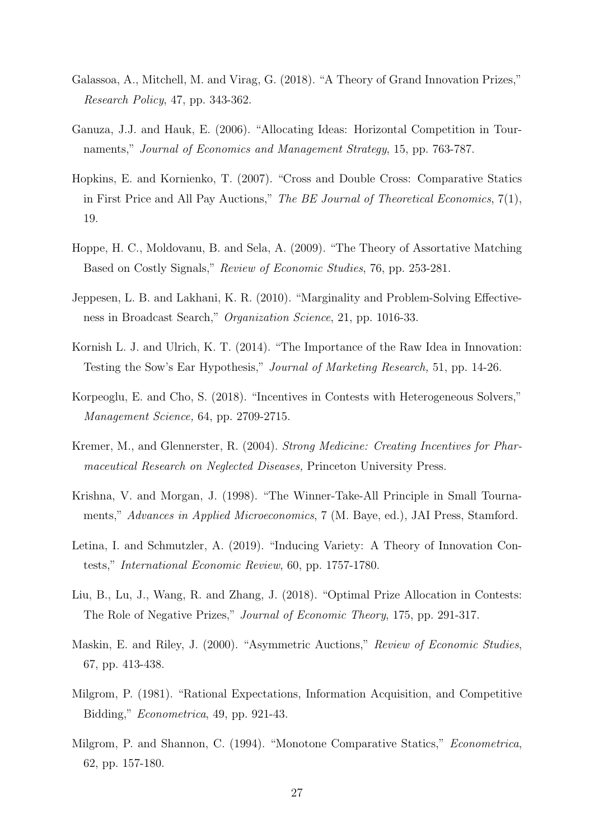- <span id="page-26-8"></span>Galassoa, A., Mitchell, M. and Virag, G. (2018). "A Theory of Grand Innovation Prizes," Research Policy, 47, pp. 343-362.
- <span id="page-26-2"></span>Ganuza, J.J. and Hauk, E. (2006). "Allocating Ideas: Horizontal Competition in Tournaments," Journal of Economics and Management Strategy, 15, pp. 763-787.
- <span id="page-26-6"></span>Hopkins, E. and Kornienko, T. (2007). "Cross and Double Cross: Comparative Statics in First Price and All Pay Auctions," The BE Journal of Theoretical Economics, 7(1), 19.
- <span id="page-26-7"></span>Hoppe, H. C., Moldovanu, B. and Sela, A. (2009). "The Theory of Assortative Matching Based on Costly Signals," Review of Economic Studies, 76, pp. 253-281.
- <span id="page-26-13"></span>Jeppesen, L. B. and Lakhani, K. R. (2010). "Marginality and Problem-Solving Effectiveness in Broadcast Search," Organization Science, 21, pp. 1016-33.
- <span id="page-26-9"></span>Kornish L. J. and Ulrich, K. T. (2014). "The Importance of the Raw Idea in Innovation: Testing the Sow's Ear Hypothesis," Journal of Marketing Research, 51, pp. 14-26.
- <span id="page-26-1"></span>Korpeoglu, E. and Cho, S. (2018). "Incentives in Contests with Heterogeneous Solvers," Management Science, 64, pp. 2709-2715.
- <span id="page-26-10"></span>Kremer, M., and Glennerster, R. (2004). Strong Medicine: Creating Incentives for Pharmaceutical Research on Neglected Diseases, Princeton University Press.
- <span id="page-26-12"></span>Krishna, V. and Morgan, J. (1998). "The Winner-Take-All Principle in Small Tournaments," Advances in Applied Microeconomics, 7 (M. Baye, ed.), JAI Press, Stamford.
- <span id="page-26-3"></span>Letina, I. and Schmutzler, A. (2019). "Inducing Variety: A Theory of Innovation Contests," International Economic Review, 60, pp. 1757-1780.
- <span id="page-26-0"></span>Liu, B., Lu, J., Wang, R. and Zhang, J. (2018). "Optimal Prize Allocation in Contests: The Role of Negative Prizes," Journal of Economic Theory, 175, pp. 291-317.
- <span id="page-26-5"></span>Maskin, E. and Riley, J. (2000). "Asymmetric Auctions," Review of Economic Studies, 67, pp. 413-438.
- <span id="page-26-11"></span>Milgrom, P. (1981). "Rational Expectations, Information Acquisition, and Competitive Bidding," Econometrica, 49, pp. 921-43.
- <span id="page-26-4"></span>Milgrom, P. and Shannon, C. (1994). "Monotone Comparative Statics," Econometrica, 62, pp. 157-180.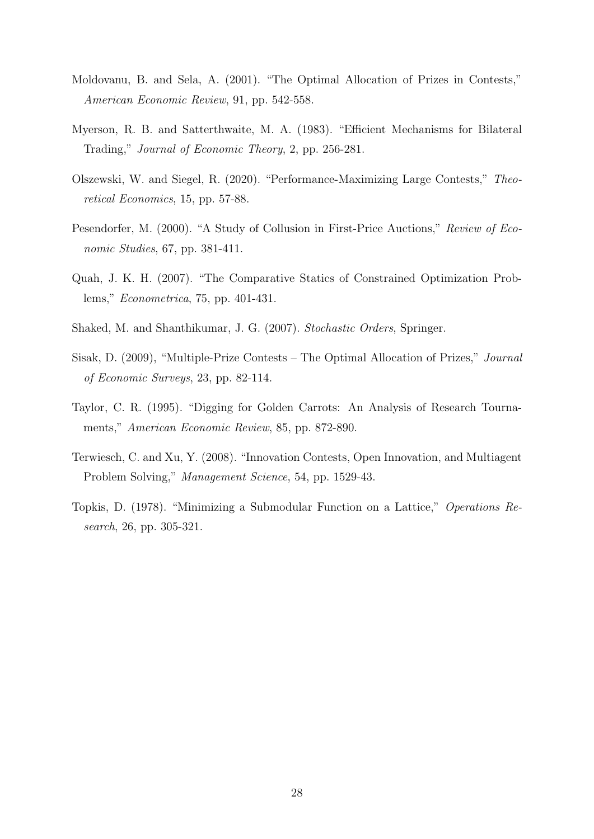- <span id="page-27-0"></span>Moldovanu, B. and Sela, A. (2001). "The Optimal Allocation of Prizes in Contests," American Economic Review, 91, pp. 542-558.
- <span id="page-27-7"></span>Myerson, R. B. and Satterthwaite, M. A. (1983). "Efficient Mechanisms for Bilateral Trading," Journal of Economic Theory, 2, pp. 256-281.
- <span id="page-27-1"></span>Olszewski, W. and Siegel, R. (2020). "Performance-Maximizing Large Contests," Theoretical Economics, 15, pp. 57-88.
- <span id="page-27-6"></span>Pesendorfer, M. (2000). "A Study of Collusion in First-Price Auctions," Review of Economic Studies, 67, pp. 381-411.
- <span id="page-27-5"></span>Quah, J. K. H. (2007). "The Comparative Statics of Constrained Optimization Problems," Econometrica, 75, pp. 401-431.
- <span id="page-27-8"></span>Shaked, M. and Shanthikumar, J. G. (2007). Stochastic Orders, Springer.
- <span id="page-27-9"></span>Sisak, D. (2009), "Multiple-Prize Contests – The Optimal Allocation of Prizes," Journal of Economic Surveys, 23, pp. 82-114.
- <span id="page-27-2"></span>Taylor, C. R. (1995). "Digging for Golden Carrots: An Analysis of Research Tournaments," American Economic Review, 85, pp. 872-890.
- <span id="page-27-3"></span>Terwiesch, C. and Xu, Y. (2008). "Innovation Contests, Open Innovation, and Multiagent Problem Solving," Management Science, 54, pp. 1529-43.
- <span id="page-27-4"></span>Topkis, D. (1978). "Minimizing a Submodular Function on a Lattice," Operations Research, 26, pp. 305-321.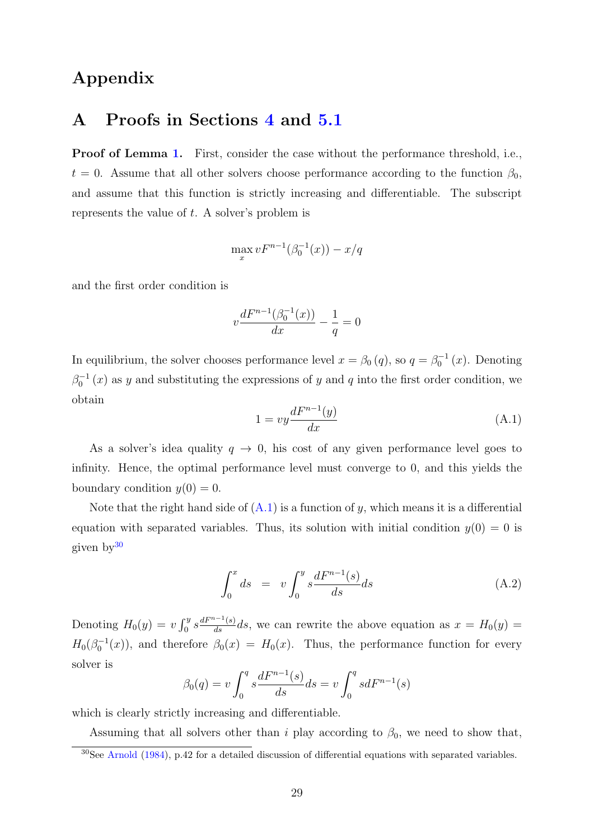## Appendix

### A Proofs in Sections [4](#page-7-0) and [5.1](#page-10-2)

Proof of Lemma [1.](#page-7-2) First, consider the case without the performance threshold, i.e.,  $t = 0$ . Assume that all other solvers choose performance according to the function  $\beta_0$ , and assume that this function is strictly increasing and differentiable. The subscript represents the value of t. A solver's problem is

$$
\max_{x} v F^{n-1}(\beta_0^{-1}(x)) - x/q
$$

and the first order condition is

$$
v\frac{dF^{n-1}(\beta_0^{-1}(x))}{dx} - \frac{1}{q} = 0
$$

In equilibrium, the solver chooses performance level  $x = \beta_0(q)$ , so  $q = \beta_0^{-1}(x)$ . Denoting  $\beta_0^{-1}(x)$  as y and substituting the expressions of y and q into the first order condition, we obtain

<span id="page-28-0"></span>
$$
1 = vy \frac{dF^{n-1}(y)}{dx} \tag{A.1}
$$

As a solver's idea quality  $q \to 0$ , his cost of any given performance level goes to infinity. Hence, the optimal performance level must converge to 0, and this yields the boundary condition  $y(0) = 0$ .

Note that the right hand side of  $(A.1)$  is a function of y, which means it is a differential equation with separated variables. Thus, its solution with initial condition  $y(0) = 0$  is given by[30](#page-28-1)

<span id="page-28-2"></span>
$$
\int_0^x ds = v \int_0^y s \frac{dF^{n-1}(s)}{ds} ds \tag{A.2}
$$

Denoting  $H_0(y) = v \int_0^y s \frac{dF^{n-1}(s)}{ds} ds$ , we can rewrite the above equation as  $x = H_0(y)$  $H_0(\beta_0^{-1}(x))$ , and therefore  $\beta_0(x) = H_0(x)$ . Thus, the performance function for every solver is

$$
\beta_0(q) = v \int_0^q s \frac{dF^{n-1}(s)}{ds} ds = v \int_0^q s dF^{n-1}(s)
$$

which is clearly strictly increasing and differentiable.

Assuming that all solvers other than i play according to  $\beta_0$ , we need to show that,

<span id="page-28-1"></span> $30$ See [Arnold](#page-25-12) [\(1984\)](#page-25-12), p.42 for a detailed discussion of differential equations with separated variables.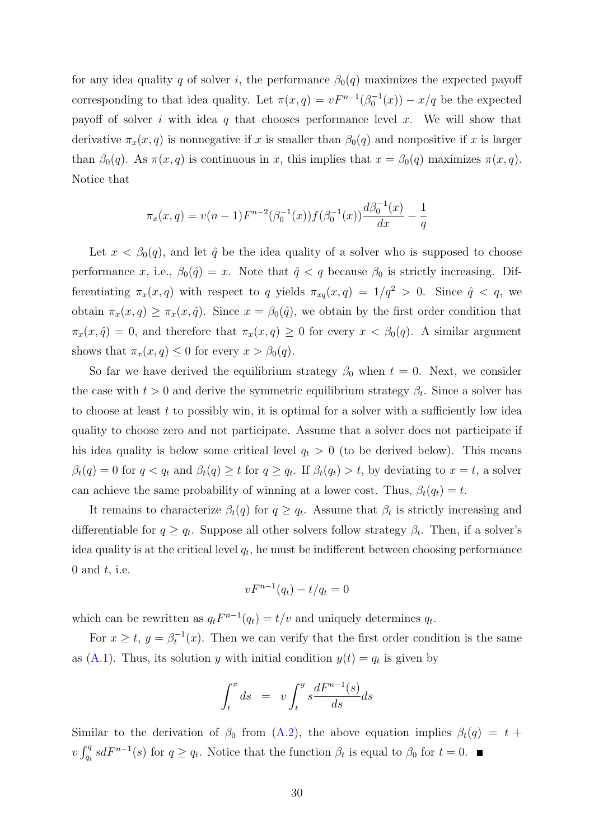for any idea quality q of solver i, the performance  $\beta_0(q)$  maximizes the expected payoff corresponding to that idea quality. Let  $\pi(x,q) = vF^{n-1}(\beta_0^{-1}(x)) - x/q$  be the expected payoff of solver i with idea q that chooses performance level x. We will show that derivative  $\pi_x(x, q)$  is nonnegative if x is smaller than  $\beta_0(q)$  and nonpositive if x is larger than  $\beta_0(q)$ . As  $\pi(x, q)$  is continuous in x, this implies that  $x = \beta_0(q)$  maximizes  $\pi(x, q)$ . Notice that

$$
\pi_x(x,q) = v(n-1)F^{n-2}(\beta_0^{-1}(x))f(\beta_0^{-1}(x))\frac{d\beta_0^{-1}(x)}{dx} - \frac{1}{q}
$$

Let  $x < \beta_0(q)$ , and let  $\hat{q}$  be the idea quality of a solver who is supposed to choose performance x, i.e.,  $\beta_0(\hat{q}) = x$ . Note that  $\hat{q} < q$  because  $\beta_0$  is strictly increasing. Differentiating  $\pi_x(x, q)$  with respect to q yields  $\pi_{xq}(x, q) = 1/q^2 > 0$ . Since  $\hat{q} < q$ , we obtain  $\pi_x(x, q) \geq \pi_x(x, \hat{q})$ . Since  $x = \beta_0(\hat{q})$ , we obtain by the first order condition that  $\pi_x(x, \hat{q}) = 0$ , and therefore that  $\pi_x(x, q) \geq 0$  for every  $x < \beta_0(q)$ . A similar argument shows that  $\pi_x(x, q) \leq 0$  for every  $x > \beta_0(q)$ .

So far we have derived the equilibrium strategy  $\beta_0$  when  $t = 0$ . Next, we consider the case with  $t > 0$  and derive the symmetric equilibrium strategy  $\beta_t$ . Since a solver has to choose at least  $t$  to possibly win, it is optimal for a solver with a sufficiently low idea quality to choose zero and not participate. Assume that a solver does not participate if his idea quality is below some critical level  $q_t > 0$  (to be derived below). This means  $\beta_t(q) = 0$  for  $q < q_t$  and  $\beta_t(q) \geq t$  for  $q \geq q_t$ . If  $\beta_t(q_t) > t$ , by deviating to  $x = t$ , a solver can achieve the same probability of winning at a lower cost. Thus,  $\beta_t(q_t) = t$ .

It remains to characterize  $\beta_t(q)$  for  $q \ge q_t$ . Assume that  $\beta_t$  is strictly increasing and differentiable for  $q \ge q_t$ . Suppose all other solvers follow strategy  $\beta_t$ . Then, if a solver's idea quality is at the critical level  $q_t$ , he must be indifferent between choosing performance 0 and  $t$ , i.e.

$$
vF^{n-1}(q_t) - t/q_t = 0
$$

which can be rewritten as  $q_t F^{n-1}(q_t) = t/v$  and uniquely determines  $q_t$ .

For  $x \geq t$ ,  $y = \beta_t^{-1}(x)$ . Then we can verify that the first order condition is the same as  $(A.1)$ . Thus, its solution y with initial condition  $y(t) = q_t$  is given by

$$
\int_{t}^{x} ds = v \int_{t}^{y} s \frac{dF^{n-1}(s)}{ds} ds
$$

Similar to the derivation of  $\beta_0$  from [\(A.2\)](#page-28-2), the above equation implies  $\beta_t(q) = t +$  $v \int_{q_t}^q s dF^{n-1}(s)$  for  $q \ge q_t$ . Notice that the function  $\beta_t$  is equal to  $\beta_0$  for  $t = 0$ .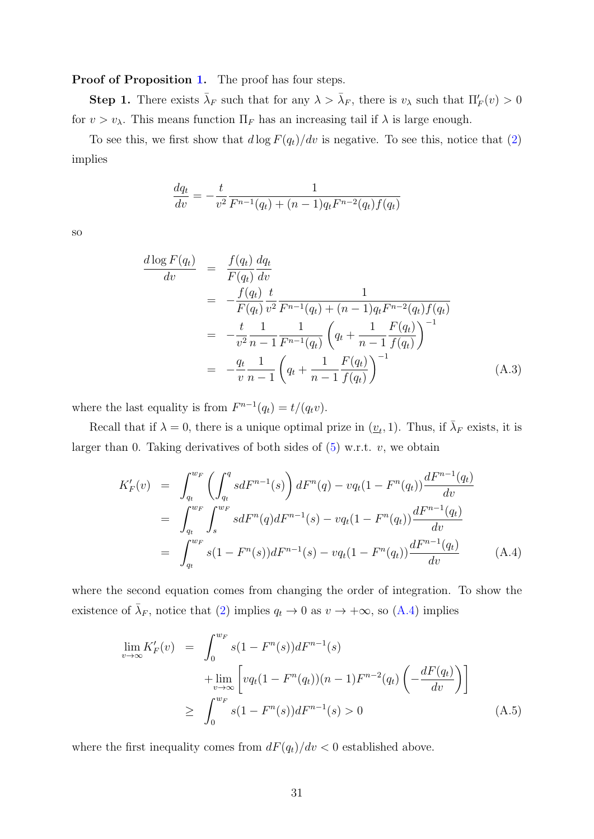Proof of Proposition [1.](#page-9-3) The proof has four steps.

**Step 1.** There exists  $\bar{\lambda}_F$  such that for any  $\lambda > \bar{\lambda}_F$ , there is  $v_\lambda$  such that  $\Pi'_F(v) > 0$ for  $v > v_\lambda$ . This means function  $\Pi_F$  has an increasing tail if  $\lambda$  is large enough.

To see this, we first show that  $d \log F(q_t)/dv$  is negative. To see this, notice that [\(2\)](#page-8-1) implies

$$
\frac{dq_t}{dv} = -\frac{t}{v^2} \frac{1}{F^{n-1}(q_t) + (n-1)q_t F^{n-2}(q_t) f(q_t)}
$$

so

<span id="page-30-1"></span>
$$
\frac{d \log F(q_t)}{dv} = \frac{f(q_t) dq_t}{F(q_t) dv}
$$
\n
$$
= -\frac{f(q_t)}{F(q_t) v^2} \frac{t}{F^{n-1}(q_t) + (n-1)q_t F^{n-2}(q_t) f(q_t)}
$$
\n
$$
= -\frac{t}{v^2} \frac{1}{n-1} \frac{1}{F^{n-1}(q_t)} \left( q_t + \frac{1}{n-1} \frac{F(q_t)}{f(q_t)} \right)^{-1}
$$
\n
$$
= -\frac{q_t}{v} \frac{1}{n-1} \left( q_t + \frac{1}{n-1} \frac{F(q_t)}{f(q_t)} \right)^{-1} \tag{A.3}
$$

where the last equality is from  $F^{n-1}(q_t) = t/(q_tv)$ .

Recall that if  $\lambda = 0$ , there is a unique optimal prize in  $(\underline{v}_t, 1)$ . Thus, if  $\overline{\lambda}_F$  exists, it is larger than 0. Taking derivatives of both sides of  $(5)$  w.r.t. v, we obtain

<span id="page-30-0"></span>
$$
K'_{F}(v) = \int_{q_{t}}^{w_{F}} \left( \int_{q_{t}}^{q} s dF^{n-1}(s) \right) dF^{n}(q) - v q_{t} (1 - F^{n}(q_{t})) \frac{dF^{n-1}(q_{t})}{dv}
$$
  
\n
$$
= \int_{q_{t}}^{w_{F}} \int_{s}^{w_{F}} s dF^{n}(q) dF^{n-1}(s) - v q_{t} (1 - F^{n}(q_{t})) \frac{dF^{n-1}(q_{t})}{dv}
$$
  
\n
$$
= \int_{q_{t}}^{w_{F}} s (1 - F^{n}(s)) dF^{n-1}(s) - v q_{t} (1 - F^{n}(q_{t})) \frac{dF^{n-1}(q_{t})}{dv}
$$
(A.4)

where the second equation comes from changing the order of integration. To show the existence of  $\bar{\lambda}_F$ , notice that [\(2\)](#page-8-1) implies  $q_t \to 0$  as  $v \to +\infty$ , so [\(A.4\)](#page-30-0) implies

$$
\lim_{v \to \infty} K'_F(v) = \int_0^{w_F} s(1 - F^n(s))dF^{n-1}(s) \n+ \lim_{v \to \infty} \left[ vq_t(1 - F^n(q_t))(n-1)F^{n-2}(q_t) \left( -\frac{dF(q_t)}{dv} \right) \right] \n\geq \int_0^{w_F} s(1 - F^n(s))dF^{n-1}(s) > 0
$$
\n(A.5)

where the first inequality comes from  $dF(q_t)/dv < 0$  established above.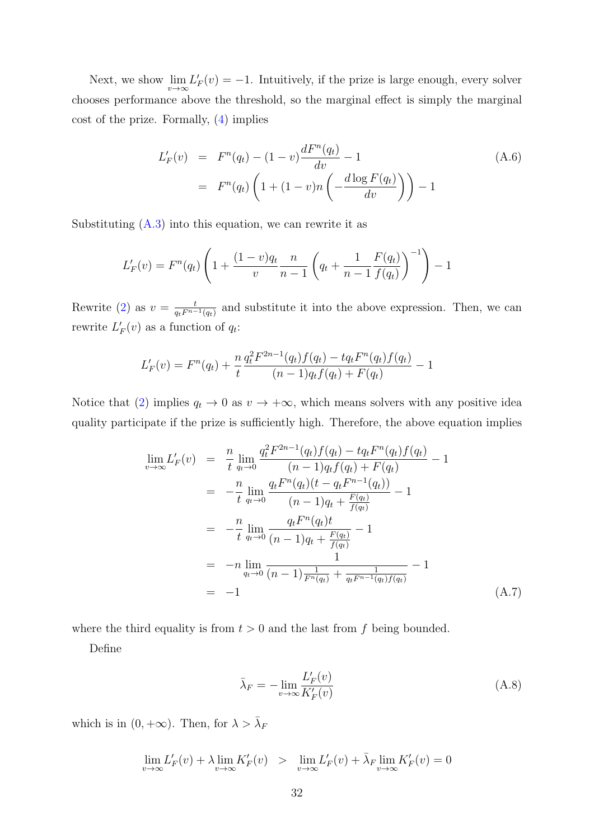Next, we show  $\lim_{v\to\infty} L'_F(v) = -1$ . Intuitively, if the prize is large enough, every solver chooses performance above the threshold, so the marginal effect is simply the marginal cost of the prize. Formally, [\(4\)](#page-8-0) implies

<span id="page-31-1"></span>
$$
L'_{F}(v) = F^{n}(q_{t}) - (1 - v) \frac{dF^{n}(q_{t})}{dv} - 1
$$
  
=  $F^{n}(q_{t}) \left( 1 + (1 - v)n \left( -\frac{d \log F(q_{t})}{dv} \right) \right) - 1$  (A.6)

Substituting  $(A.3)$  into this equation, we can rewrite it as

$$
L'_{F}(v) = F^{n}(q_{t}) \left( 1 + \frac{(1-v)q_{t}}{v} \frac{n}{n-1} \left( q_{t} + \frac{1}{n-1} \frac{F(q_{t})}{f(q_{t})} \right)^{-1} \right) - 1
$$

Rewrite [\(2\)](#page-8-1) as  $v = \frac{t}{a_1 F^{n-1}}$  $\frac{t}{q_t F^{n-1}(q_t)}$  and substitute it into the above expression. Then, we can rewrite  $L'_F(v)$  as a function of  $q_t$ :

$$
L'_{F}(v) = F^{n}(q_{t}) + \frac{n}{t} \frac{q_{t}^{2} F^{2n-1}(q_{t}) f(q_{t}) - t q_{t} F^{n}(q_{t}) f(q_{t})}{(n-1) q_{t} f(q_{t}) + F(q_{t})} - 1
$$

Notice that [\(2\)](#page-8-1) implies  $q_t \to 0$  as  $v \to +\infty$ , which means solvers with any positive idea quality participate if the prize is sufficiently high. Therefore, the above equation implies

$$
\lim_{v \to \infty} L'_F(v) = \frac{n}{t} \lim_{q_t \to 0} \frac{q_t^2 F^{2n-1}(q_t) f(q_t) - t q_t F^n(q_t) f(q_t)}{(n-1)q_t f(q_t) + F(q_t)} - 1
$$
\n
$$
= -\frac{n}{t} \lim_{q_t \to 0} \frac{q_t F^n(q_t) (t - q_t F^{n-1}(q_t))}{(n-1)q_t + \frac{F(q_t)}{f(q_t)}} - 1
$$
\n
$$
= -\frac{n}{t} \lim_{q_t \to 0} \frac{q_t F^n(q_t) t}{(n-1)q_t + \frac{F(q_t)}{f(q_t)}} - 1
$$
\n
$$
= -n \lim_{q_t \to 0} \frac{1}{(n-1) \frac{1}{F^n(q_t)} + \frac{1}{q_t F^{n-1}(q_t) f(q_t)}} - 1
$$
\n
$$
= -1 \tag{A.7}
$$

where the third equality is from  $t > 0$  and the last from f being bounded.

Define

<span id="page-31-0"></span>
$$
\bar{\lambda}_F = -\lim_{v \to \infty} \frac{L'_F(v)}{K'_F(v)}\tag{A.8}
$$

which is in  $(0, +\infty)$ . Then, for  $\lambda > \overline{\lambda}_F$ 

$$
\lim_{v \to \infty} L'_F(v) + \lambda \lim_{v \to \infty} K'_F(v) > \lim_{v \to \infty} L'_F(v) + \overline{\lambda}_F \lim_{v \to \infty} K'_F(v) = 0
$$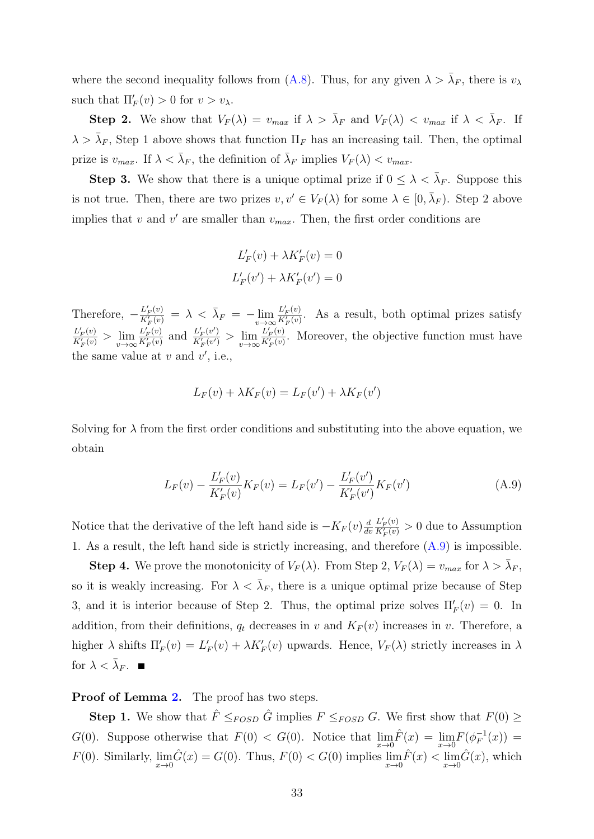where the second inequality follows from [\(A.8\)](#page-31-0). Thus, for any given  $\lambda > \bar{\lambda}_F$ , there is  $v_{\lambda}$ such that  $\Pi'_F(v) > 0$  for  $v > v_\lambda$ .

**Step 2.** We show that  $V_F(\lambda) = v_{max}$  if  $\lambda > \bar{\lambda}_F$  and  $V_F(\lambda) < v_{max}$  if  $\lambda < \bar{\lambda}_F$ . If  $\lambda > \bar{\lambda}_F$ , Step 1 above shows that function  $\Pi_F$  has an increasing tail. Then, the optimal prize is  $v_{max}$ . If  $\lambda < \bar{\lambda}_F$ , the definition of  $\bar{\lambda}_F$  implies  $V_F(\lambda) < v_{max}$ .

**Step 3.** We show that there is a unique optimal prize if  $0 \leq \lambda < \overline{\lambda}_F$ . Suppose this is not true. Then, there are two prizes  $v, v' \in V_F(\lambda)$  for some  $\lambda \in [0, \overline{\lambda}_F)$ . Step 2 above implies that  $v$  and  $v'$  are smaller than  $v_{max}$ . Then, the first order conditions are

$$
L'_{F}(v) + \lambda K'_{F}(v) = 0
$$
  

$$
L'_{F}(v') + \lambda K'_{F}(v') = 0
$$

Therefore,  $-\frac{L'_{F}(v)}{K'(v)}$  $\frac{L'_{F}(v)}{K'_{F}(v)} = \lambda < \bar{\lambda}_{F} = -\lim_{v \to \infty} \frac{L'_{F}(v)}{K'_{F}(v)}$  $\frac{L_F(v)}{K_F'(v)}$ . As a result, both optimal prizes satisfy  $L'_F(v)$  $\frac{L'_{F}(v)}{K'_{F}(v)} > \lim_{v \to \infty} \frac{L'_{F}(v)}{K'_{F}(v)}$  $\frac{L'_{F}(v)}{K'_{F}(v)}$  and  $\frac{L'_{F}(v')}{K'_{F}(v')}$  $rac{L'_F(v')}{K'_F(v')}$  >  $\lim_{v\to\infty} \frac{L'_F(v)}{K'_F(v)}$  $\frac{L_F(v)}{K_F'(v)}$ . Moreover, the objective function must have the same value at  $v$  and  $v'$ , i.e.,

$$
L_F(v) + \lambda K_F(v) = L_F(v') + \lambda K_F(v')
$$

Solving for  $\lambda$  from the first order conditions and substituting into the above equation, we obtain

<span id="page-32-0"></span>
$$
L_F(v) - \frac{L'_F(v)}{K'_F(v)} K_F(v) = L_F(v') - \frac{L'_F(v')}{K'_F(v')} K_F(v')
$$
\n(A.9)

Notice that the derivative of the left hand side is  $-K_F(v) \frac{d}{dv}$ dv  $L'_F(v)$  $\frac{L_F(v)}{K'_F(v)} > 0$  due to Assumption 1. As a result, the left hand side is strictly increasing, and therefore [\(A.9\)](#page-32-0) is impossible.

**Step 4.** We prove the monotonicity of  $V_F(\lambda)$ . From Step 2,  $V_F(\lambda) = v_{max}$  for  $\lambda > \overline{\lambda}_F$ , so it is weakly increasing. For  $\lambda < \overline{\lambda}_F$ , there is a unique optimal prize because of Step 3, and it is interior because of Step 2. Thus, the optimal prize solves  $\Pi'_F(v) = 0$ . In addition, from their definitions,  $q_t$  decreases in v and  $K_F(v)$  increases in v. Therefore, a higher  $\lambda$  shifts  $\Pi'_F(v) = L'_F(v) + \lambda K'_F(v)$  upwards. Hence,  $V_F(\lambda)$  strictly increases in  $\lambda$ for  $\lambda < \bar{\lambda}_F$ .

#### Proof of Lemma [2.](#page-10-1) The proof has two steps.

**Step 1.** We show that  $\hat{F} \leq_{FOSD} \hat{G}$  implies  $F \leq_{FOSD} G$ . We first show that  $F(0) \geq$ G(0). Suppose otherwise that  $F(0) < G(0)$ . Notice that  $\lim_{x\to 0} \hat{F}(x) = \lim_{x\to 0} F(\phi_F^{-1})$  $\overline{F}^{1}(x)) =$  $F(0)$ . Similarly,  $\lim_{x\to 0} \hat{G}(x) = G(0)$ . Thus,  $F(0) < G(0)$  implies  $\lim_{x\to 0} \hat{F}(x) < \lim_{x\to 0} \hat{G}(x)$ , which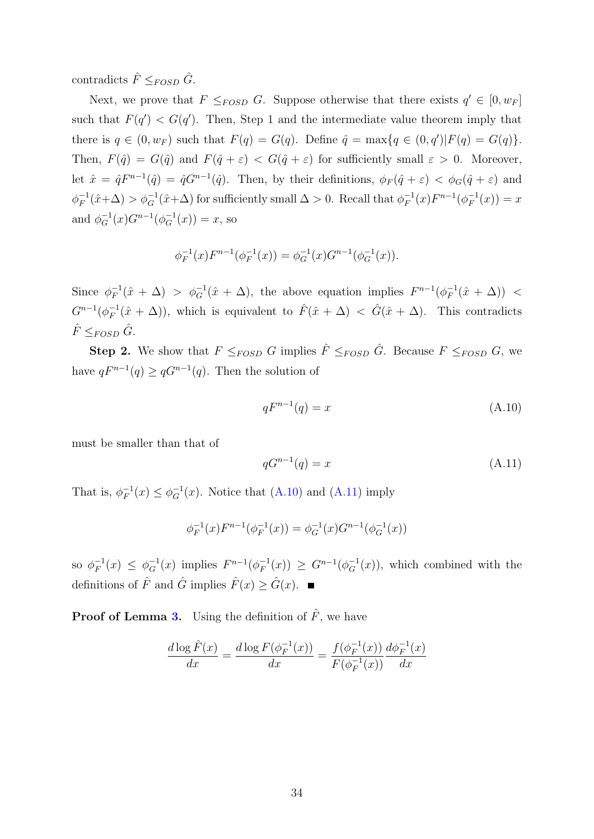contradicts  $\hat{F} \leq_{FOSD} \hat{G}$ .

Next, we prove that  $F \leq_{FOSD} G$ . Suppose otherwise that there exists  $q' \in [0, w_F]$ such that  $F(q') < G(q')$ . Then, Step 1 and the intermediate value theorem imply that there is  $q \in (0, w_F)$  such that  $F(q) = G(q)$ . Define  $\hat{q} = \max\{q \in (0, q') | F(q) = G(q)\}.$ Then,  $F(\hat{q}) = G(\hat{q})$  and  $F(\hat{q} + \varepsilon) < G(\hat{q} + \varepsilon)$  for sufficiently small  $\varepsilon > 0$ . Moreover, let  $\hat{x} = \hat{q}F^{n-1}(\hat{q}) = \hat{q}G^{n-1}(\hat{q})$ . Then, by their definitions,  $\phi_F(\hat{q} + \varepsilon) < \phi_G(\hat{q} + \varepsilon)$  and  $\phi_F^{-1}$  $\chi_F^{-1}(\hat{x}+\Delta) > \phi_G^{-1}(\hat{x}+\Delta)$  for sufficiently small  $\Delta > 0$ . Recall that  $\phi_F^{-1}$  $F_F^{-1}(x)F^{n-1}(\phi_F^{-1})$  $T_F^{-1}(x)) = x$ and  $\phi_G^{-1}(x)G^{n-1}(\phi_G^{-1}(x)) = x$ , so

<span id="page-33-0"></span>
$$
\phi_F^{-1}(x)F^{n-1}(\phi_F^{-1}(x)) = \phi_G^{-1}(x)G^{n-1}(\phi_G^{-1}(x)).
$$

Since  $\phi_F^{-1}$  $\bar{f}_F^{-1}(\hat{x} + \Delta) > \phi_G^{-1}(\hat{x} + \Delta)$ , the above equation implies  $F^{n-1}(\phi_F^{-1})$  $\bar{F}^1(\hat{x} + \Delta)$  <  $G^{n-1}(\phi_F^{-1})$  $F_F^{-1}(\hat{x} + \Delta)$ , which is equivalent to  $\hat{F}(\hat{x} + \Delta) < \hat{G}(\hat{x} + \Delta)$ . This contradicts  $\hat{F} \leq_{FOSD} \hat{G}$ .

**Step 2.** We show that  $F \leq_{FOSD} G$  implies  $\hat{F} \leq_{FOSD} \hat{G}$ . Because  $F \leq_{FOSD} G$ , we have  $qF^{n-1}(q) \geq qG^{n-1}(q)$ . Then the solution of

$$
qF^{n-1}(q) = x \tag{A.10}
$$

must be smaller than that of

<span id="page-33-1"></span>
$$
qG^{n-1}(q) = x \tag{A.11}
$$

That is,  $\phi_F^{-1}$  $_{F}^{-1}(x) \leq \phi_{G}^{-1}(x)$ . Notice that [\(A.10\)](#page-33-0) and [\(A.11\)](#page-33-1) imply

$$
\phi_F^{-1}(x)F^{n-1}(\phi_F^{-1}(x)) = \phi_G^{-1}(x)G^{n-1}(\phi_G^{-1}(x))
$$

so  $\phi_F^{-1}$  $F^{-1}(x) \leq \phi_G^{-1}(x)$  implies  $F^{n-1}(\phi_F^{-1})$  $F_F^{-1}(x) \geq G^{n-1}(\phi_G^{-1}(x))$ , which combined with the definitions of  $\hat{F}$  and  $\hat{G}$  implies  $\hat{F}(x) \geq \hat{G}(x)$ . ■

**Proof of Lemma [3.](#page-11-2)** Using the definition of  $\hat{F}$ , we have

$$
\frac{d \log \hat{F}(x)}{dx} = \frac{d \log F(\phi_F^{-1}(x))}{dx} = \frac{f(\phi_F^{-1}(x))}{F(\phi_F^{-1}(x))} \frac{d \phi_F^{-1}(x)}{dx}
$$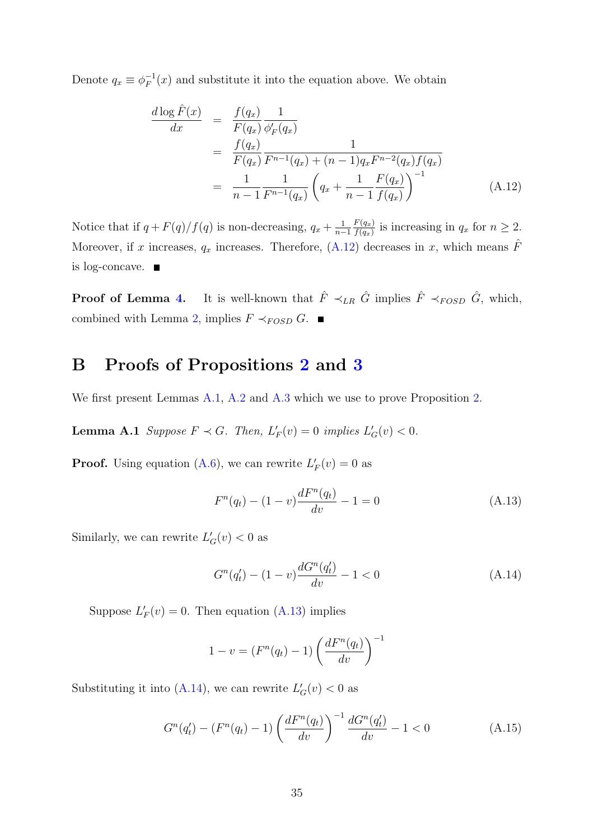Denote  $q_x \equiv \phi_F^{-1}$  $F_F^{-1}(x)$  and substitute it into the equation above. We obtain

<span id="page-34-1"></span>
$$
\frac{d \log \hat{F}(x)}{dx} = \frac{f(q_x)}{F(q_x)} \frac{1}{\phi'_F(q_x)} \n= \frac{f(q_x)}{F(q_x)} \frac{1}{F^{n-1}(q_x) + (n-1)q_x F^{n-2}(q_x) f(q_x)} \n= \frac{1}{n-1} \frac{1}{F^{n-1}(q_x)} \left(q_x + \frac{1}{n-1} \frac{F(q_x)}{f(q_x)}\right)^{-1}
$$
\n(A.12)

Notice that if  $q + F(q)/f(q)$  is non-decreasing,  $q_x + \frac{1}{n_x}$  $n-1$  $F(q_x)$  $\frac{f'(q_x)}{f(q_x)}$  is increasing in  $q_x$  for  $n \geq 2$ . Moreover, if x increases,  $q_x$  increases. Therefore, [\(A.12\)](#page-34-1) decreases in x, which means  $\hat{F}$ is log-concave.

**Proof of Lemma [4.](#page-12-0)** It is well-known that  $\hat{F} \prec_{LR} \hat{G}$  implies  $\hat{F} \prec_{FOSD} \hat{G}$ , which, combined with Lemma [2,](#page-10-1) implies  $F \prec_{FOSD} G$ . ■

#### <span id="page-34-0"></span>B Proofs of Propositions [2](#page-13-1) and [3](#page-17-1)

We first present Lemmas [A.1,](#page-7-2) [A.2](#page-10-1) and [A.3](#page-11-2) which we use to prove Proposition [2.](#page-13-1)

**Lemma A.1** Suppose  $F \prec G$ . Then,  $L'_F(v) = 0$  implies  $L'_G(v) < 0$ .

**Proof.** Using equation [\(A.6\)](#page-31-1), we can rewrite  $L'_F(v) = 0$  as

<span id="page-34-2"></span>
$$
F^{n}(q_{t}) - (1 - v)\frac{dF^{n}(q_{t})}{dv} - 1 = 0
$$
\n(A.13)

Similarly, we can rewrite  $L'_{G}(v) < 0$  as

<span id="page-34-3"></span>
$$
G^{n}(q'_{t}) - (1 - v)\frac{dG^{n}(q'_{t})}{dv} - 1 < 0\tag{A.14}
$$

Suppose  $L'_F(v) = 0$ . Then equation [\(A.13\)](#page-34-2) implies

$$
1 - v = (F^{n}(q_t) - 1) \left( \frac{dF^{n}(q_t)}{dv} \right)^{-1}
$$

Substituting it into [\(A.14\)](#page-34-3), we can rewrite  $L'_{G}(v) < 0$  as

<span id="page-34-4"></span>
$$
G^{n}(q'_{t}) - (F^{n}(q_{t}) - 1) \left(\frac{dF^{n}(q_{t})}{dv}\right)^{-1} \frac{dG^{n}(q'_{t})}{dv} - 1 < 0 \qquad (A.15)
$$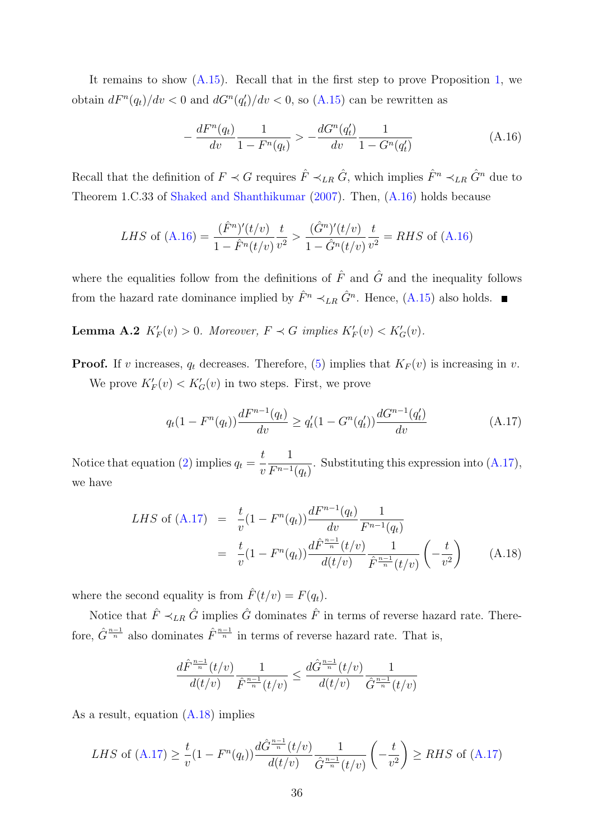It remains to show [\(A.15\)](#page-34-4). Recall that in the first step to prove Proposition [1,](#page-9-3) we obtain  $dF^{n}(q_t)/dv < 0$  and  $dG^{n}(q_t')/dv < 0$ , so  $(A.15)$  can be rewritten as

<span id="page-35-0"></span>
$$
-\frac{dF^n(q_t)}{dv}\frac{1}{1-F^n(q_t)} > -\frac{dG^n(q'_t)}{dv}\frac{1}{1-G^n(q'_t)}\tag{A.16}
$$

Recall that the definition of  $F \prec G$  requires  $\hat{F} \prec_{LR} \hat{G}$ , which implies  $\hat{F}^n \prec_{LR} \hat{G}^n$  due to Theorem 1.C.33 of [Shaked and Shanthikumar](#page-27-8) [\(2007\)](#page-27-8). Then, [\(A.16\)](#page-35-0) holds because

*LHS* of (A.16) = 
$$
\frac{(\hat{F}^n)'(t/v)}{1 - \hat{F}^n(t/v)} \frac{t}{v^2} > \frac{(\hat{G}^n)'(t/v)}{1 - \hat{G}^n(t/v)} \frac{t}{v^2} = RHS \text{ of (A.16)}
$$

where the equalities follow from the definitions of  $\hat{F}$  and  $\hat{G}$  and the inequality follows from the hazard rate dominance implied by  $\hat{F}^n \prec_{LR} \hat{G}^n$ . Hence, [\(A.15\)](#page-34-4) also holds.

**Lemma A.2**  $K'_F(v) > 0$ . Moreover,  $F \prec G$  implies  $K'_F(v) < K'_G(v)$ .

**Proof.** If v increases,  $q_t$  decreases. Therefore, [\(5\)](#page-8-0) implies that  $K_F(v)$  is increasing in v. We prove  $K'_F(v) < K'_G(v)$  in two steps. First, we prove

<span id="page-35-1"></span>
$$
q_t(1 - F^n(q_t)) \frac{dF^{n-1}(q_t)}{dv} \ge q'_t(1 - G^n(q'_t)) \frac{dG^{n-1}(q'_t)}{dv}
$$
 (A.17)

Notice that equation [\(2\)](#page-8-1) implies  $q_t =$ t  $\overline{v}$ 1  $F^{n-1}(q_t)$ . Substituting this expression into [\(A.17\)](#page-35-1), we have

<span id="page-35-2"></span>
$$
LHS \text{ of (A.17)} = \frac{t}{v}(1 - F^n(q_t))\frac{dF^{n-1}(q_t)}{dv} \frac{1}{F^{n-1}(q_t)}
$$
  
= 
$$
\frac{t}{v}(1 - F^n(q_t))\frac{d\hat{F}^{\frac{n-1}{n}}(t/v)}{d(t/v)} \frac{1}{\hat{F}^{\frac{n-1}{n}}(t/v)} \left(-\frac{t}{v^2}\right)
$$
(A.18)

where the second equality is from  $\hat{F}(t/v) = F(q_t)$ .

Notice that  $\hat{F} \prec_{LR} \hat{G}$  implies  $\hat{G}$  dominates  $\hat{F}$  in terms of reverse hazard rate. Therefore,  $\hat{G}^{\frac{n-1}{n}}$  also dominates  $\hat{F}^{\frac{n-1}{n}}$  in terms of reverse hazard rate. That is,

$$
\frac{d\hat{F}^{\frac{n-1}{n}}(t/v)}{d(t/v)}\frac{1}{\hat{F}^{\frac{n-1}{n}}(t/v)} \le \frac{d\hat{G}^{\frac{n-1}{n}}(t/v)}{d(t/v)}\frac{1}{\hat{G}^{\frac{n-1}{n}}(t/v)}
$$

As a result, equation [\(A.18\)](#page-35-2) implies

LHS of (A.17) 
$$
\geq \frac{t}{v}(1 - F^n(q_t)) \frac{d\hat{G}^{\frac{n-1}{n}}(t/v)}{d(t/v)} \frac{1}{\hat{G}^{\frac{n-1}{n}}(t/v)} \left(-\frac{t}{v^2}\right) \geq RHS \text{ of (A.17)}
$$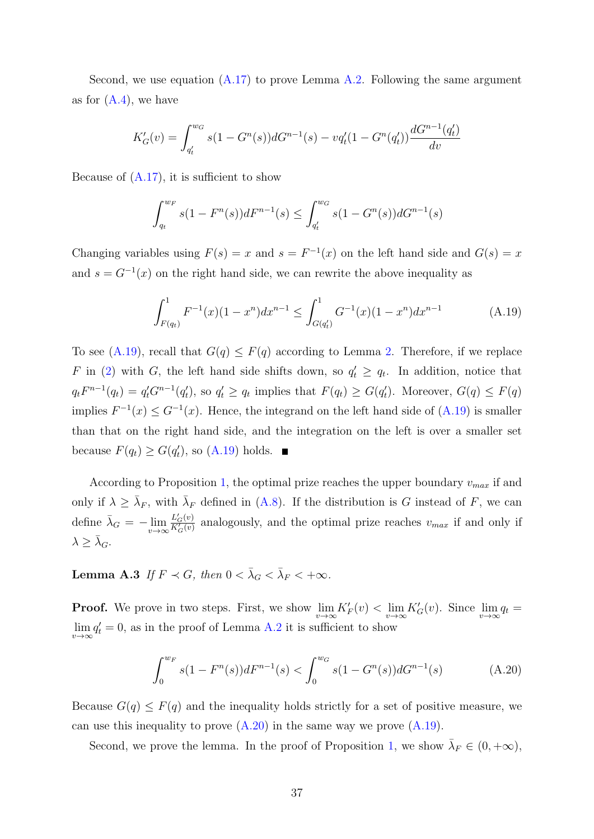Second, we use equation  $(A.17)$  to prove Lemma [A.2.](#page-10-0) Following the same argument as for  $(A.4)$ , we have

$$
K'_{G}(v) = \int_{q'_t}^{w_G} s(1 - G^{n}(s))dG^{n-1}(s) - vq'_t(1 - G^{n}(q'_t))\frac{dG^{n-1}(q'_t)}{dv}
$$

Because of  $(A.17)$ , it is sufficient to show

<span id="page-36-0"></span>
$$
\int_{q_t}^{w_F} s(1 - F^n(s))dF^{n-1}(s) \le \int_{q'_t}^{w_G} s(1 - G^n(s))dG^{n-1}(s)
$$

Changing variables using  $F(s) = x$  and  $s = F^{-1}(x)$  on the left hand side and  $G(s) = x$ and  $s = G^{-1}(x)$  on the right hand side, we can rewrite the above inequality as

$$
\int_{F(q_t)}^1 F^{-1}(x)(1-x^n)dx^{n-1} \le \int_{G(q'_t)}^1 G^{-1}(x)(1-x^n)dx^{n-1} \tag{A.19}
$$

To see [\(A.19\)](#page-36-0), recall that  $G(q) \leq F(q)$  according to Lemma [2.](#page-10-0) Therefore, if we replace F in [\(2\)](#page-8-0) with G, the left hand side shifts down, so  $q'_t \ge q_t$ . In addition, notice that  $q_t F^{n-1}(q_t) = q'_t G^{n-1}(q'_t)$ , so  $q'_t \ge q_t$  implies that  $F(q_t) \ge G(q'_t)$ . Moreover,  $G(q) \le F(q)$ implies  $F^{-1}(x) \leq G^{-1}(x)$ . Hence, the integrand on the left hand side of  $(A.19)$  is smaller than that on the right hand side, and the integration on the left is over a smaller set because  $F(q_t) \ge G(q'_t)$ , so  $(A.19)$  holds.

According to Proposition [1,](#page-9-0) the optimal prize reaches the upper boundary  $v_{max}$  if and only if  $\lambda \geq \bar{\lambda}_F$ , with  $\bar{\lambda}_F$  defined in [\(A.8\)](#page-31-0). If the distribution is G instead of F, we can define  $\bar{\lambda}_G = -\lim_{v \to \infty} \frac{L'_G(v)}{K'_G(v)}$  $\frac{L_G(v)}{K_G'(v)}$  analogously, and the optimal prize reaches  $v_{max}$  if and only if  $\lambda \geq \bar{\lambda}_G.$ 

**Lemma A.3** If  $F \prec G$ , then  $0 < \bar{\lambda}_G < \bar{\lambda}_F < +\infty$ .

**Proof.** We prove in two steps. First, we show  $\lim_{v\to\infty} K_F'(v) < \lim_{v\to\infty} K_G'(v)$ . Since  $\lim_{v\to\infty} q_t =$  $\lim_{v \to \infty} q'_t = 0$ , as in the proof of Lemma [A.2](#page-10-0) it is sufficient to show

<span id="page-36-1"></span>
$$
\int_0^{w_F} s(1 - F^n(s))dF^{n-1}(s) < \int_0^{w_G} s(1 - G^n(s))dG^{n-1}(s) \tag{A.20}
$$

Because  $G(q) \leq F(q)$  and the inequality holds strictly for a set of positive measure, we can use this inequality to prove  $(A.20)$  in the same way we prove  $(A.19)$ .

Second, we prove the lemma. In the proof of Proposition [1,](#page-9-0) we show  $\bar{\lambda}_F \in (0, +\infty)$ ,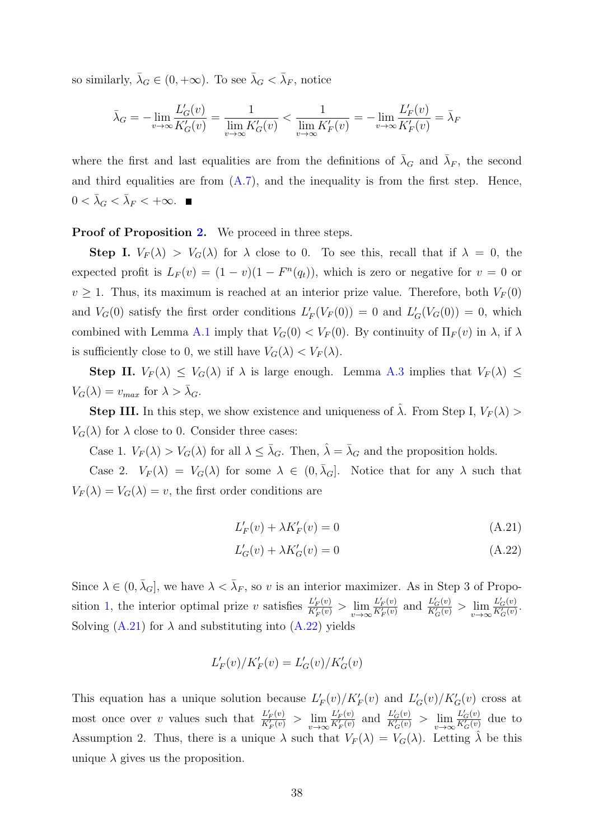so similarly,  $\bar{\lambda}_G \in (0, +\infty)$ . To see  $\bar{\lambda}_G < \bar{\lambda}_F$ , notice

<span id="page-37-0"></span>
$$
\bar{\lambda}_G = -\lim_{v \to \infty} \frac{L'_G(v)}{K'_G(v)} = \frac{1}{\lim_{v \to \infty} K'_G(v)} < \frac{1}{\lim_{v \to \infty} K'_F(v)} = -\lim_{v \to \infty} \frac{L'_F(v)}{K'_F(v)} = \bar{\lambda}_F
$$

where the first and last equalities are from the definitions of  $\bar{\lambda}_G$  and  $\bar{\lambda}_F$ , the second and third equalities are from  $(A.7)$ , and the inequality is from the first step. Hence,  $0 < \bar{\lambda}_G < \bar{\lambda}_F < +\infty$ .

#### Proof of Proposition [2.](#page-13-0) We proceed in three steps.

**Step I.**  $V_F(\lambda) > V_G(\lambda)$  for  $\lambda$  close to 0. To see this, recall that if  $\lambda = 0$ , the expected profit is  $L_F(v) = (1 - v)(1 - F<sup>n</sup>(q<sub>t</sub>))$ , which is zero or negative for  $v = 0$  or  $v \geq 1$ . Thus, its maximum is reached at an interior prize value. Therefore, both  $V_F(0)$ and  $V_G(0)$  satisfy the first order conditions  $L'_F(V_F(0)) = 0$  and  $L'_G(V_G(0)) = 0$ , which combined with Lemma [A.1](#page-7-0) imply that  $V_G(0) < V_F(0)$ . By continuity of  $\Pi_F(v)$  in  $\lambda$ , if  $\lambda$ is sufficiently close to 0, we still have  $V_G(\lambda) < V_F(\lambda)$ .

**Step II.**  $V_F(\lambda) \leq V_G(\lambda)$  if  $\lambda$  is large enough. Lemma [A.3](#page-11-0) implies that  $V_F(\lambda) \leq$  $V_G(\lambda) = v_{max}$  for  $\lambda > \overline{\lambda}_G$ .

**Step III.** In this step, we show existence and uniqueness of  $\hat{\lambda}$ . From Step I,  $V_F(\lambda)$  $V_G(\lambda)$  for  $\lambda$  close to 0. Consider three cases:

Case 1.  $V_F(\lambda) > V_G(\lambda)$  for all  $\lambda \leq \overline{\lambda}_G$ . Then,  $\hat{\lambda} = \overline{\lambda}_G$  and the proposition holds.

Case 2.  $V_F(\lambda) = V_G(\lambda)$  for some  $\lambda \in (0, \overline{\lambda}_G]$ . Notice that for any  $\lambda$  such that  $V_F(\lambda) = V_G(\lambda) = v$ , the first order conditions are

$$
L'_F(v) + \lambda K'_F(v) = 0\tag{A.21}
$$

$$
L'_{G}(v) + \lambda K'_{G}(v) = 0
$$
\n(A.22)

Since  $\lambda \in (0, \bar{\lambda}_G]$ , we have  $\lambda < \bar{\lambda}_F$ , so v is an interior maximizer. As in Step 3 of Propo-sition [1,](#page-9-0) the interior optimal prize v satisfies  $\frac{L'_{F}(v)}{K'(v)}$  $\frac{L'_{F}(v)}{K'_{F}(v)} > \lim_{v \to \infty} \frac{L'_{F}(v)}{K'_{F}(v)}$  $\frac{L'_F(v)}{K'_F(v)}$  and  $\frac{L'_G(v)}{K'_G(v)}$  $\frac{L_G'(v)}{K_G'(v)} > \lim_{v \to \infty} \frac{L_G'(v)}{K_G'(v)}$  $rac{L_G(v)}{K_G'(v)}$ . Solving  $(A.21)$  for  $\lambda$  and substituting into  $(A.22)$  yields

$$
L'_F(v)/K'_F(v) = L'_G(v)/K'_G(v)
$$

This equation has a unique solution because  $L'_F(v)/K'_F(v)$  and  $L'_G(v)/K'_G(v)$  cross at most once over v values such that  $\frac{L'_F(v)}{K'(v)}$  $rac{L'_{F}(v)}{K'_{F}(v)} > \lim_{v \to \infty} \frac{L'_{F}(v)}{K'_{F}(v)}$  $rac{L'_F(v)}{K'_F(v)}$  and  $rac{L'_G(v)}{K'_G(v)}$  $\frac{L_G'(v)}{K_G'(v)} > \lim_{v \to \infty} \frac{L_G'(v)}{K_G'(v)}$  $\frac{L_G(v)}{K_G'(v)}$  due to Assumption 2. Thus, there is a unique  $\lambda$  such that  $V_F(\lambda) = V_G(\lambda)$ . Letting  $\hat{\lambda}$  be this unique  $\lambda$  gives us the proposition.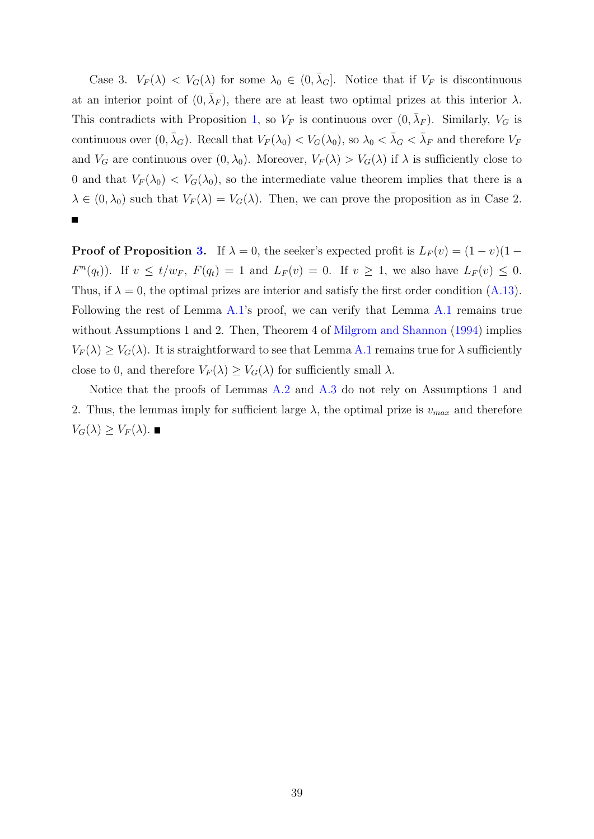Case 3.  $V_F(\lambda) < V_G(\lambda)$  for some  $\lambda_0 \in (0, \bar{\lambda}_G]$ . Notice that if  $V_F$  is discontinuous at an interior point of  $(0, \bar{\lambda}_F)$ , there are at least two optimal prizes at this interior  $\lambda$ . This contradicts with Proposition [1,](#page-9-0) so  $V_F$  is continuous over  $(0, \bar{\lambda}_F)$ . Similarly,  $V_G$  is continuous over  $(0, \bar{\lambda}_G)$ . Recall that  $V_F(\lambda_0) < V_G(\lambda_0)$ , so  $\lambda_0 < \bar{\lambda}_G < \bar{\lambda}_F$  and therefore  $V_F$ and  $V_G$  are continuous over  $(0, \lambda_0)$ . Moreover,  $V_F(\lambda) > V_G(\lambda)$  if  $\lambda$  is sufficiently close to 0 and that  $V_F(\lambda_0) < V_G(\lambda_0)$ , so the intermediate value theorem implies that there is a  $\lambda \in (0, \lambda_0)$  such that  $V_F(\lambda) = V_G(\lambda)$ . Then, we can prove the proposition as in Case 2.

**Proof of Proposition [3.](#page-17-0)** If  $\lambda = 0$ , the seeker's expected profit is  $L_F(v) = (1 - v)(1 F^{n}(q_t)$ . If  $v \le t/w_F$ ,  $F(q_t) = 1$  and  $L_F(v) = 0$ . If  $v \ge 1$ , we also have  $L_F(v) \le 0$ . Thus, if  $\lambda = 0$ , the optimal prizes are interior and satisfy the first order condition [\(A.13\)](#page-34-0). Following the rest of Lemma [A.1'](#page-7-0)s proof, we can verify that Lemma [A.1](#page-7-0) remains true without Assumptions 1 and 2. Then, Theorem 4 of [Milgrom and Shannon](#page-26-0) [\(1994\)](#page-26-0) implies  $V_F(\lambda) \geq V_G(\lambda)$ . It is straightforward to see that Lemma [A.1](#page-7-0) remains true for  $\lambda$  sufficiently close to 0, and therefore  $V_F(\lambda) \geq V_G(\lambda)$  for sufficiently small  $\lambda$ .

Notice that the proofs of Lemmas [A.2](#page-10-0) and [A.3](#page-11-0) do not rely on Assumptions 1 and 2. Thus, the lemmas imply for sufficient large  $\lambda$ , the optimal prize is  $v_{max}$  and therefore  $V_G(\lambda) \geq V_F(\lambda)$ .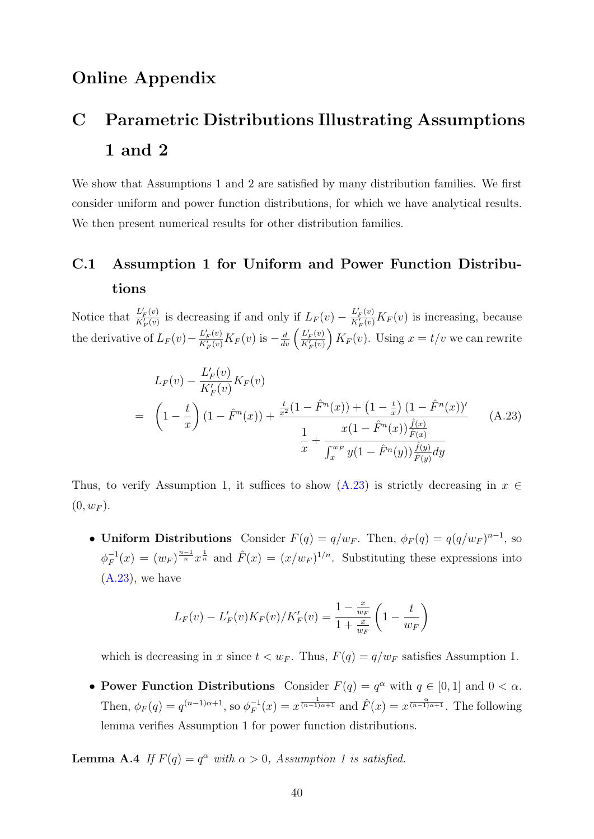## Online Appendix

# C Parametric Distributions Illustrating Assumptions 1 and 2

We show that Assumptions 1 and 2 are satisfied by many distribution families. We first consider uniform and power function distributions, for which we have analytical results. We then present numerical results for other distribution families.

## C.1 Assumption 1 for Uniform and Power Function Distributions

Notice that  $\frac{L'_{F}(v)}{K'(v)}$  $\frac{L'_{F}(v)}{K'_{F}(v)}$  is decreasing if and only if  $L_{F}(v) - \frac{L'_{F}(v)}{K'_{F}(v)}$  $\frac{L_F(v)}{K'_F(v)} K_F(v)$  is increasing, because the derivative of  $L_F(v) - \frac{L'_F(v)}{K'_F(v)}$  $\frac{L'_{F}(v)}{K'_{F}(v)} K_{F}(v)$  is  $-\frac{d}{dv} \left( \frac{L'_{F}(v)}{K'_{F}(v)} \right)$  $\frac{L'_{F}(v)}{K'_{F}(v)}$   $K_{F}(v)$ . Using  $x = t/v$  we can rewrite

<span id="page-39-0"></span>
$$
L_F(v) - \frac{L'_F(v)}{K'_F(v)} K_F(v)
$$
  
=  $\left(1 - \frac{t}{x}\right) \left(1 - \hat{F}^n(x)\right) + \frac{\frac{t}{x^2} \left(1 - \hat{F}^n(x)\right) + \left(1 - \frac{t}{x}\right) \left(1 - \hat{F}^n(x)\right)'}{\frac{1}{x} + \frac{x\left(1 - \hat{F}^n(x)\right) \frac{\hat{f}(x)}{\hat{F}(x)}}{\int_x^{w_F} y\left(1 - \hat{F}^n(y)\right) \frac{\hat{f}(y)}{\hat{F}(y)} dy}}$ (A.23)

Thus, to verify Assumption 1, it suffices to show  $(A.23)$  is strictly decreasing in  $x \in$  $(0, w_F)$ .

• Uniform Distributions Consider  $F(q) = q/w_F$ . Then,  $\phi_F(q) = q(q/w_F)^{n-1}$ , so  $\phi_F^{-1}$  $F_F^{-1}(x) = (w_F)^{\frac{n-1}{n}} x^{\frac{1}{n}}$  and  $\hat{F}(x) = (x/w_F)^{1/n}$ . Substituting these expressions into  $(A.23)$ , we have

<span id="page-39-1"></span>
$$
L_F(v) - L'_F(v)K_F(v)/K'_F(v) = \frac{1 - \frac{x}{w_F}}{1 + \frac{x}{w_F}} \left(1 - \frac{t}{w_F}\right)
$$

which is decreasing in x since  $t < w_F$ . Thus,  $F(q) = q/w_F$  satisfies Assumption 1.

• Power Function Distributions Consider  $F(q) = q^{\alpha}$  with  $q \in [0, 1]$  and  $0 < \alpha$ . Then,  $\phi_F(q) = q^{(n-1)\alpha+1}$ , so  $\phi_F^{-1}$  $F_F^{-1}(x) = x^{\frac{1}{(n-1)\alpha+1}}$  and  $\hat{F}(x) = x^{\frac{\alpha}{(n-1)\alpha+1}}$ . The following lemma verifies Assumption 1 for power function distributions.

**Lemma A.4** If  $F(q) = q^{\alpha}$  with  $\alpha > 0$ , Assumption 1 is satisfied.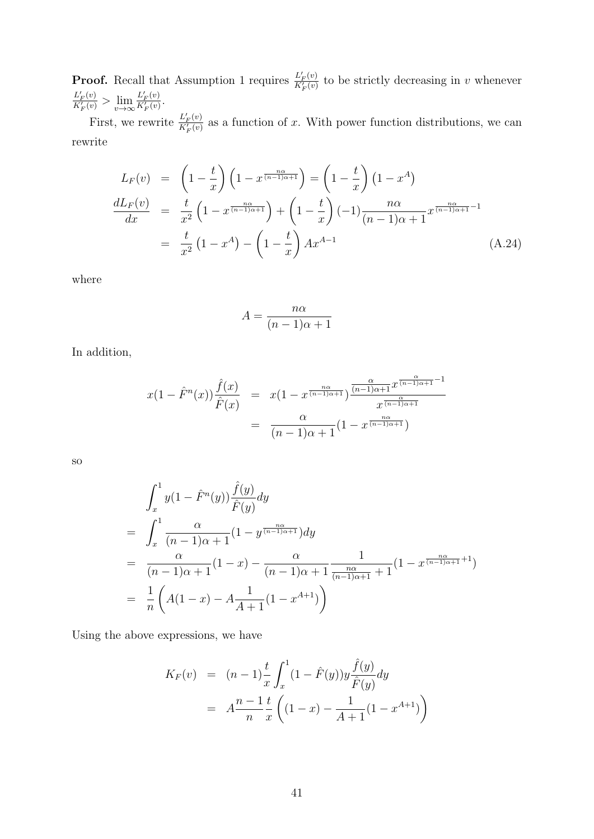**Proof.** Recall that Assumption 1 requires  $\frac{L'_F(v)}{K'(v)}$  $\frac{L_F(v)}{K_F'(v)}$  to be strictly decreasing in v whenever  $L'_F(v)$  $\frac{L'_{F}(v)}{K'_{F}(v)} > \lim_{v \to \infty} \frac{L'_{F}(v)}{K'_{F}(v)}$  $\frac{L_F(v)}{K'_F(v)}$ .

First, we rewrite  $\frac{L'_{F}(v)}{K'(v)}$  $\frac{L_F(v)}{K_F'(v)}$  as a function of x. With power function distributions, we can rewrite

$$
L_F(v) = \left(1 - \frac{t}{x}\right) \left(1 - x^{\frac{n\alpha}{(n-1)\alpha + 1}}\right) = \left(1 - \frac{t}{x}\right) \left(1 - x^A\right)
$$

$$
\frac{dL_F(v)}{dx} = \frac{t}{x^2} \left(1 - x^{\frac{n\alpha}{(n-1)\alpha + 1}}\right) + \left(1 - \frac{t}{x}\right) \left(-1\right) \frac{n\alpha}{(n-1)\alpha + 1} x^{\frac{n\alpha}{(n-1)\alpha + 1} - 1}
$$

$$
= \frac{t}{x^2} \left(1 - x^A\right) - \left(1 - \frac{t}{x}\right) Ax^{A-1} \tag{A.24}
$$

where

<span id="page-40-0"></span>
$$
A = \frac{n\alpha}{(n-1)\alpha + 1}
$$

In addition,

$$
x(1 - \hat{F}^n(x))\frac{\hat{f}(x)}{\hat{F}(x)} = x(1 - x^{\frac{n\alpha}{(n-1)\alpha+1}})\frac{\frac{\alpha}{(n-1)\alpha+1}x^{\frac{\alpha}{(n-1)\alpha+1}-1}}{x^{\frac{\alpha}{(n-1)\alpha+1}}}
$$

$$
= \frac{\alpha}{(n-1)\alpha+1}(1 - x^{\frac{n\alpha}{(n-1)\alpha+1}})
$$

so

$$
\int_{x}^{1} y(1 - \hat{F}^{n}(y)) \frac{\hat{f}(y)}{\hat{F}(y)} dy
$$
\n
$$
= \int_{x}^{1} \frac{\alpha}{(n-1)\alpha + 1} (1 - y^{\frac{n\alpha}{(n-1)\alpha + 1}}) dy
$$
\n
$$
= \frac{\alpha}{(n-1)\alpha + 1} (1 - x) - \frac{\alpha}{(n-1)\alpha + 1} \frac{1}{\frac{n\alpha}{(n-1)\alpha + 1} + 1} (1 - x^{\frac{n\alpha}{(n-1)\alpha + 1} + 1})
$$
\n
$$
= \frac{1}{n} \left( A(1 - x) - A \frac{1}{A+1} (1 - x^{A+1}) \right)
$$

Using the above expressions, we have

$$
K_F(v) = (n-1)\frac{t}{x} \int_x^1 (1 - \hat{F}(y)) y \frac{\hat{f}(y)}{\hat{F}(y)} dy
$$
  
=  $A \frac{n-1}{n} \frac{t}{x} \left( (1-x) - \frac{1}{A+1} (1-x^{A+1}) \right)$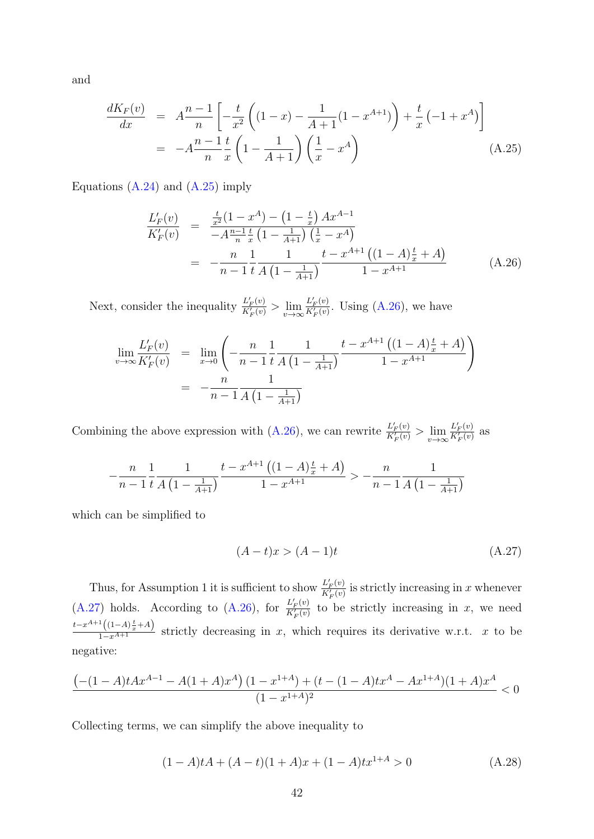and

$$
\frac{dK_F(v)}{dx} = A \frac{n-1}{n} \left[ -\frac{t}{x^2} \left( (1-x) - \frac{1}{A+1} (1-x^{A+1}) \right) + \frac{t}{x} \left( -1 + x^A \right) \right]
$$
\n
$$
= -A \frac{n-1}{n} \frac{t}{x} \left( 1 - \frac{1}{A+1} \right) \left( \frac{1}{x} - x^A \right) \tag{A.25}
$$

Equations  $(A.24)$  and  $(A.25)$  imply

<span id="page-41-0"></span>
$$
\frac{L'_{F}(v)}{K'_{F}(v)} = \frac{\frac{t}{x^{2}}(1-x^{A}) - (1-\frac{t}{x})Ax^{A-1}}{-A\frac{n-1}{n}\frac{t}{x}(1-\frac{1}{A+1})(\frac{1}{x}-x^{A})}
$$
\n
$$
= -\frac{n}{n-1}\frac{1}{t}\frac{1}{A(1-\frac{1}{A+1})}\frac{t-x^{A+1}((1-A)\frac{t}{x}+A)}{1-x^{A+1}}
$$
\n(A.26)

Next, consider the inequality  $\frac{L'_F(v)}{K'(v)}$  $\frac{L'_{F}(v)}{K'_{F}(v)} > \lim_{v \to \infty} \frac{L'_{F}(v)}{K'_{F}(v)}$  $\frac{L_F(v)}{K_F'(v)}$ . Using [\(A.26\)](#page-41-0), we have

<span id="page-41-1"></span>
$$
\lim_{v \to \infty} \frac{L'_F(v)}{K'_F(v)} = \lim_{x \to 0} \left( -\frac{n}{n-1} \frac{1}{t} \frac{1}{A\left(1 - \frac{1}{A+1}\right)} \frac{t - x^{A+1} \left( (1-A)\frac{t}{x} + A \right)}{1 - x^{A+1}} \right)
$$
\n
$$
= -\frac{n}{n-1} \frac{1}{A\left(1 - \frac{1}{A+1}\right)}
$$

Combining the above expression with  $(A.26)$ , we can rewrite  $\frac{L'_{F}(v)}{K'_{F}(v)}$  $\frac{L'_F(v)}{K'_F(v)} > \lim_{v \to \infty} \frac{L'_F(v)}{K'_F(v)}$  $\frac{L_F(v)}{K_F'(v)}$  as

$$
-\frac{n}{n-1} \frac{1}{t} \frac{1}{A\left(1 - \frac{1}{A+1}\right)} \frac{t - x^{A+1}\left((1-A)\frac{t}{x} + A\right)}{1 - x^{A+1}} > -\frac{n}{n-1} \frac{1}{A\left(1 - \frac{1}{A+1}\right)}
$$

which can be simplified to

$$
(A-t)x > (A-1)t
$$
\n
$$
(A.27)
$$

Thus, for Assumption 1 it is sufficient to show  $\frac{L'_{F}(v)}{K'_{F}(v)}$  $\frac{L_F(v)}{K_F(v)}$  is strictly increasing in x whenever  $(A.27)$  holds. According to  $(A.26)$ , for  $\frac{L'_{F}(v)}{K'_{F}(v)}$  $\frac{L_F(v)}{K_F'(v)}$  to be strictly increasing in x, we need  $\frac{t-x^{A+1}((1-A)\frac{t}{x}+A)}{1-x^{A+1}}$  strictly decreasing in x, which requires its derivative w.r.t. x to be negative:

<span id="page-41-2"></span>
$$
\frac{\left(-(1-A)tAx^{A-1}-A(1+A)x^A\right)(1-x^{1+A})+(t-(1-A)tx^A-Ax^{1+A})(1+A)x^A}{(1-x^{1+A})^2}<0
$$

Collecting terms, we can simplify the above inequality to

$$
(1-A)tA + (A-t)(1+A)x + (1-A)t1+A > 0
$$
\n(A.28)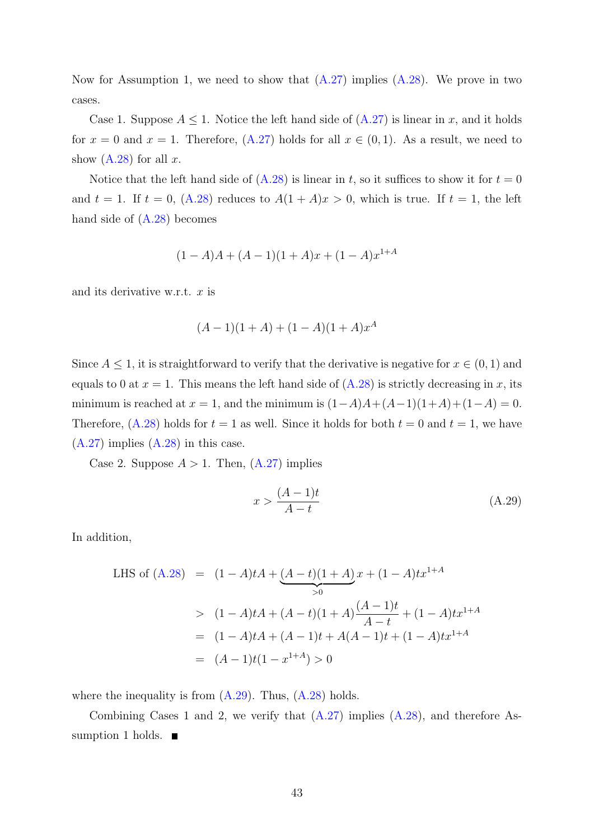Now for Assumption 1, we need to show that  $(A.27)$  implies  $(A.28)$ . We prove in two cases.

Case 1. Suppose  $A \leq 1$ . Notice the left hand side of  $(A.27)$  is linear in x, and it holds for  $x = 0$  and  $x = 1$ . Therefore,  $(A.27)$  holds for all  $x \in (0,1)$ . As a result, we need to show  $(A.28)$  for all x.

Notice that the left hand side of  $(A.28)$  is linear in t, so it suffices to show it for  $t = 0$ and  $t = 1$ . If  $t = 0$ , [\(A.28\)](#page-41-2) reduces to  $A(1 + A)x > 0$ , which is true. If  $t = 1$ , the left hand side of  $(A.28)$  becomes

<span id="page-42-0"></span>
$$
(1-A)A + (A-1)(1+A)x + (1-A)x^{1+A}
$$

and its derivative w.r.t.  $x$  is

$$
(A-1)(1+A) + (1-A)(1+A)x^{A}
$$

Since  $A \leq 1$ , it is straightforward to verify that the derivative is negative for  $x \in (0,1)$  and equals to 0 at  $x = 1$ . This means the left hand side of  $(A.28)$  is strictly decreasing in x, its minimum is reached at  $x = 1$ , and the minimum is  $(1-A)A+(A-1)(1+A)+(1-A) = 0$ . Therefore,  $(A.28)$  holds for  $t = 1$  as well. Since it holds for both  $t = 0$  and  $t = 1$ , we have  $(A.27)$  implies  $(A.28)$  in this case.

Case 2. Suppose  $A > 1$ . Then,  $(A.27)$  implies

$$
x > \frac{(A-1)t}{A-t}
$$
\n
$$
(A.29)
$$

In addition,

<span id="page-42-1"></span>LHS of (A.28) = 
$$
(1 - A)tA + (A - t)(1 + A)x + (1 - A)tx^{1+A}
$$
  
\n
$$
= (1 - A)tA + (A - t)(1 + A)\frac{(A - 1)t}{A - t} + (1 - A)tx^{1+A}
$$
\n
$$
= (1 - A)tA + (A - 1)t + A(A - 1)t + (1 - A)tx^{1+A}
$$
\n
$$
= (A - 1)t(1 - x^{1+A}) > 0
$$

where the inequality is from  $(A.29)$ . Thus,  $(A.28)$  holds.

Combining Cases 1 and 2, we verify that  $(A.27)$  implies  $(A.28)$ , and therefore Assumption 1 holds.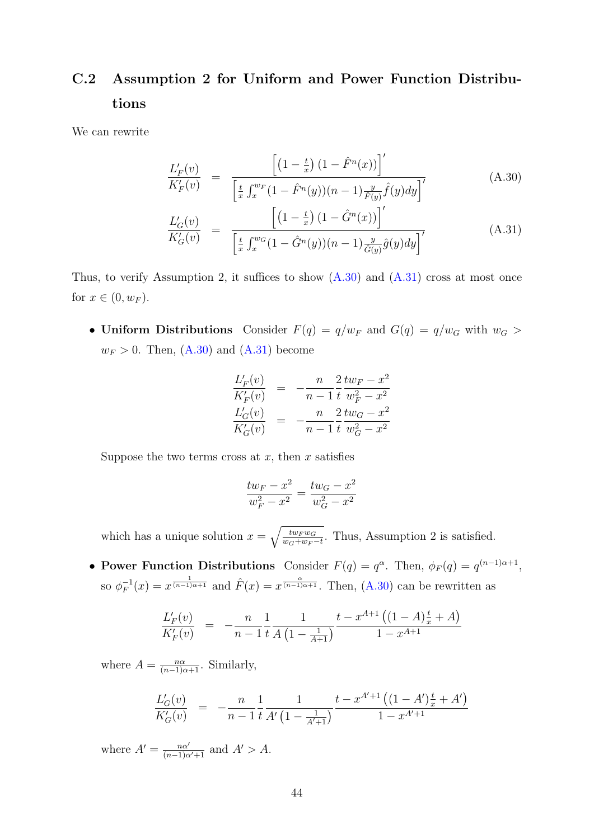## C.2 Assumption 2 for Uniform and Power Function Distributions

We can rewrite

$$
\frac{L'_{F}(v)}{K'_{F}(v)} = \frac{\left[ \left(1 - \frac{t}{x}\right) \left(1 - \hat{F}^{n}(x)\right) \right]'}{\left[\frac{t}{x} \int_{x}^{w_{F}} \left(1 - \hat{F}^{n}(y)\right) \left(n - 1\right) \frac{y}{\hat{F}(y)} \hat{f}(y) dy\right]'}\n\tag{A.30}
$$
\n
$$
\frac{L'_{G}(v)}{K'_{G}(v)} = \frac{\left[\left(1 - \frac{t}{x}\right) \left(1 - \hat{G}^{n}(x)\right)\right]'}{\left[\frac{t}{x} \int_{x}^{w_{G}} \left(1 - \hat{G}^{n}(y)\right) \left(n - 1\right) \frac{y}{\hat{G}(y)} \hat{g}(y) dy\right]'}\n\tag{A.31}
$$

Thus, to verify Assumption 2, it suffices to show  $(A.30)$  and  $(A.31)$  cross at most once for  $x \in (0, w_F)$ .

• Uniform Distributions Consider  $F(q) = q/w_F$  and  $G(q) = q/w_G$  with  $w_G >$  $w_F > 0$ . Then,  $(A.30)$  and  $(A.31)$  become

<span id="page-43-0"></span>
$$
\frac{L'_F(v)}{K'_F(v)} = -\frac{n}{n-1} \frac{2}{t} \frac{tw_F - x^2}{w_F^2 - x^2}
$$
  

$$
\frac{L'_G(v)}{K'_G(v)} = -\frac{n}{n-1} \frac{2}{t} \frac{tw_G - x^2}{w_G^2 - x^2}
$$

Suppose the two terms cross at  $x$ , then  $x$  satisfies

$$
\frac{tw_F - x^2}{w_F^2 - x^2} = \frac{tw_G - x^2}{w_G^2 - x^2}
$$

which has a unique solution  $x = \sqrt{\frac{tw_F w_G}{w_G + w_F}}$  $\frac{tw_{\mathcal{F}}w_{\mathcal{G}}}{w_{\mathcal{G}}+w_{\mathcal{F}}-t}$ . Thus, Assumption 2 is satisfied.

• Power Function Distributions Consider  $F(q) = q^{\alpha}$ . Then,  $\phi_F(q) = q^{(n-1)\alpha+1}$ , so  $\phi_F^{-1}$  $F_F^{-1}(x) = x^{\frac{1}{(n-1)\alpha+1}}$  and  $\hat{F}(x) = x^{\frac{\alpha}{(n-1)\alpha+1}}$ . Then, [\(A.30\)](#page-42-1) can be rewritten as

$$
\frac{L'_{F}(v)}{K'_{F}(v)} = -\frac{n}{n-1} \frac{1}{t} \frac{1}{A\left(1 - \frac{1}{A+1}\right)} \frac{t - x^{A+1}\left((1-A)\frac{t}{x} + A\right)}{1 - x^{A+1}}
$$

where  $A = \frac{n\alpha}{(n-1)\alpha+1}$ . Similarly,

$$
\frac{L'_G(v)}{K'_G(v)} = -\frac{n}{n-1} \frac{1}{t} \frac{1}{A'\left(1 - \frac{1}{A'+1}\right)} \frac{t - x^{A'+1}\left((1 - A')\frac{t}{x} + A'\right)}{1 - x^{A'+1}}
$$

where  $A' = \frac{n\alpha'}{(n-1)\alpha'+1}$  and  $A' > A$ .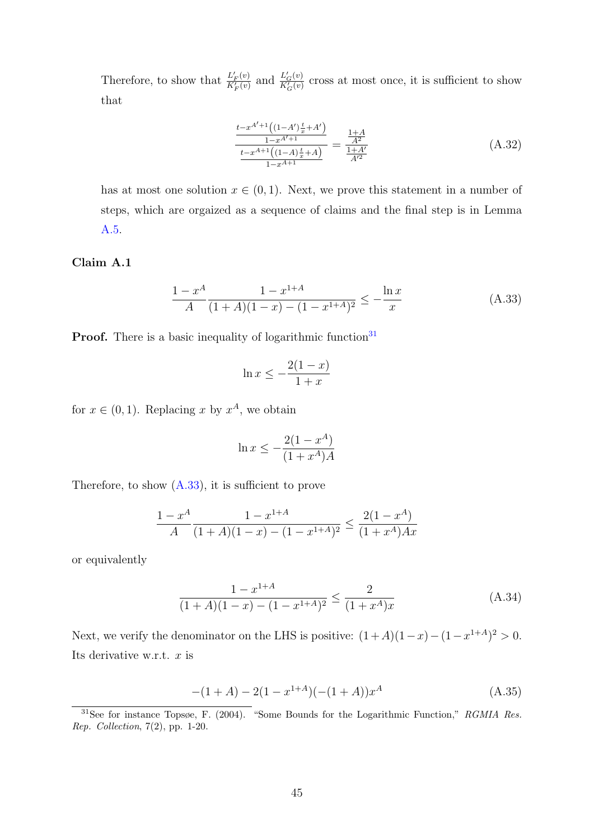Therefore, to show that  $\frac{L'_F(v)}{K'(v)}$  $\frac{L'_F(v)}{K'_F(v)}$  and  $\frac{L'_G(v)}{K'_G(v)}$  $\frac{L_G(v)}{K_G'(v)}$  cross at most once, it is sufficient to show that

$$
\frac{\frac{t - x^{A'+1}\left((1 - A')\frac{t}{x} + A'\right)}{1 - x^{A'+1}}}{\frac{t - x^{A+1}\left((1 - A)\frac{t}{x} + A\right)}{1 - x^{A+1}}} = \frac{\frac{1 + A}{A^2}}{\frac{1 + A'}{A'^2}}
$$
\n(A.32)

has at most one solution  $x \in (0,1)$ . Next, we prove this statement in a number of steps, which are orgaized as a sequence of claims and the final step is in Lemma [A.5.](#page-12-0)

Claim A.1

<span id="page-44-1"></span>
$$
\frac{1-x^A}{A} \frac{1-x^{1+A}}{(1+A)(1-x)-(1-x^{1+A})^2} \le -\frac{\ln x}{x}
$$
 (A.33)

**Proof.** There is a basic inequality of logarithmic function<sup>[31](#page-44-0)</sup>

<span id="page-44-3"></span>
$$
\ln x \le -\frac{2(1-x)}{1+x}
$$

for  $x \in (0,1)$ . Replacing x by  $x^A$ , we obtain

$$
\ln x \le -\frac{2(1 - x^A)}{(1 + x^A)A}
$$

Therefore, to show  $(A.33)$ , it is sufficient to prove

$$
\frac{1 - x^A}{A} \frac{1 - x^{1+A}}{(1+A)(1-x) - (1-x^{1+A})^2} \le \frac{2(1-x^A)}{(1+x^A)Ax}
$$

or equivalently

$$
\frac{1 - x^{1+A}}{(1+A)(1-x) - (1-x^{1+A})^2} \le \frac{2}{(1+x^A)x}
$$
 (A.34)

Next, we verify the denominator on the LHS is positive:  $(1+A)(1-x)-(1-x^{1+A})^2>0$ . Its derivative w.r.t.  $x$  is

<span id="page-44-2"></span>
$$
-(1+A) - 2(1 - x^{1+A})(-(1+A))x^{A}
$$
\n(A.35)

<span id="page-44-0"></span><sup>&</sup>lt;sup>31</sup>See for instance Topsøe, F. (2004). "Some Bounds for the Logarithmic Function," RGMIA Res. Rep. Collection, 7(2), pp. 1-20.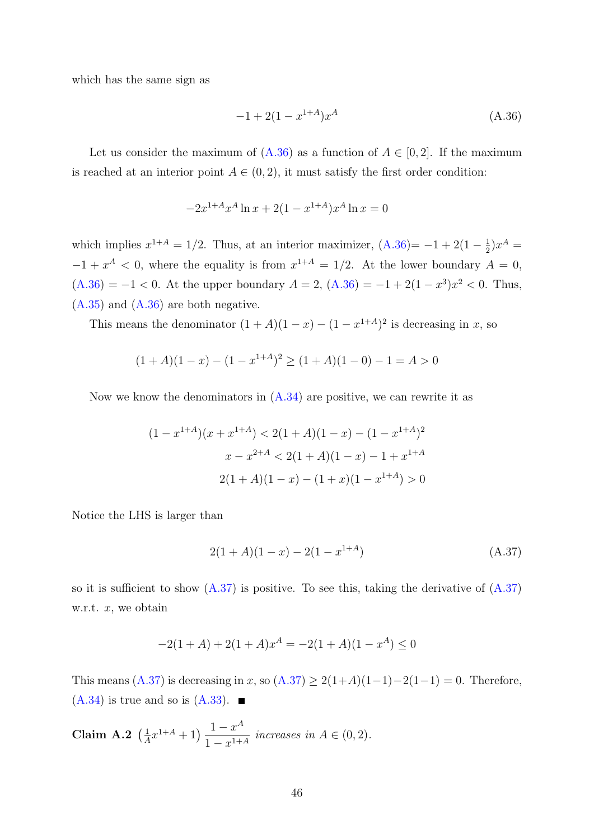which has the same sign as

<span id="page-45-0"></span>
$$
-1 + 2(1 - x^{1+A})x^A \tag{A.36}
$$

Let us consider the maximum of  $(A.36)$  as a function of  $A \in [0,2]$ . If the maximum is reached at an interior point  $A \in (0, 2)$ , it must satisfy the first order condition:

<span id="page-45-1"></span>
$$
-2x^{1+A}x^A \ln x + 2(1-x^{1+A})x^A \ln x = 0
$$

which implies  $x^{1+A} = 1/2$ . Thus, at an interior maximizer,  $(A.36) = -1 + 2(1 - \frac{1}{2})$  $(A.36) = -1 + 2(1 - \frac{1}{2})$  $(\frac{1}{2})x^A =$  $-1 + x<sup>A</sup> < 0$ , where the equality is from  $x<sup>1+A</sup> = 1/2$ . At the lower boundary  $A = 0$ ,  $(A.36) = -1 < 0$  $(A.36) = -1 < 0$ . At the upper boundary  $A = 2$ ,  $(A.36) = -1 + 2(1 - x^3)x^2 < 0$ . Thus, [\(A.35\)](#page-44-2) and [\(A.36\)](#page-45-0) are both negative.

This means the denominator  $(1 + A)(1 - x) - (1 - x^{1+A})^2$  is decreasing in x, so

$$
(1+A)(1-x) - (1-x^{1+A})^2 \ge (1+A)(1-0) - 1 = A > 0
$$

Now we know the denominators in  $(A.34)$  are positive, we can rewrite it as

$$
(1 - x^{1+A})(x + x^{1+A}) < 2(1+A)(1-x) - (1 - x^{1+A})^2
$$
\n
$$
x - x^{2+A} < 2(1+A)(1-x) - 1 + x^{1+A}
$$
\n
$$
2(1+A)(1-x) - (1+x)(1 - x^{1+A}) > 0
$$

Notice the LHS is larger than

$$
2(1+A)(1-x) - 2(1-x^{1+A})
$$
\n(A.37)

so it is sufficient to show  $(A.37)$  is positive. To see this, taking the derivative of  $(A.37)$ w.r.t.  $x$ , we obtain

<span id="page-45-2"></span>
$$
-2(1+A) + 2(1+A)x^{A} = -2(1+A)(1-x^{A}) \le 0
$$

This means [\(A.37\)](#page-45-1) is decreasing in x, so  $(A.37) \ge 2(1+A)(1-1)-2(1-1) = 0$ . Therefore,  $(A.34)$  is true and so is  $(A.33)$ .

<span id="page-45-3"></span>**Claim A.2** 
$$
\left(\frac{1}{A}x^{1+A} + 1\right) \frac{1-x^A}{1-x^{1+A}}
$$
 increases in  $A \in (0,2)$ .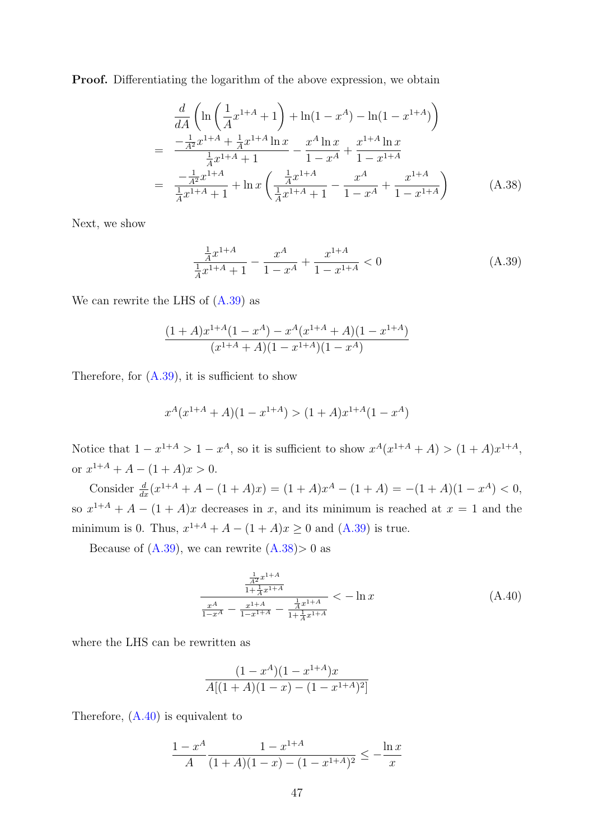**Proof.** Differentiating the logarithm of the above expression, we obtain

$$
\frac{d}{dA}\left(\ln\left(\frac{1}{A}x^{1+A}+1\right)+\ln(1-x^A)-\ln(1-x^{1+A})\right)
$$
\n
$$
=\frac{-\frac{1}{A^2}x^{1+A}+\frac{1}{A}x^{1+A}\ln x}{\frac{1}{A}x^{1+A}+1}-\frac{x^A\ln x}{1-x^A}+\frac{x^{1+A}\ln x}{1-x^{1+A}}
$$
\n
$$
=\frac{-\frac{1}{A^2}x^{1+A}}{\frac{1}{A}x^{1+A}+1}+\ln x\left(\frac{\frac{1}{A}x^{1+A}}{\frac{1}{A}x^{1+A}+1}-\frac{x^A}{1-x^A}+\frac{x^{1+A}}{1-x^{1+A}}\right) \tag{A.38}
$$

Next, we show

<span id="page-46-0"></span>
$$
\frac{\frac{1}{A}x^{1+A}}{\frac{1}{A}x^{1+A}+1} - \frac{x^A}{1-x^A} + \frac{x^{1+A}}{1-x^{1+A}} < 0 \tag{A.39}
$$

We can rewrite the LHS of  $(A.39)$  as

<span id="page-46-1"></span>
$$
\frac{(1+A)x^{1+A}(1-x^A) - x^A(x^{1+A}+A)(1-x^{1+A})}{(x^{1+A}+A)(1-x^{1+A})(1-x^A)}
$$

Therefore, for  $(A.39)$ , it is sufficient to show

$$
x^{A}(x^{1+A} + A)(1 - x^{1+A}) > (1+A)x^{1+A}(1 - x^{A})
$$

Notice that  $1-x^{1+A} > 1-x^A$ , so it is sufficient to show  $x^A(x^{1+A}+A) > (1+A)x^{1+A}$ , or  $x^{1+A} + A - (1+A)x > 0$ .

Consider  $\frac{d}{dx}(x^{1+A} + A - (1+A)x) = (1+A)x^A - (1+A) = -(1+A)(1-x^A) < 0$ , so  $x^{1+A} + A - (1+A)x$  decreases in x, and its minimum is reached at  $x = 1$  and the minimum is 0. Thus,  $x^{1+A} + A - (1+A)x \ge 0$  and  $(A.39)$  is true.

Because of  $(A.39)$ , we can rewrite  $(A.38) > 0$  $(A.38) > 0$  as

$$
\frac{\frac{\frac{1}{A^2}x^{1+A}}{1+\frac{1}{A}x^{1+A}}}{\frac{x^A}{1-x^A} - \frac{x^{1+A}}{1-x^{1+A}} - \frac{\frac{1}{A}x^{1+A}}{1+\frac{1}{A}x^{1+A}}} < -\ln x
$$
\n(A.40)

where the LHS can be rewritten as

<span id="page-46-2"></span>
$$
\frac{(1-x^A)(1-x^{1+A})x}{A[(1+A)(1-x)-(1-x^{1+A})^2]}
$$

Therefore, [\(A.40\)](#page-46-1) is equivalent to

$$
\frac{1 - x^A}{A} \frac{1 - x^{1+A}}{(1+A)(1-x) - (1-x^{1+A})^2} \le -\frac{\ln x}{x}
$$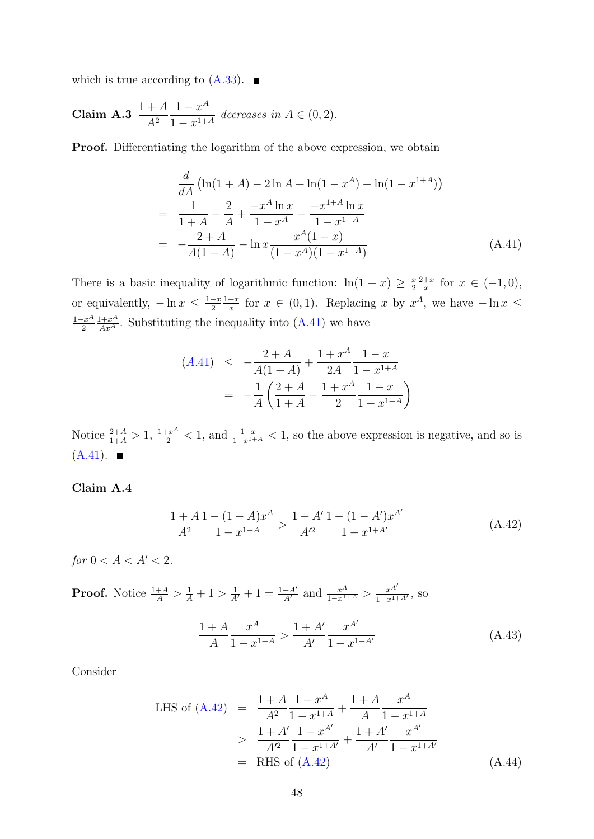<span id="page-47-1"></span>which is true according to  $(A.33)$ .

**Claim A.3** 
$$
\frac{1+A}{A^2} \frac{1-x^A}{1-x^{1+A}}
$$
 decreases in  $A \in (0,2)$ .

Proof. Differentiating the logarithm of the above expression, we obtain

$$
\frac{d}{dA} \left( \ln(1+A) - 2\ln A + \ln(1-x^A) - \ln(1-x^{1+A}) \right)
$$
\n
$$
= \frac{1}{1+A} - \frac{2}{A} + \frac{-x^A \ln x}{1-x^A} - \frac{-x^{1+A} \ln x}{1-x^{1+A}}
$$
\n
$$
= -\frac{2+A}{A(1+A)} - \ln x \frac{x^A(1-x)}{(1-x^A)(1-x^{1+A})}
$$
\n(A.41)

There is a basic inequality of logarithmic function:  $\ln(1+x) \geq \frac{x}{2}$ 2  $2+x$  $\frac{+x}{x}$  for  $x \in (-1,0)$ , or equivalently,  $-\ln x \leq \frac{1-x}{2}$ 2  $1+x$  $\frac{+x}{x}$  for  $x \in (0,1)$ . Replacing x by  $x^A$ , we have  $-\ln x \leq$  $1-x^A$ 2  $\frac{1+x^A}{Ax^A}$ . Substituting the inequality into  $(A.41)$  we have

<span id="page-47-0"></span>
$$
(A.41) \le -\frac{2+A}{A(1+A)} + \frac{1+x^A}{2A} \frac{1-x}{1-x^{1+A}}
$$

$$
= -\frac{1}{A} \left( \frac{2+A}{1+A} - \frac{1+x^A}{2} \frac{1-x}{1-x^{1+A}} \right)
$$

Notice  $\frac{2+A}{1+A} > 1$ ,  $\frac{1+x^A}{2} < 1$ , and  $\frac{1-x}{1-x^{1+A}} < 1$ , so the above expression is negative, and so is  $(A.41)$ .

#### Claim A.4

$$
\frac{1+A}{A^2} \frac{1-(1-A)x^A}{1-x^{1+A}} > \frac{1+A'}{A'^2} \frac{1-(1-A')x^{A'}}{1-x^{1+A'}} \tag{A.42}
$$

for  $0 < A < A' < 2$ .

**Proof.** Notice  $\frac{1+A}{A} > \frac{1}{A} + 1 > \frac{1}{A'} + 1 = \frac{1+A'}{A'}$  and  $\frac{x^A}{1-x^{1+A}} > \frac{x^{A'}}{1-x^{1+A'}},$  so

<span id="page-47-2"></span>
$$
\frac{1+A}{A} \frac{x^A}{1-x^{1+A}} > \frac{1+A'}{A'} \frac{x^{A'}}{1-x^{1+A'}} \tag{A.43}
$$

Consider

LHS of (A.42) = 
$$
\frac{1+A}{A^2} \frac{1-x^A}{1-x^{1+A}} + \frac{1+A}{A} \frac{x^A}{1-x^{1+A}}
$$

$$
> \frac{1+A'}{A'^2} \frac{1-x^{A'}}{1-x^{1+A'}} + \frac{1+A'}{A'} \frac{x^{A'}}{1-x^{1+A'}}
$$

$$
= \text{RHS of (A.42)} \qquad (A.44)
$$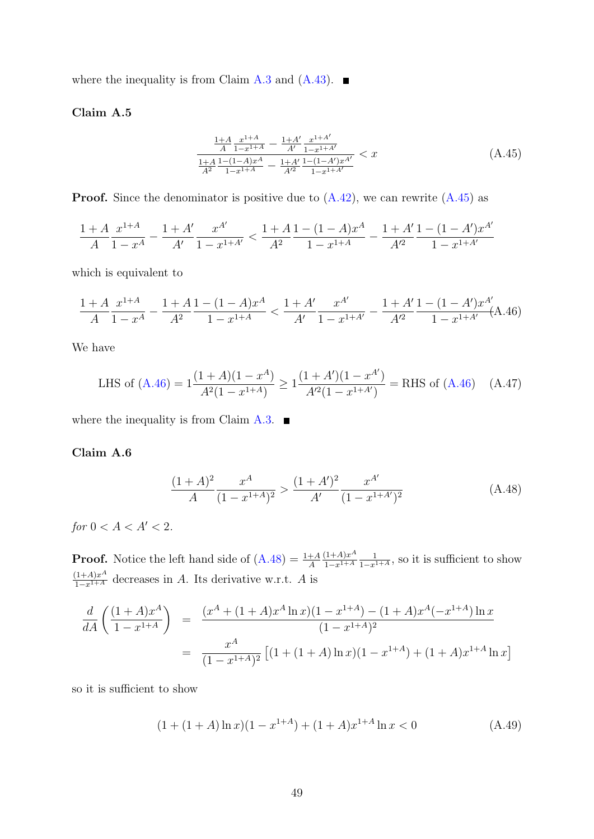where the inequality is from Claim [A.3](#page-47-1) and  $(A.43)$ .

#### Claim A.5

<span id="page-48-0"></span>
$$
\frac{\frac{1+A}{A} \frac{x^{1+A}}{1-x^{1+A}} - \frac{1+A'}{A'} \frac{x^{1+A'}}{1-x^{1+A'}}}{\frac{1+A}{A^2} \frac{1-(1-A)x^A}{1-x^{1+A}} - \frac{1+A'}{A'^2} \frac{1-(1-A')x^{A'}}{1-x^{1+A'}}} < x \tag{A.45}
$$

**Proof.** Since the denominator is positive due to  $(A.42)$ , we can rewrite  $(A.45)$  as

<span id="page-48-1"></span>
$$
\frac{1+A}{A} \frac{x^{1+A}}{1-x^A} - \frac{1+A'}{A'} \frac{x^{A'}}{1-x^{1+A'}} < \frac{1+A}{A^2} \frac{1-(1-A)x^A}{1-x^{1+A}} - \frac{1+A'}{A'^2} \frac{1-(1-A')x^{A'}}{1-x^{1+A'}}
$$

which is equivalent to

$$
\frac{1+A}{A} \frac{x^{1+A}}{1-x^A} - \frac{1+A}{A^2} \frac{1-(1-A)x^A}{1-x^{1+A}} < \frac{1+A'}{A'} \frac{x^{A'}}{1-x^{1+A'}} - \frac{1+A'}{A'^2} \frac{1-(1-A')x^{A'}}{1-x^{1+A'}} \text{(A.46)}
$$

We have

LHS of (A.46) = 
$$
1 \frac{(1+A)(1-x^A)}{A^2(1-x^{1+A})} \ge 1 \frac{(1+A')(1-x^{A'})}{A'^2(1-x^{1+A'})}
$$
 = RHS of (A.46) (A.47)

where the inequality is from Claim [A.3.](#page-47-1)  $\blacksquare$ 

#### Claim A.6

<span id="page-48-2"></span>
$$
\frac{(1+A)^2}{A} \frac{x^A}{(1-x^{1+A})^2} > \frac{(1+A')^2}{A'} \frac{x^{A'}}{(1-x^{1+A'})^2}
$$
(A.48)

for  $0 < A < A' < 2$ .

**Proof.** Notice the left hand side of  $(A.48) = \frac{1+A}{A}$  $(A.48) = \frac{1+A}{A}$  $(1+A)x^A$  $1-x^{1+A}$  $\frac{1}{1-x^{1+A}}$ , so it is sufficient to show  $\frac{(1+A)x^A}{1-x^{1+A}}$  decreases in A. Its derivative w.r.t. A is

$$
\frac{d}{dA} \left( \frac{(1+A)x^A}{1-x^{1+A}} \right) = \frac{(x^A + (1+A)x^A \ln x)(1-x^{1+A}) - (1+A)x^A(-x^{1+A}) \ln x}{(1-x^{1+A})^2}
$$

$$
= \frac{x^A}{(1-x^{1+A})^2} \left[ (1+(1+A)\ln x)(1-x^{1+A}) + (1+A)x^{1+A} \ln x \right]
$$

so it is sufficient to show

$$
(1 + (1 + A)\ln x)(1 - x^{1+A}) + (1 + A)x^{1+A}\ln x < 0 \tag{A.49}
$$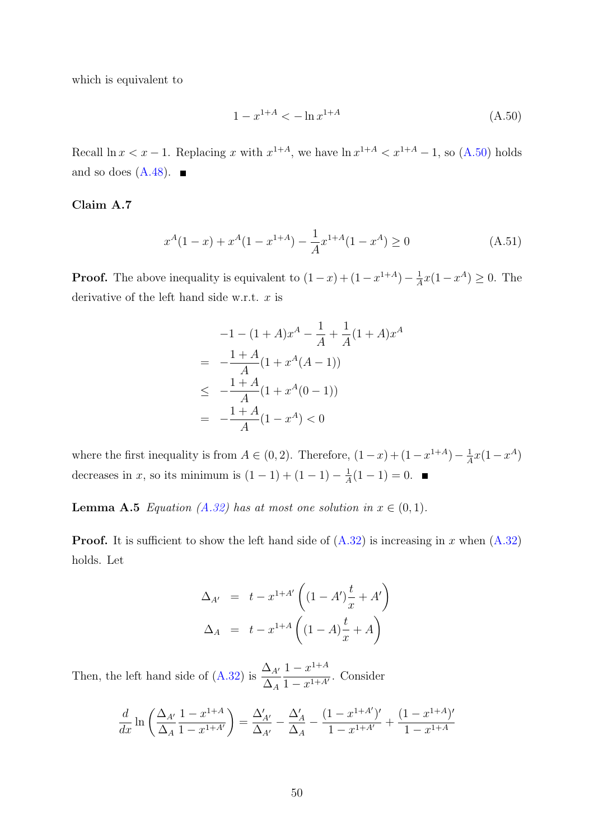which is equivalent to

<span id="page-49-0"></span>
$$
1 - x^{1+A} < -\ln x^{1+A} \tag{A.50}
$$

Recall  $\ln x < x - 1$ . Replacing x with  $x^{1+A}$ , we have  $\ln x^{1+A} < x^{1+A} - 1$ , so  $(A.50)$  holds and so does  $(A.48)$ .

#### Claim A.7

<span id="page-49-1"></span>
$$
x^{A}(1-x) + x^{A}(1-x^{1+A}) - \frac{1}{A}x^{1+A}(1-x^{A}) \ge 0
$$
\n(A.51)

**Proof.** The above inequality is equivalent to  $(1-x)+(1-x^{1+A})-\frac{1}{4}$  $\frac{1}{A}x(1-x^A) \geq 0$ . The derivative of the left hand side w.r.t.  $x$  is

$$
-1 - (1+A)x^{A} - \frac{1}{A} + \frac{1}{A}(1+A)x^{A}
$$
  
= 
$$
-\frac{1+A}{A}(1+x^{A}(A-1))
$$
  

$$
\leq -\frac{1+A}{A}(1+x^{A}(0-1))
$$
  
= 
$$
-\frac{1+A}{A}(1-x^{A}) < 0
$$

where the first inequality is from  $A \in (0, 2)$ . Therefore,  $(1-x)+(1-x^{1+A})-\frac{1}{4}$  $\frac{1}{A}x(1-x^A)$ decreases in x, so its minimum is  $(1-1) + (1-1) - \frac{1}{4}$  $\frac{1}{A}(1-1)=0.$ 

**Lemma A.5** Equation [\(A.32\)](#page-43-0) has at most one solution in  $x \in (0,1)$ .

**Proof.** It is sufficient to show the left hand side of  $(A.32)$  is increasing in x when  $(A.32)$ holds. Let

$$
\Delta_{A'} = t - x^{1+A'} \left( (1 - A') \frac{t}{x} + A' \right) \n\Delta_A = t - x^{1+A} \left( (1 - A) \frac{t}{x} + A \right)
$$

Then, the left hand side of [\(A.32\)](#page-43-0) is  $\frac{\Delta A}{\Delta}$  $\Delta_A$  $1 - x^{1+A}$  $\frac{1-x}{1-x^{1+A'}}$ . Consider

$$
\frac{d}{dx}\ln\left(\frac{\Delta_{A'}}{\Delta_A}\frac{1-x^{1+A}}{1-x^{1+A'}}\right) = \frac{\Delta'_{A'}}{\Delta_{A'}} - \frac{\Delta'_{A}}{\Delta_A} - \frac{(1-x^{1+A'})'}{1-x^{1+A'}} + \frac{(1-x^{1+A})'}{1-x^{1+A}}
$$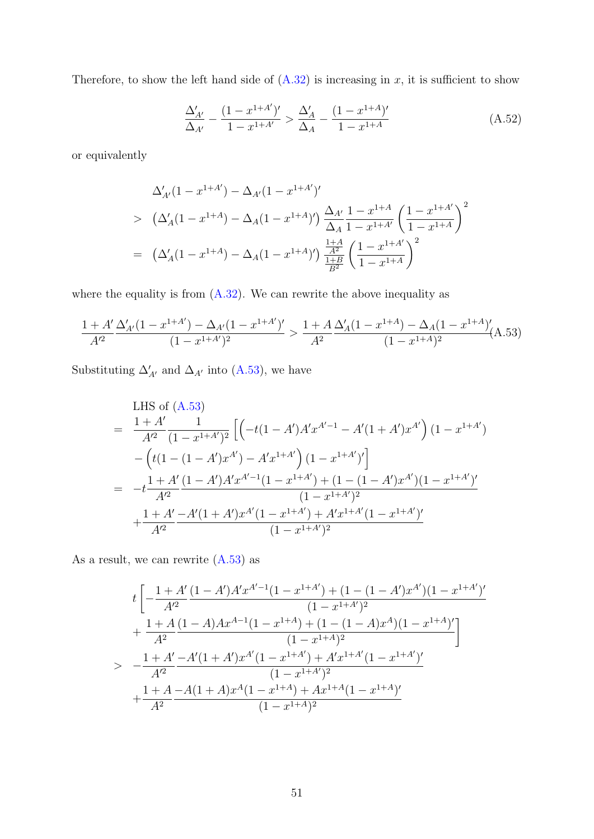Therefore, to show the left hand side of  $(A.32)$  is increasing in x, it is sufficient to show

$$
\frac{\Delta'_{A'}}{\Delta_{A'}} - \frac{(1 - x^{1+A'})'}{1 - x^{1+A'}} > \frac{\Delta'_{A}}{\Delta_{A}} - \frac{(1 - x^{1+A})'}{1 - x^{1+A}}
$$
\n(A.52)

or equivalently

<span id="page-50-0"></span>
$$
\Delta'_{A'}(1 - x^{1+A'}) - \Delta_{A'}(1 - x^{1+A'})'
$$
\n
$$
> (\Delta'_{A}(1 - x^{1+A}) - \Delta_{A}(1 - x^{1+A})') \frac{\Delta_{A'}}{\Delta_{A}} \frac{1 - x^{1+A'}}{1 - x^{1+A'}} \left(\frac{1 - x^{1+A'}}{1 - x^{1+A}}\right)^2
$$
\n
$$
= (\Delta'_{A}(1 - x^{1+A}) - \Delta_{A}(1 - x^{1+A})') \frac{\frac{1+A}{A^2}}{\frac{1+B}{B^2}} \left(\frac{1 - x^{1+A'}}{1 - x^{1+A}}\right)^2
$$

where the equality is from  $(A.32)$ . We can rewrite the above inequality as

$$
\frac{1+A'}{A'^2} \frac{\Delta'_{A'}(1-x^{1+A'}) - \Delta_{A'}(1-x^{1+A'})'}{(1-x^{1+A'})^2} > \frac{1+A}{A^2} \frac{\Delta'_{A}(1-x^{1+A}) - \Delta_{A}(1-x^{1+A})'}{(1-x^{1+A})^2} (A.53)
$$

Substituting  $\Delta'_{A'}$  and  $\Delta_{A'}$  into [\(A.53\)](#page-50-0), we have

<span id="page-50-1"></span>LHS of (A.53)  
\n
$$
= \frac{1+A'}{A'^2} \frac{1}{(1-x^{1+A'})^2} \left[ \left( -t(1-A')A'x^{A'-1} - A'(1+A')x^{A'} \right) (1-x^{1+A'}) - \left( t(1-(1-A')x^{A'}) - A'x^{1+A'} \right) (1-x^{1+A'})' \right]
$$
\n
$$
= -t \frac{1+A'}{A'^2} \frac{(1-A')A'x^{A'-1}(1-x^{1+A'}) + (1-(1-A')x^{A'})(1-x^{1+A'})'}{(1-x^{1+A'})^2}
$$
\n
$$
+ \frac{1+A'}{A'^2} \frac{-A'(1+A')x^{A'}(1-x^{1+A'}) + A'x^{1+A'}(1-x^{1+A'})'}{(1-x^{1+A'})^2}
$$

As a result, we can rewrite [\(A.53\)](#page-50-0) as

$$
t\left[-\frac{1+A'}{A'^2}\frac{(1-A')A'x^{A'-1}(1-x^{1+A'})+(1-(1-A')x^{A'})(1-x^{1+A'})'}{(1-x^{1+A'})^2}\right.+\frac{1+A}{A^2}\frac{(1-A)Ax^{A-1}(1-x^{1+A})+(1-(1-A)x^A)(1-x^{1+A})'}{(1-x^{1+A})^2}\right]> -\frac{1+A'}{A'^2}\frac{-A'(1+A')x^{A'}(1-x^{1+A'})+A'x^{1+A'}(1-x^{1+A'})'}{(1-x^{1+A'})^2}+\frac{1+A}{A^2}\frac{-A(1+A)x^A(1-x^{1+A})+Ax^{1+A}(1-x^{1+A})'}{(1-x^{1+A})^2}
$$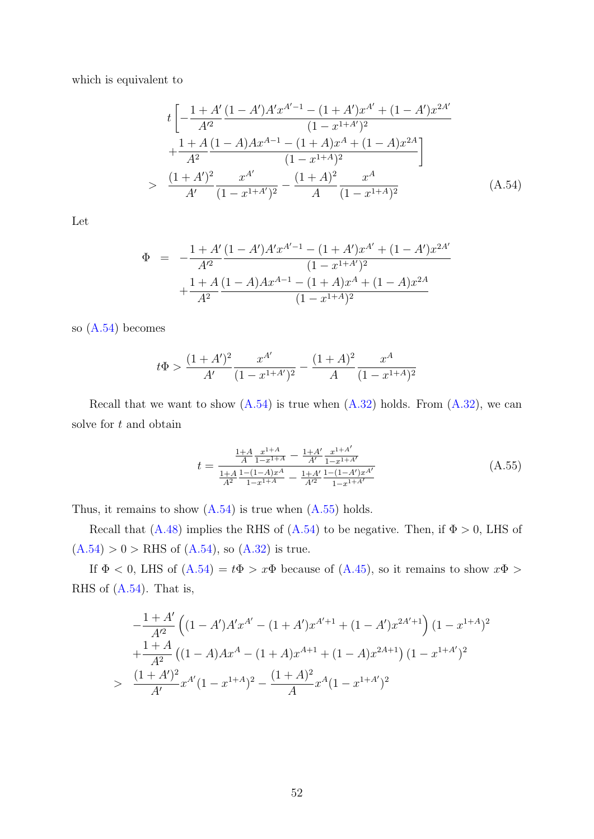which is equivalent to

$$
t\left[-\frac{1+A'}{A'^2}\frac{(1-A')A'x^{A'-1}-(1+A')x^{A'}+(1-A')x^{2A'}}{(1-x^{1+A'})^2} +\frac{1+A}{A^2}\frac{(1-A)Ax^{A-1}-(1+A)x^A+(1-A)x^{2A}}{(1-x^{1+A})^2}\right]
$$
  
> 
$$
\frac{(1+A')^2}{A'}\frac{x^{A'}}{(1-x^{1+A'})^2} - \frac{(1+A)^2}{A}\frac{x^A}{(1-x^{1+A})^2}
$$
(A.54)

Let

<span id="page-51-0"></span>
$$
\Phi = -\frac{1 + A'}{A'^2} \frac{(1 - A')A'x^{A'-1} - (1 + A')x^{A'} + (1 - A')x^{2A'}}{(1 - x^{1+A'})^2} + \frac{1 + A}{A^2} \frac{(1 - A)Ax^{A-1} - (1 + A)x^A + (1 - A)x^{2A}}{(1 - x^{1+A})^2}
$$

so [\(A.54\)](#page-50-1) becomes

$$
t\Phi > \frac{(1+A')^2}{A'}\frac{x^{A'}}{(1-x^{1+A'})^2} - \frac{(1+A)^2}{A}\frac{x^A}{(1-x^{1+A})^2}
$$

Recall that we want to show  $(A.54)$  is true when  $(A.32)$  holds. From  $(A.32)$ , we can solve for  $t$  and obtain

$$
t = \frac{\frac{1+A}{A} \frac{x^{1+A}}{1-x^{1+A}} - \frac{1+A'}{A'} \frac{x^{1+A'}}{1-x^{1+A'}}}{\frac{1+A}{A^2} \frac{1-(1-A)x^A}{1-x^{1+A}} - \frac{1+A'}{A'^2} \frac{1-(1-A')x^{A'}}{1-x^{1+A'}}}
$$
(A.55)

Thus, it remains to show  $(A.54)$  is true when  $(A.55)$  holds.

Recall that [\(A.48\)](#page-48-2) implies the RHS of [\(A.54\)](#page-50-1) to be negative. Then, if  $\Phi > 0$ , LHS of  $(A.54) > 0 >$  $(A.54) > 0 >$  RHS of  $(A.54)$ , so  $(A.32)$  is true.

If  $\Phi$  < 0, LHS of  $(A.54) = t\Phi > x\Phi$  $(A.54) = t\Phi > x\Phi$  because of  $(A.45)$ , so it remains to show  $x\Phi >$ RHS of [\(A.54\)](#page-50-1). That is,

<span id="page-51-1"></span>
$$
-\frac{1+A'}{A'^2} \left( (1-A')A'x^{A'} - (1+A')x^{A'+1} + (1-A')x^{2A'+1} \right) (1-x^{1+A})^2
$$
  
+ 
$$
\frac{1+A}{A^2} \left( (1-A)Ax^A - (1+A)x^{A+1} + (1-A)x^{2A+1} \right) (1-x^{1+A'})^2
$$
  
> 
$$
\frac{(1+A')^2}{A'}x^{A'}(1-x^{1+A})^2 - \frac{(1+A)^2}{A}x^A(1-x^{1+A'})^2
$$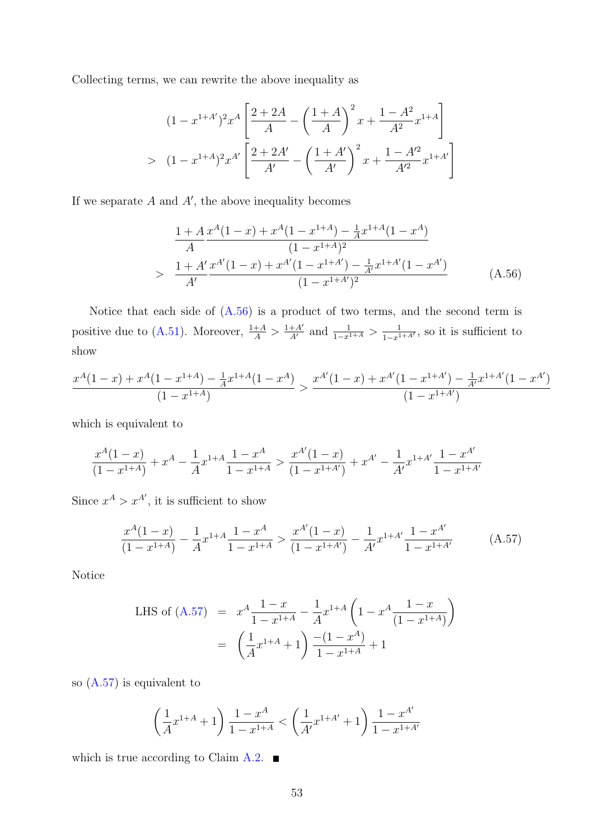Collecting terms, we can rewrite the above inequality as

$$
(1 - x^{1+A'})^2 x^A \left[ \frac{2+2A}{A} - \left( \frac{1+A}{A} \right)^2 x + \frac{1-A^2}{A^2} x^{1+A} \right]
$$
  
> 
$$
(1 - x^{1+A})^2 x^{A'} \left[ \frac{2+2A'}{A'} - \left( \frac{1+A'}{A'} \right)^2 x + \frac{1-A'^2}{A'^2} x^{1+A'} \right]
$$

If we separate  $A$  and  $A'$ , the above inequality becomes

$$
\frac{1+A}{A} \frac{x^A(1-x) + x^A(1-x^{1+A}) - \frac{1}{A}x^{1+A}(1-x^A)}{(1-x^{1+A})^2}
$$
\n
$$
> \frac{1+A'}{A'} \frac{x^{A'}(1-x) + x^{A'}(1-x^{1+A'}) - \frac{1}{A'}x^{1+A'}(1-x^{A'})}{(1-x^{1+A'})^2}
$$
\n(A.56)

Notice that each side of [\(A.56\)](#page-51-1) is a product of two terms, and the second term is positive due to [\(A.51\)](#page-49-1). Moreover,  $\frac{1+A}{A} > \frac{1+A'}{A'}$  and  $\frac{1}{1-x^{1+A}} > \frac{1}{1-x^{1+A'}}$ , so it is sufficient to show

<span id="page-52-0"></span>
$$
\frac{x^A(1-x) + x^A(1-x^{1+A}) - \frac{1}{A}x^{1+A}(1-x^A)}{(1-x^{1+A})} > \frac{x^{A'}(1-x) + x^{A'}(1-x^{1+A'}) - \frac{1}{A'}x^{1+A'}(1-x^{A'})}{(1-x^{1+A'})}
$$

which is equivalent to

$$
\frac{x^A(1-x)}{(1-x^{1+A})}+x^A-\frac{1}{A}x^{1+A}\frac{1-x^A}{1-x^{1+A}} > \frac{x^{A'}(1-x)}{(1-x^{1+A'})}+x^{A'}-\frac{1}{A'}x^{1+A'}\frac{1-x^{A'}}{1-x^{1+A'}}
$$

Since  $x^A > x^{A'}$ , it is sufficient to show

$$
\frac{x^A(1-x)}{(1-x^{1+A})} - \frac{1}{A}x^{1+A} \frac{1-x^A}{1-x^{1+A}} > \frac{x^{A'}(1-x)}{(1-x^{1+A'})} - \frac{1}{A'}x^{1+A'} \frac{1-x^{A'}}{1-x^{1+A'}} \tag{A.57}
$$

Notice

LHS of (A.57) = 
$$
x^A \frac{1-x}{1-x^{1+A}} - \frac{1}{A} x^{1+A} \left(1 - x^A \frac{1-x}{(1-x^{1+A})}\right)
$$
  
=  $\left(\frac{1}{A} x^{1+A} + 1\right) \frac{-(1-x^A)}{1-x^{1+A}} + 1$ 

so [\(A.57\)](#page-52-0) is equivalent to

$$
\left(\frac{1}{A}x^{1+A} + 1\right)\frac{1-x^A}{1-x^{1+A}} < \left(\frac{1}{A'}x^{1+A'} + 1\right)\frac{1-x^{A'}}{1-x^{1+A'}}
$$

which is true according to Claim [A.2.](#page-45-3)  $\blacksquare$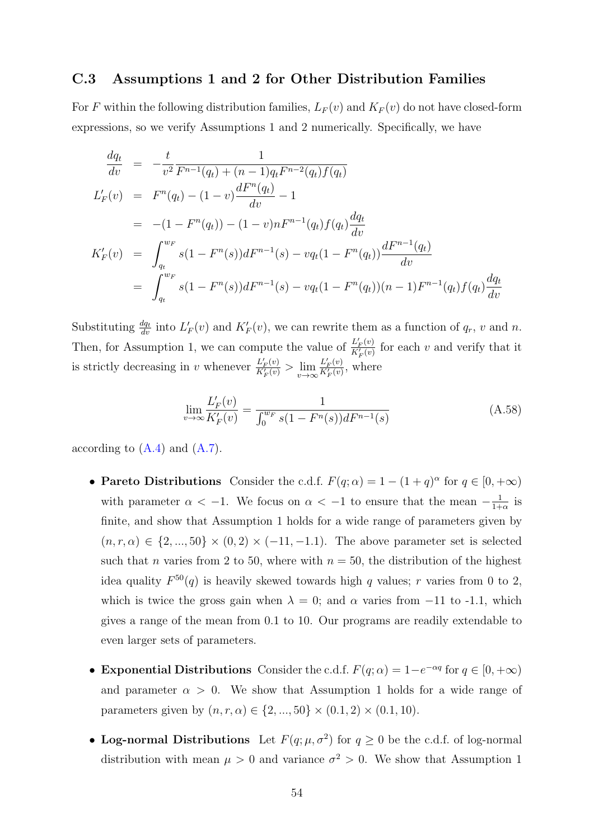#### C.3 Assumptions 1 and 2 for Other Distribution Families

For F within the following distribution families,  $L_F(v)$  and  $K_F(v)$  do not have closed-form expressions, so we verify Assumptions 1 and 2 numerically. Specifically, we have

$$
\frac{dq_t}{dv} = -\frac{t}{v^2} \frac{1}{F^{n-1}(q_t) + (n-1)q_t F^{n-2}(q_t) f(q_t)}
$$
\n
$$
L'_F(v) = F^n(q_t) - (1-v) \frac{dF^n(q_t)}{dv} - 1
$$
\n
$$
= -(1 - F^n(q_t)) - (1-v) n F^{n-1}(q_t) f(q_t) \frac{dq_t}{dv}
$$
\n
$$
K'_F(v) = \int_{q_t}^{w_F} s(1 - F^n(s)) dF^{n-1}(s) - v q_t (1 - F^n(q_t)) \frac{dF^{n-1}(q_t)}{dv}
$$
\n
$$
= \int_{q_t}^{w_F} s(1 - F^n(s)) dF^{n-1}(s) - v q_t (1 - F^n(q_t))(n - 1) F^{n-1}(q_t) f(q_t) \frac{dq_t}{dv}
$$

Substituting  $\frac{dq_t}{dv}$  into  $L'_F(v)$  and  $K'_F(v)$ , we can rewrite them as a function of  $q_r$ , v and n. Then, for Assumption 1, we can compute the value of  $\frac{L'_{F}(v)}{K'(v)}$  $\frac{L_F(v)}{K'_F(v)}$  for each v and verify that it is strictly decreasing in v whenever  $\frac{L'_{F}(v)}{K'_{F}(v)} > \lim \frac{L'_{F}(v)}{K'_{F}(v)}$ , w  $\frac{L'_{F}(v)}{K'_{F}(v)} > \lim_{v \to \infty} \frac{L'_{F}(v)}{K'_{F}(v)}$  $\frac{L_F(v)}{K_F'(v)}$ , where

$$
\lim_{v \to \infty} \frac{L'_F(v)}{K'_F(v)} = \frac{1}{\int_0^{w_F} s(1 - F^n(s))dF^{n-1}(s)} \tag{A.58}
$$

according to  $(A.4)$  and  $(A.7)$ .

- Pareto Distributions Consider the c.d.f.  $F(q; \alpha) = 1 (1 + q)^{\alpha}$  for  $q \in [0, +\infty)$ with parameter  $\alpha < -1$ . We focus on  $\alpha < -1$  to ensure that the mean  $-\frac{1}{1+1}$  $\frac{1}{1+\alpha}$  is finite, and show that Assumption 1 holds for a wide range of parameters given by  $(n, r, \alpha) \in \{2, \ldots, 50\} \times (0, 2) \times (-11, -1.1)$ . The above parameter set is selected such that *n* varies from 2 to 50, where with  $n = 50$ , the distribution of the highest idea quality  $F^{50}(q)$  is heavily skewed towards high q values; r varies from 0 to 2, which is twice the gross gain when  $\lambda = 0$ ; and  $\alpha$  varies from -11 to -1.1, which gives a range of the mean from 0.1 to 10. Our programs are readily extendable to even larger sets of parameters.
- Exponential Distributions Consider the c.d.f.  $F(q; \alpha) = 1 e^{-\alpha q}$  for  $q \in [0, +\infty)$ and parameter  $\alpha > 0$ . We show that Assumption 1 holds for a wide range of parameters given by  $(n, r, \alpha) \in \{2, ..., 50\} \times (0.1, 2) \times (0.1, 10)$ .
- Log-normal Distributions Let  $F(q; \mu, \sigma^2)$  for  $q \ge 0$  be the c.d.f. of log-normal distribution with mean  $\mu > 0$  and variance  $\sigma^2 > 0$ . We show that Assumption 1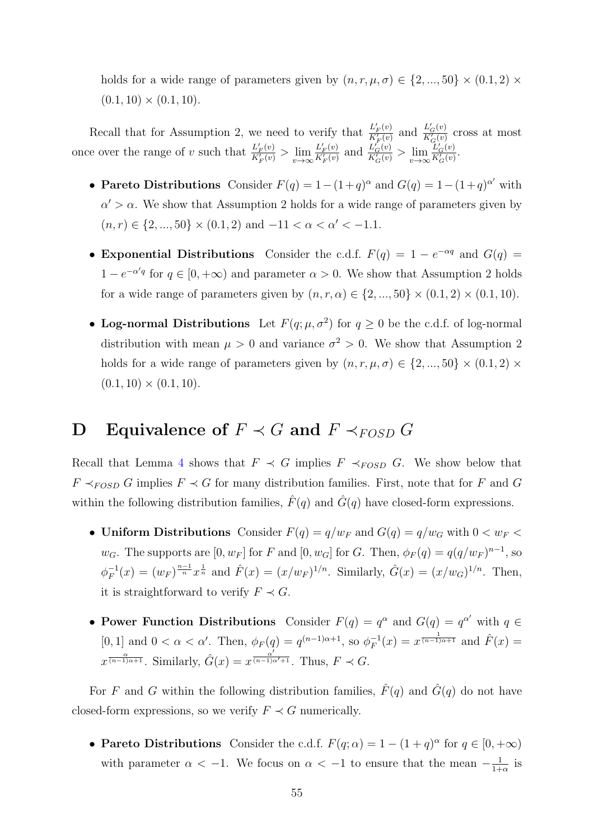holds for a wide range of parameters given by  $(n, r, \mu, \sigma) \in \{2, ..., 50\} \times (0.1, 2) \times$  $(0.1, 10) \times (0.1, 10).$ 

Recall that for Assumption 2, we need to verify that  $\frac{L'_{F}(v)}{K'(v)}$  $rac{L'_F(v)}{K'_F(v)}$  and  $rac{L'_G(v)}{K'_G(v)}$  $rac{L_G(v)}{K_G(v)}$  cross at most once over the range of v such that  $\frac{L'_F(v)}{K'(v)}$  $\frac{L'_{F}(v)}{K'_{F}(v)} > \lim_{v \to \infty} \frac{L'_{F}(v)}{K'_{F}(v)}$  $rac{L'_{F}(v)}{K'_{F}(v)}$  and  $rac{L'_{G}(v)}{K'_{G}(v)}$  $\frac{L_G'(v)}{K_G'(v)} > \lim_{v \to \infty} \frac{L_G'(v)}{K_G'(v)}$  $rac{L_G(v)}{K_G'(v)}$ .

- Pareto Distributions Consider  $F(q) = 1 (1+q)^{\alpha}$  and  $G(q) = 1 (1+q)^{\alpha'}$  with  $\alpha' > \alpha$ . We show that Assumption 2 holds for a wide range of parameters given by  $(n, r) \in \{2, ..., 50\} \times (0.1, 2) \text{ and } -11 < \alpha < \alpha' < -1.1.$
- Exponential Distributions Consider the c.d.f.  $F(q) = 1 e^{-\alpha q}$  and  $G(q) =$  $1 - e^{-\alpha' q}$  for  $q \in [0, +\infty)$  and parameter  $\alpha > 0$ . We show that Assumption 2 holds for a wide range of parameters given by  $(n, r, \alpha) \in \{2, ..., 50\} \times (0.1, 2) \times (0.1, 10)$ .
- Log-normal Distributions Let  $F(q; \mu, \sigma^2)$  for  $q \ge 0$  be the c.d.f. of log-normal distribution with mean  $\mu > 0$  and variance  $\sigma^2 > 0$ . We show that Assumption 2 holds for a wide range of parameters given by  $(n, r, \mu, \sigma) \in \{2, ..., 50\} \times (0.1, 2) \times$  $(0.1, 10) \times (0.1, 10).$

## D Equivalence of  $F \prec G$  and  $F \prec_{FOSD} G$

Recall that Lemma [4](#page-12-1) shows that  $F \prec G$  implies  $F \prec_{FOSD} G$ . We show below that  $F \prec_{FOSD} G$  implies  $F \prec G$  for many distribution families. First, note that for F and G within the following distribution families,  $\hat{F}(q)$  and  $\hat{G}(q)$  have closed-form expressions.

- Uniform Distributions Consider  $F(q) = q/w_F$  and  $G(q) = q/w_G$  with  $0 < w_F <$  $w_G$ . The supports are  $[0, w_F]$  for F and  $[0, w_G]$  for G. Then,  $\phi_F(q) = q(q/w_F)^{n-1}$ , so  $\phi_F^{-1}$  $F_F^{-1}(x) = (w_F)^{\frac{n-1}{n}} x^{\frac{1}{n}}$  and  $\hat{F}(x) = (x/w_F)^{1/n}$ . Similarly,  $\hat{G}(x) = (x/w_G)^{1/n}$ . Then, it is straightforward to verify  $F \prec G$ .
- Power Function Distributions Consider  $F(q) = q^{\alpha}$  and  $G(q) = q^{\alpha'}$  with  $q \in$ [0, 1] and  $0 < \alpha < \alpha'$ . Then,  $\phi_F(q) = q^{(n-1)\alpha+1}$ , so  $\phi_F^{-1}$  $f(x) = q^{(n-1)\alpha+1}$ , so  $\phi_F^{-1}(x) = x^{\frac{1}{(n-1)\alpha+1}}$  and  $\hat{F}(x) =$  $x^{\frac{\alpha}{(n-1)\alpha+1}}$ . Similarly,  $\hat{G}(x) = x^{\frac{\alpha'}{(n-1)\alpha'+1}}$ . Thus,  $F \prec G$ .

For F and G within the following distribution families,  $\hat{F}(q)$  and  $\hat{G}(q)$  do not have closed-form expressions, so we verify  $F \prec G$  numerically.

• Pareto Distributions Consider the c.d.f.  $F(q; \alpha) = 1 - (1 + q)^{\alpha}$  for  $q \in [0, +\infty)$ with parameter  $\alpha < -1$ . We focus on  $\alpha < -1$  to ensure that the mean  $-\frac{1}{1+1}$  $\frac{1}{1+\alpha}$  is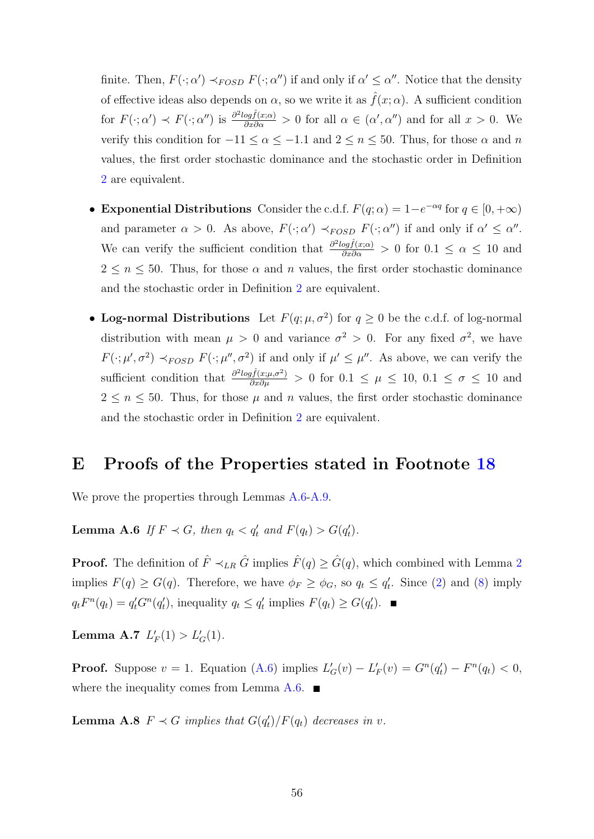finite. Then,  $F(\cdot; \alpha') \prec_{FOSD} F(\cdot; \alpha'')$  if and only if  $\alpha' \leq \alpha''$ . Notice that the density of effective ideas also depends on  $\alpha$ , so we write it as  $\hat{f}(x; \alpha)$ . A sufficient condition for  $F(\cdot; \alpha') \prec F(\cdot; \alpha'')$  is  $\frac{\partial^2 log f(x; \alpha)}{\partial x \partial \alpha} > 0$  for all  $\alpha \in (\alpha', \alpha'')$  and for all  $x > 0$ . We verify this condition for  $-11 \le \alpha \le -1.1$  and  $2 \le n \le 50$ . Thus, for those  $\alpha$  and  $n$ values, the first order stochastic dominance and the stochastic order in Definition [2](#page-11-1) are equivalent.

- Exponential Distributions Consider the c.d.f.  $F(q; \alpha) = 1 e^{-\alpha q}$  for  $q \in [0, +\infty)$ and parameter  $\alpha > 0$ . As above,  $F(\cdot; \alpha') \prec_{FOSD} F(\cdot; \alpha'')$  if and only if  $\alpha' \leq \alpha''$ . We can verify the sufficient condition that  $\frac{\partial^2 log \hat{f}(x;\alpha)}{\partial x \partial \alpha} > 0$  for  $0.1 \leq \alpha \leq 10$  and  $2 \leq n \leq 50$ . Thus, for those  $\alpha$  and  $n$  values, the first order stochastic dominance and the stochastic order in Definition [2](#page-11-1) are equivalent.
- Log-normal Distributions Let  $F(q; \mu, \sigma^2)$  for  $q \ge 0$  be the c.d.f. of log-normal distribution with mean  $\mu > 0$  and variance  $\sigma^2 > 0$ . For any fixed  $\sigma^2$ , we have  $F(\cdot;\mu',\sigma^2) \prec_{FOSD} F(\cdot;\mu'',\sigma^2)$  if and only if  $\mu' \leq \mu''$ . As above, we can verify the sufficient condition that  $\frac{\partial^2 log f(x;\mu,\sigma^2)}{\partial x \partial \mu} > 0$  for  $0.1 \leq \mu \leq 10, 0.1 \leq \sigma \leq 10$  and  $2 \leq n \leq 50$ . Thus, for those  $\mu$  and n values, the first order stochastic dominance and the stochastic order in Definition [2](#page-11-1) are equivalent.

### E Proofs of the Properties stated in Footnote [18](#page-16-0)

We prove the properties through Lemmas  $A.6-A.9$  $A.6-A.9$ .

**Lemma A.6** If  $F \prec G$ , then  $q_t < q'_t$  and  $F(q_t) > G(q'_t)$ .

**Proof.** The definition of  $\hat{F} \prec_{LR} \hat{G}$  implies  $\hat{F}(q) \geq \hat{G}(q)$ , which combined with Lemma [2](#page-10-0) implies  $F(q) \ge G(q)$ . Therefore, we have  $\phi_F \ge \phi_G$ , so  $q_t \le q'_t$ . Since [\(2\)](#page-8-0) and [\(8\)](#page-13-1) imply  $q_t F^n(q_t) = q'_t G^n(q'_t)$ , inequality  $q_t \le q'_t$  implies  $F(q_t) \ge G(q'_t)$ .

Lemma A.7  $L'_F(1) > L'_G(1)$ .

**Proof.** Suppose  $v = 1$ . Equation [\(A.6\)](#page-31-2) implies  $L'_{G}(v) - L'_{F}(v) = G^{n}(q'_{t}) - F^{n}(q_{t}) < 0$ , where the inequality comes from Lemma  $A.6$ .

**Lemma A.8**  $F \prec G$  implies that  $G(q_t')/F(q_t)$  decreases in v.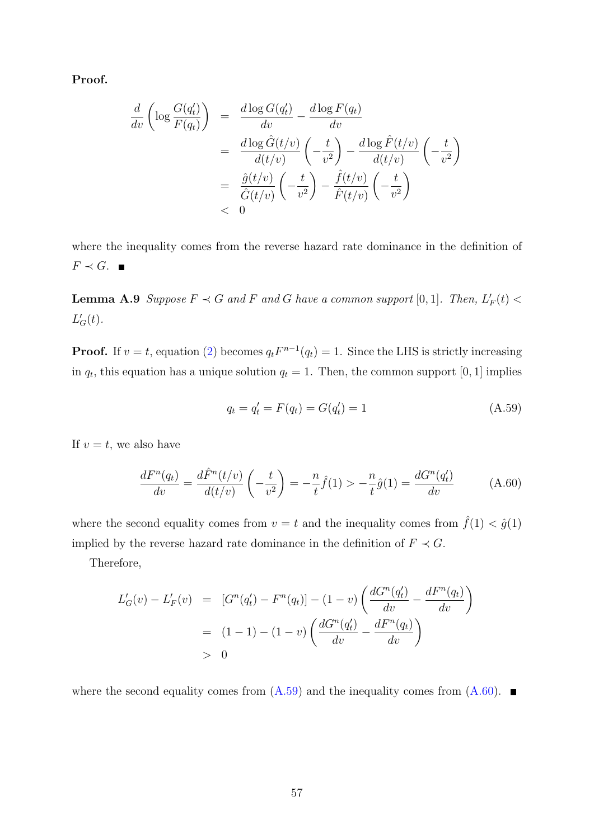Proof.

$$
\frac{d}{dv} \left( \log \frac{G(q'_t)}{F(q_t)} \right) = \frac{d \log G(q'_t)}{dv} - \frac{d \log F(q_t)}{dv}
$$
\n
$$
= \frac{d \log \hat{G}(t/v)}{d(t/v)} \left( -\frac{t}{v^2} \right) - \frac{d \log \hat{F}(t/v)}{d(t/v)} \left( -\frac{t}{v^2} \right)
$$
\n
$$
= \frac{\hat{g}(t/v)}{\hat{G}(t/v)} \left( -\frac{t}{v^2} \right) - \frac{\hat{f}(t/v)}{\hat{F}(t/v)} \left( -\frac{t}{v^2} \right)
$$
\n
$$
< 0
$$

where the inequality comes from the reverse hazard rate dominance in the definition of  $F \prec G$ .

<span id="page-56-0"></span>**Lemma A.9** Suppose  $F \prec G$  and F and G have a common support [0, 1]. Then,  $L'_F(t)$  <  $L_G'(t)$ .

**Proof.** If  $v = t$ , equation [\(2\)](#page-8-0) becomes  $q_t F^{n-1}(q_t) = 1$ . Since the LHS is strictly increasing in  $q_t$ , this equation has a unique solution  $q_t = 1$ . Then, the common support [0, 1] implies

<span id="page-56-1"></span>
$$
q_t = q'_t = F(q_t) = G(q'_t) = 1
$$
\n(A.59)

If  $v = t$ , we also have

<span id="page-56-2"></span>
$$
\frac{dF^n(q_t)}{dv} = \frac{d\hat{F}^n(t/v)}{d(t/v)} \left(-\frac{t}{v^2}\right) = -\frac{n}{t}\hat{f}(1) > -\frac{n}{t}\hat{g}(1) = \frac{dG^n(q_t')}{dv} \tag{A.60}
$$

where the second equality comes from  $v = t$  and the inequality comes from  $\hat{f}(1) < \hat{g}(1)$ implied by the reverse hazard rate dominance in the definition of  $F \prec G$ .

Therefore,

$$
L'_{G}(v) - L'_{F}(v) = [G^{n}(q'_{t}) - F^{n}(q_{t})] - (1 - v) \left( \frac{dG^{n}(q'_{t})}{dv} - \frac{dF^{n}(q_{t})}{dv} \right)
$$
  
= (1 - 1) - (1 - v) \left( \frac{dG^{n}(q'\_{t})}{dv} - \frac{dF^{n}(q\_{t})}{dv} \right)  
> 0

where the second equality comes from  $(A.59)$  and the inequality comes from  $(A.60)$ .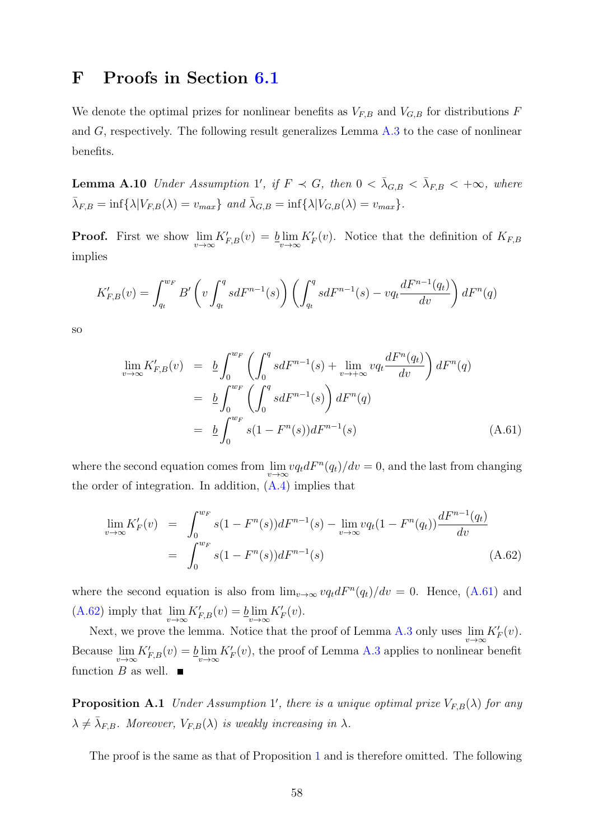### F Proofs in Section [6.1](#page-18-0)

We denote the optimal prizes for nonlinear benefits as  $V_{F,B}$  and  $V_{G,B}$  for distributions F and G, respectively. The following result generalizes Lemma [A.3](#page-11-0) to the case of nonlinear benefits.

<span id="page-57-2"></span>**Lemma A.10** Under Assumption 1', if  $F \prec G$ , then  $0 < \bar{\lambda}_{G,B} < \bar{\lambda}_{F,B} < +\infty$ , where  $\bar{\lambda}_{F,B} = \inf \{ \lambda | V_{F,B}(\lambda) = v_{max} \}$  and  $\bar{\lambda}_{G,B} = \inf \{ \lambda | V_{G,B}(\lambda) = v_{max} \}.$ 

**Proof.** First we show  $\lim_{v\to\infty} K_{F,B}'(v) = b \lim_{v\to\infty} K_F'(v)$ . Notice that the definition of  $K_{F,B}$ implies

$$
K_{F,B}'(v) = \int_{q_t}^{w_F} B' \left( v \int_{q_t}^q s dF^{n-1}(s) \right) \left( \int_{q_t}^q s dF^{n-1}(s) - v q_t \frac{dF^{n-1}(q_t)}{dv} \right) dF^n(q)
$$

so

<span id="page-57-0"></span>
$$
\lim_{v \to \infty} K'_{F,B}(v) = \underline{b} \int_0^{w_F} \left( \int_0^q s dF^{n-1}(s) + \lim_{v \to +\infty} v q_t \frac{dF^n(q_t)}{dv} \right) dF^n(q)
$$
  
\n
$$
= \underline{b} \int_0^{w_F} \left( \int_0^q s dF^{n-1}(s) \right) dF^n(q)
$$
  
\n
$$
= \underline{b} \int_0^{w_F} s (1 - F^n(s)) dF^{n-1}(s) \qquad (A.61)
$$

where the second equation comes from  $\lim_{v \to \infty} v q_t dF^n(q_t)/dv = 0$ , and the last from changing the order of integration. In addition,  $(A.4)$  implies that

<span id="page-57-1"></span>
$$
\lim_{v \to \infty} K'_F(v) = \int_0^{w_F} s(1 - F^n(s))dF^{n-1}(s) - \lim_{v \to \infty} vq_t(1 - F^n(q_t))\frac{dF^{n-1}(q_t)}{dv}
$$

$$
= \int_0^{w_F} s(1 - F^n(s))dF^{n-1}(s)
$$
(A.62)

where the second equation is also from  $\lim_{v\to\infty} v q_t dF^n(q_t)/dv = 0$ . Hence, [\(A.61\)](#page-57-0) and [\(A.62\)](#page-57-1) imply that  $\lim_{v \to \infty} K'_{F,B}(v) = \lim_{v \to \infty} K'_{F}(v)$ .

Next, we prove the lemma. Notice that the proof of Lemma [A.3](#page-11-0) only uses  $\lim_{v\to\infty} K'_F(v)$ . Because  $\lim_{v\to\infty} K'_{F,B}(v) = b\lim_{v\to\infty} K'_{F}(v)$ , the proof of Lemma [A.3](#page-11-0) applies to nonlinear benefit function B as well.  $\blacksquare$ 

**Proposition A.1** Under Assumption 1', there is a unique optimal prize  $V_{F,B}(\lambda)$  for any  $\lambda \neq \bar{\lambda}_{F,B}$ . Moreover,  $V_{F,B}(\lambda)$  is weakly increasing in  $\lambda$ .

The proof is the same as that of Proposition [1](#page-9-0) and is therefore omitted. The following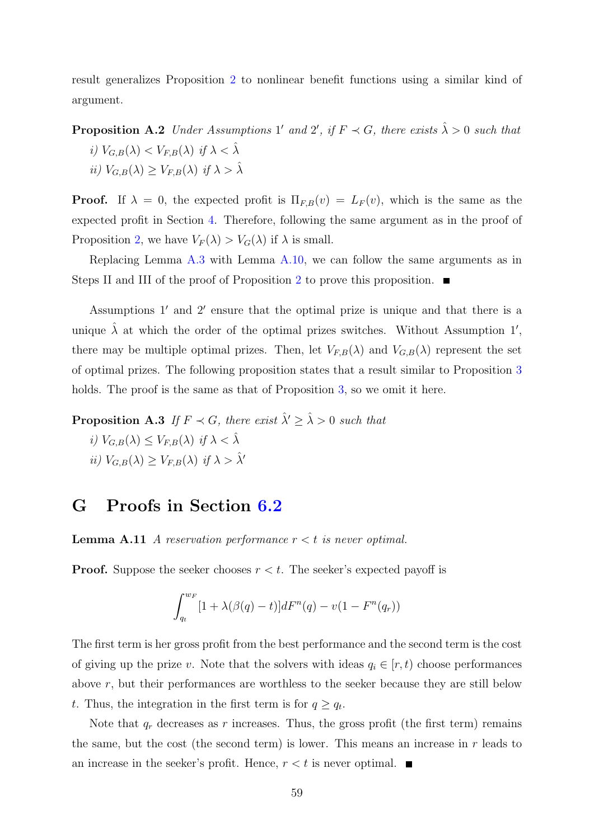result generalizes Proposition [2](#page-13-0) to nonlinear benefit functions using a similar kind of argument.

**Proposition A.2** Under Assumptions 1' and 2', if  $F \prec G$ , there exists  $\hat{\lambda} > 0$  such that i)  $V_{G,B}(\lambda) < V_{F,B}(\lambda)$  if  $\lambda < \hat{\lambda}$ 

$$
ii) V_{G,B}(\lambda) \ge V_{F,B}(\lambda) \text{ if } \lambda > \hat{\lambda}
$$

**Proof.** If  $\lambda = 0$ , the expected profit is  $\Pi_{F,B}(v) = L_F(v)$ , which is the same as the expected profit in Section [4.](#page-7-1) Therefore, following the same argument as in the proof of Proposition [2,](#page-13-0) we have  $V_F(\lambda) > V_G(\lambda)$  if  $\lambda$  is small.

Replacing Lemma [A.3](#page-11-0) with Lemma [A.10,](#page-57-2) we can follow the same arguments as in Steps II and III of the proof of Proposition [2](#page-13-0) to prove this proposition.  $\blacksquare$ 

Assumptions  $1'$  and  $2'$  ensure that the optimal prize is unique and that there is a unique  $\hat{\lambda}$  at which the order of the optimal prizes switches. Without Assumption 1', there may be multiple optimal prizes. Then, let  $V_{F,B}(\lambda)$  and  $V_{G,B}(\lambda)$  represent the set of optimal prizes. The following proposition states that a result similar to Proposition [3](#page-17-0) holds. The proof is the same as that of Proposition [3,](#page-17-0) so we omit it here.

**Proposition A.3** If  $F \prec G$ , there exist  $\hat{\lambda}' \geq \hat{\lambda} > 0$  such that

- i)  $V_{G,B}(\lambda) \leq V_{F,B}(\lambda)$  if  $\lambda < \hat{\lambda}$
- ii)  $V_{G,B}(\lambda) > V_{F,B}(\lambda)$  if  $\lambda > \lambda'$

## G Proofs in Section [6.2](#page-19-0)

**Lemma A.11** A reservation performance  $r < t$  is never optimal.

**Proof.** Suppose the seeker chooses  $r < t$ . The seeker's expected payoff is

<span id="page-58-0"></span>
$$
\int_{q_t}^{w_F} [1 + \lambda(\beta(q) - t)]dF^n(q) - v(1 - F^n(q_r))
$$

The first term is her gross profit from the best performance and the second term is the cost of giving up the prize v. Note that the solvers with ideas  $q_i \in [r, t)$  choose performances above r, but their performances are worthless to the seeker because they are still below t. Thus, the integration in the first term is for  $q \ge q_t$ .

Note that  $q_r$  decreases as r increases. Thus, the gross profit (the first term) remains the same, but the cost (the second term) is lower. This means an increase in  $r$  leads to an increase in the seeker's profit. Hence,  $r < t$  is never optimal.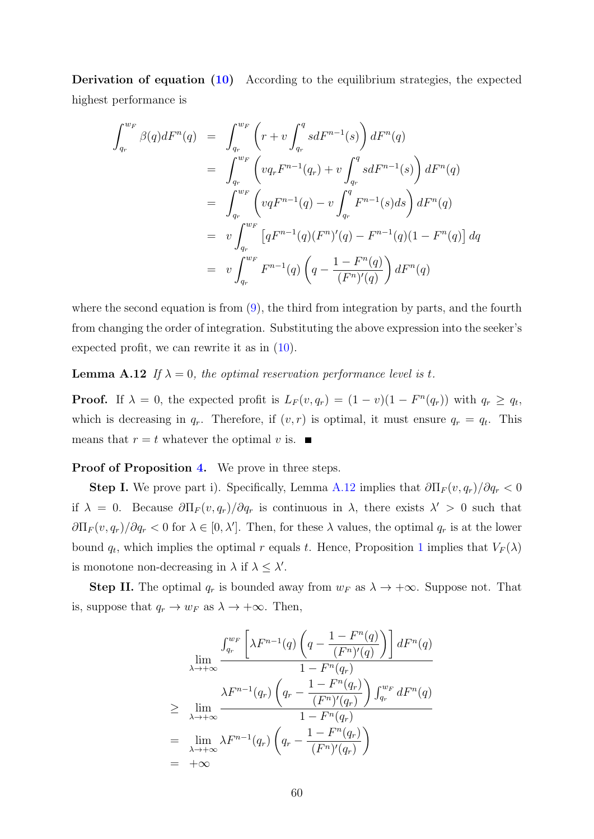Derivation of equation [\(10\)](#page-19-1) According to the equilibrium strategies, the expected highest performance is

$$
\int_{q_r}^{w_F} \beta(q) dF^n(q) = \int_{q_r}^{w_F} \left( r + v \int_{q_r}^q s dF^{n-1}(s) \right) dF^n(q)
$$
  
\n
$$
= \int_{q_r}^{w_F} \left( v q_r F^{n-1}(q_r) + v \int_{q_r}^q s dF^{n-1}(s) \right) dF^n(q)
$$
  
\n
$$
= \int_{q_r}^{w_F} \left( v q F^{n-1}(q) - v \int_{q_r}^q F^{n-1}(s) ds \right) dF^n(q)
$$
  
\n
$$
= v \int_{q_r}^{w_F} \left[ q F^{n-1}(q) (F^n)'(q) - F^{n-1}(q) (1 - F^n(q)) \right] dq
$$
  
\n
$$
= v \int_{q_r}^{w_F} F^{n-1}(q) \left( q - \frac{1 - F^n(q)}{(F^n)'(q)} \right) dF^n(q)
$$

where the second equation is from  $(9)$ , the third from integration by parts, and the fourth from changing the order of integration. Substituting the above expression into the seeker's expected profit, we can rewrite it as in [\(10\)](#page-19-1).

<span id="page-59-0"></span>**Lemma A.12** If  $\lambda = 0$ , the optimal reservation performance level is t.

**Proof.** If  $\lambda = 0$ , the expected profit is  $L_F(v, q_r) = (1 - v)(1 - F^{\prime\prime}(q_r))$  with  $q_r \ge q_t$ , which is decreasing in  $q_r$ . Therefore, if  $(v, r)$  is optimal, it must ensure  $q_r = q_t$ . This means that  $r = t$  whatever the optimal v is.

Proof of Proposition [4.](#page-20-0) We prove in three steps.

**Step I.** We prove part i). Specifically, Lemma [A.12](#page-59-0) implies that  $\frac{\partial \Pi_F(v, q_r)}{\partial q_r} < 0$ if  $\lambda = 0$ . Because  $\partial \Pi_F(v, q_r) / \partial q_r$  is continuous in  $\lambda$ , there exists  $\lambda' > 0$  such that  $\partial\Pi_F(v,q_r)/\partial q_r < 0$  for  $\lambda \in [0,\lambda']$ . Then, for these  $\lambda$  values, the optimal  $q_r$  is at the lower bound  $q_t$ , which implies the optimal r equals t. Hence, Proposition [1](#page-9-0) implies that  $V_F(\lambda)$ is monotone non-decreasing in  $\lambda$  if  $\lambda \leq \lambda'$ .

**Step II.** The optimal  $q_r$  is bounded away from  $w_F$  as  $\lambda \to +\infty$ . Suppose not. That is, suppose that  $q_r \to w_F$  as  $\lambda \to +\infty$ . Then,

$$
\lim_{\lambda \to +\infty} \frac{\int_{q_r}^{w_F} \left[ \lambda F^{n-1}(q) \left( q - \frac{1 - F^n(q)}{(F^n)'(q)} \right) \right] dF^n(q)}{1 - F^n(q_r)}
$$
\n
$$
\geq \lim_{\lambda \to +\infty} \frac{\lambda F^{n-1}(q_r) \left( q_r - \frac{1 - F^n(q_r)}{(F^n)'(q_r)} \right) \int_{q_r}^{w_F} dF^n(q)}{1 - F^n(q_r)}
$$
\n
$$
= \lim_{\lambda \to +\infty} \lambda F^{n-1}(q_r) \left( q_r - \frac{1 - F^n(q_r)}{(F^n)'(q_r)} \right)
$$
\n
$$
= +\infty
$$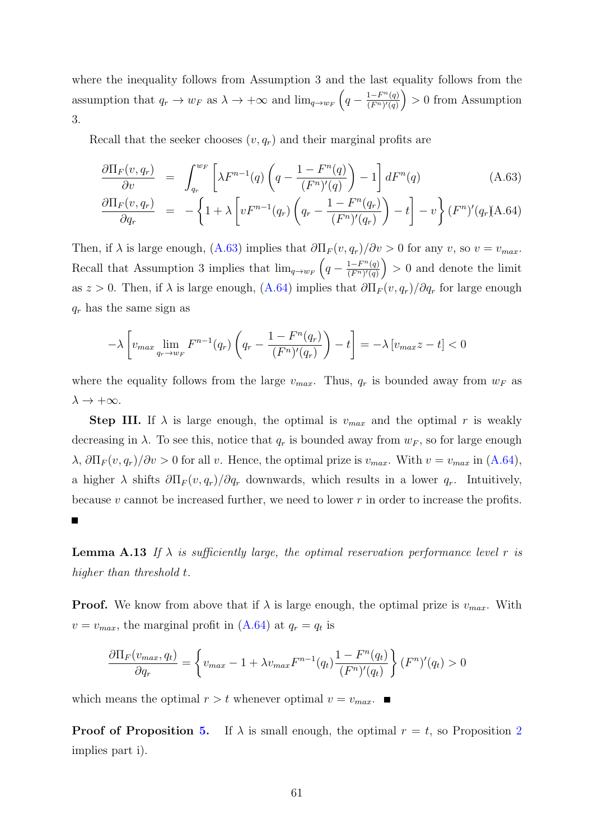where the inequality follows from Assumption 3 and the last equality follows from the assumption that  $q_r \to w_F$  as  $\lambda \to +\infty$  and  $\lim_{q \to w_F} \left( q - \frac{1-F^n(q)}{(F^n)'(q)} \right)$  $\frac{1-F^n(q)}{(F^n)'(q)}$  > 0 from Assumption 3.

Recall that the seeker chooses  $(v, q_r)$  and their marginal profits are

$$
\frac{\partial \Pi_F(v, q_r)}{\partial v} = \int_{q_r}^{w_F} \left[ \lambda F^{n-1}(q) \left( q - \frac{1 - F^n(q)}{(F^n)'(q)} \right) - 1 \right] dF^n(q) \tag{A.63}
$$

$$
\frac{\partial \Pi_F(v, q_r)}{\partial q_r} = -\left\{1 + \lambda \left[vF^{n-1}(q_r) \left(q_r - \frac{1 - F^n(q_r)}{(F^n)'(q_r)}\right) - t\right] - v\right\}(F^n)'(q_r) \text{A.64})
$$

Then, if  $\lambda$  is large enough, [\(A.63\)](#page-58-0) implies that  $\partial \Pi_F(v, q_r)/\partial v > 0$  for any v, so  $v = v_{max}$ . Recall that Assumption 3 implies that  $\lim_{q \to w_F} \left( q - \frac{1-F^n(q)}{(F^n)'(q)} \right)$  $\frac{1-F^n(q)}{(F^n)'(q)}$  > 0 and denote the limit as  $z > 0$ . Then, if  $\lambda$  is large enough,  $(A.64)$  implies that  $\partial \Pi_F(v, q_r)/\partial q_r$  for large enough  $q_r$  has the same sign as

<span id="page-60-1"></span>
$$
-\lambda \left[ v_{max} \lim_{q_r \to w_F} F^{n-1}(q_r) \left( q_r - \frac{1 - F^n(q_r)}{(F^n)'(q_r)} \right) - t \right] = -\lambda \left[ v_{max} z - t \right] < 0
$$

where the equality follows from the large  $v_{max}$ . Thus,  $q_r$  is bounded away from  $w_F$  as  $\lambda \to +\infty$ .

**Step III.** If  $\lambda$  is large enough, the optimal is  $v_{max}$  and the optimal r is weakly decreasing in  $\lambda$ . To see this, notice that  $q_r$  is bounded away from  $w_F$ , so for large enough  $\lambda$ ,  $\partial \Pi_F(v, q_r)/\partial v > 0$  for all v. Hence, the optimal prize is  $v_{max}$ . With  $v = v_{max}$  in [\(A.64\)](#page-58-0), a higher  $\lambda$  shifts  $\partial \Pi_F(v, q_r)/\partial q_r$  downwards, which results in a lower  $q_r$ . Intuitively, because  $v$  cannot be increased further, we need to lower  $r$  in order to increase the profits.

**Lemma A.13** If  $\lambda$  is sufficiently large, the optimal reservation performance level r is higher than threshold t.

**Proof.** We know from above that if  $\lambda$  is large enough, the optimal prize is  $v_{max}$ . With  $v = v_{max}$ , the marginal profit in  $(A.64)$  at  $q_r = q_t$  is

$$
\frac{\partial \Pi_F(v_{max}, q_t)}{\partial q_r} = \left\{ v_{max} - 1 + \lambda v_{max} F^{n-1}(q_t) \frac{1 - F^n(q_t)}{(F^n)'(q_t)} \right\} (F^n)'(q_t) > 0
$$

which means the optimal  $r > t$  whenever optimal  $v = v_{max}$ .

<span id="page-60-0"></span> $\blacksquare$ 

**Proof of Proposition [5.](#page-21-0)** If  $\lambda$  is small enough, the optimal  $r = t$ , so Proposition [2](#page-13-0) implies part i).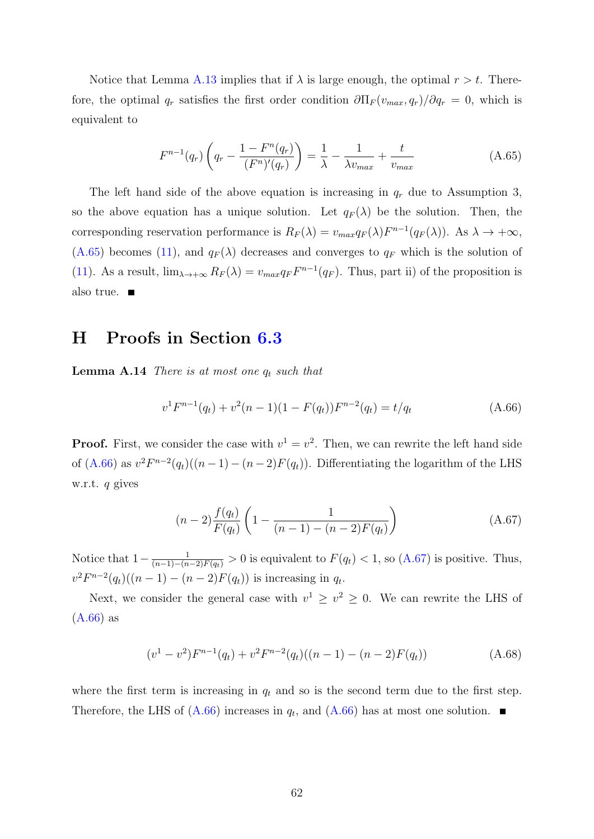Notice that Lemma [A.13](#page-60-0) implies that if  $\lambda$  is large enough, the optimal  $r > t$ . Therefore, the optimal  $q_r$  satisfies the first order condition  $\partial\Pi_F(v_{max}, q_r)/\partial q_r = 0$ , which is equivalent to

$$
F^{n-1}(q_r)\left(q_r - \frac{1 - F^n(q_r)}{(F^n)'(q_r)}\right) = \frac{1}{\lambda} - \frac{1}{\lambda v_{max}} + \frac{t}{v_{max}} \tag{A.65}
$$

The left hand side of the above equation is increasing in  $q_r$  due to Assumption 3, so the above equation has a unique solution. Let  $q_F(\lambda)$  be the solution. Then, the corresponding reservation performance is  $R_F(\lambda) = v_{max} q_F(\lambda) F^{n-1}(q_F(\lambda))$ . As  $\lambda \to +\infty$ ,  $(A.65)$  becomes [\(11\)](#page-21-1), and  $q_F(\lambda)$  decreases and converges to  $q_F$  which is the solution of [\(11\)](#page-21-1). As a result,  $\lim_{\lambda \to +\infty} R_F(\lambda) = v_{max} q_F F^{n-1}(q_F)$ . Thus, part ii) of the proposition is also true.  $\blacksquare$ 

### H Proofs in Section [6.3](#page-22-0)

**Lemma A.14** There is at most one  $q_t$  such that

<span id="page-61-0"></span>
$$
v^{1}F^{n-1}(q_{t}) + v^{2}(n-1)(1 - F(q_{t}))F^{n-2}(q_{t}) = t/q_{t}
$$
\n(A.66)

**Proof.** First, we consider the case with  $v^1 = v^2$ . Then, we can rewrite the left hand side of [\(A.66\)](#page-61-0) as  $v^2 F^{n-2}(q_t)((n-1)-(n-2)F(q_t))$ . Differentiating the logarithm of the LHS w.r.t. q gives

<span id="page-61-1"></span>
$$
(n-2)\frac{f(q_t)}{F(q_t)}\left(1-\frac{1}{(n-1)-(n-2)F(q_t)}\right)
$$
\n(A.67)

Notice that  $1-\frac{1}{(n-1)-(n-2)F(q_t)}>0$  is equivalent to  $F(q_t) < 1$ , so  $(A.67)$  is positive. Thus,  $v^2 F^{n-2}(q_t)((n-1)-(n-2)F(q_t))$  is increasing in  $q_t$ .

Next, we consider the general case with  $v^1 \ge v^2 \ge 0$ . We can rewrite the LHS of [\(A.66\)](#page-61-0) as

$$
(v1 - v2)Fn-1(qt) + v2Fn-2(qt)((n - 1) - (n - 2)F(qt))
$$
\n(A.68)

where the first term is increasing in  $q_t$  and so is the second term due to the first step. Therefore, the LHS of  $(A.66)$  increases in  $q_t$ , and  $(A.66)$  has at most one solution.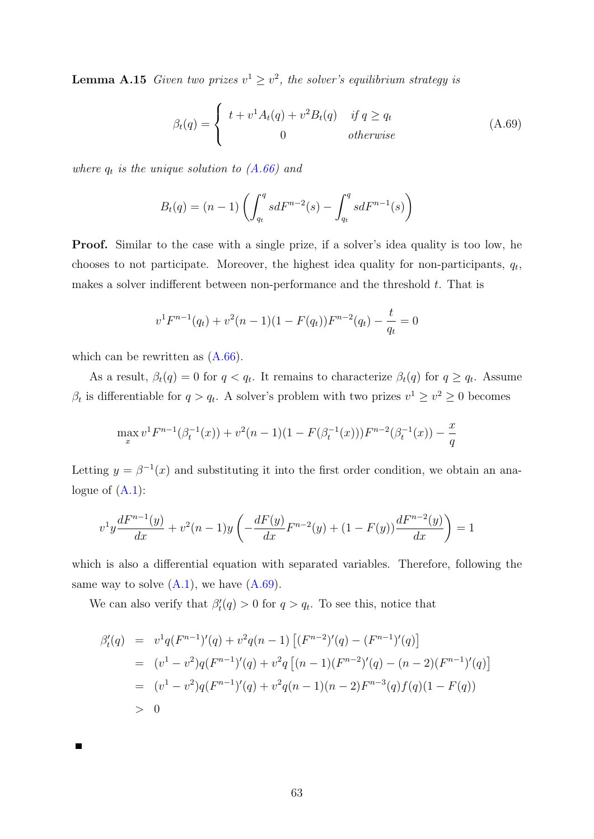**Lemma A.15** Given two prizes  $v^1 \geq v^2$ , the solver's equilibrium strategy is

<span id="page-62-0"></span>
$$
\beta_t(q) = \begin{cases} t + v^1 A_t(q) + v^2 B_t(q) & \text{if } q \ge q_t \\ 0 & \text{otherwise} \end{cases}
$$
 (A.69)

where  $q_t$  is the unique solution to  $(A.66)$  and

<span id="page-62-1"></span>
$$
B_t(q) = (n-1) \left( \int_{q_t}^q s dF^{n-2}(s) - \int_{q_t}^q s dF^{n-1}(s) \right)
$$

Proof. Similar to the case with a single prize, if a solver's idea quality is too low, he chooses to not participate. Moreover, the highest idea quality for non-participants,  $q_t$ , makes a solver indifferent between non-performance and the threshold  $t$ . That is

$$
v^{1}F^{n-1}(q_{t}) + v^{2}(n-1)(1 - F(q_{t}))F^{n-2}(q_{t}) - \frac{t}{q_{t}} = 0
$$

which can be rewritten as  $(A.66)$ .

As a result,  $\beta_t(q) = 0$  for  $q < q_t$ . It remains to characterize  $\beta_t(q)$  for  $q \geq q_t$ . Assume  $\beta_t$  is differentiable for  $q > q_t$ . A solver's problem with two prizes  $v^1 \ge v^2 \ge 0$  becomes

$$
\max_{x} v^{1} F^{n-1}(\beta_{t}^{-1}(x)) + v^{2}(n-1)(1 - F(\beta_{t}^{-1}(x)))F^{n-2}(\beta_{t}^{-1}(x)) - \frac{x}{q}
$$

Letting  $y = \beta^{-1}(x)$  and substituting it into the first order condition, we obtain an analogue of  $(A.1)$ :

$$
v^{1}y\frac{dF^{n-1}(y)}{dx} + v^{2}(n-1)y\left(-\frac{dF(y)}{dx}F^{n-2}(y) + (1 - F(y))\frac{dF^{n-2}(y)}{dx}\right) = 1
$$

which is also a differential equation with separated variables. Therefore, following the same way to solve  $(A.1)$ , we have  $(A.69)$ .

We can also verify that  $\beta_t'(q) > 0$  for  $q > q_t$ . To see this, notice that

$$
\beta'_{t}(q) = v^{1}q(F^{n-1})'(q) + v^{2}q(n-1) \left[ (F^{n-2})'(q) - (F^{n-1})'(q) \right]
$$
  
\n
$$
= (v^{1} - v^{2})q(F^{n-1})'(q) + v^{2}q \left[ (n-1)(F^{n-2})'(q) - (n-2)(F^{n-1})'(q) \right]
$$
  
\n
$$
= (v^{1} - v^{2})q(F^{n-1})'(q) + v^{2}q(n-1)(n-2)F^{n-3}(q)f(q)(1 - F(q))
$$
  
\n
$$
> 0
$$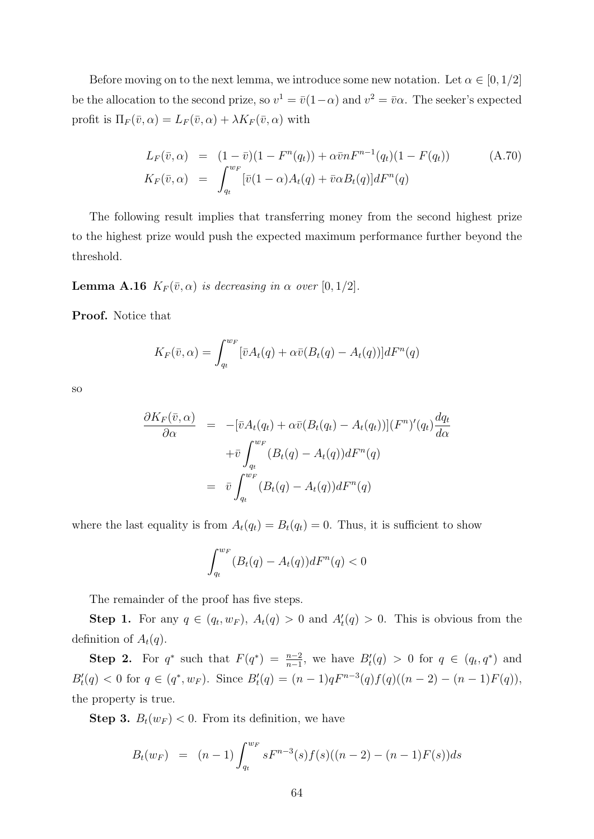Before moving on to the next lemma, we introduce some new notation. Let  $\alpha \in [0, 1/2]$ be the allocation to the second prize, so  $v^1 = \bar{v}(1-\alpha)$  and  $v^2 = \bar{v}\alpha$ . The seeker's expected profit is  $\Pi_F(\bar{v}, \alpha) = L_F(\bar{v}, \alpha) + \lambda K_F(\bar{v}, \alpha)$  with

$$
L_F(\bar{v}, \alpha) = (1 - \bar{v})(1 - F^n(q_t)) + \alpha \bar{v} n F^{n-1}(q_t)(1 - F(q_t))
$$
\n
$$
K_F(\bar{v}, \alpha) = \int_{q_t}^{w_F} [\bar{v}(1 - \alpha) A_t(q) + \bar{v} \alpha B_t(q)] dF^n(q)
$$
\n(A.70)

The following result implies that transferring money from the second highest prize to the highest prize would push the expected maximum performance further beyond the threshold.

**Lemma A.16**  $K_F(\bar{v}, \alpha)$  is decreasing in  $\alpha$  over [0, 1/2].

Proof. Notice that

<span id="page-63-0"></span>
$$
K_F(\bar{v}, \alpha) = \int_{q_t}^{w_F} [\bar{v}A_t(q) + \alpha \bar{v}(B_t(q) - A_t(q))]dF^n(q)
$$

so

$$
\frac{\partial K_F(\bar{v}, \alpha)}{\partial \alpha} = -[\bar{v}A_t(q_t) + \alpha \bar{v}(B_t(q_t) - A_t(q_t))](F^n)'(q_t) \frac{dq_t}{d\alpha}
$$

$$
+ \bar{v} \int_{q_t}^{w_F} (B_t(q) - A_t(q))dF^n(q)
$$

$$
= \bar{v} \int_{q_t}^{w_F} (B_t(q) - A_t(q))dF^n(q)
$$

where the last equality is from  $A_t(q_t) = B_t(q_t) = 0$ . Thus, it is sufficient to show

$$
\int_{q_t}^{w_F} (B_t(q) - A_t(q))dF^n(q) < 0
$$

The remainder of the proof has five steps.

**Step 1.** For any  $q \in (q_t, w_F)$ ,  $A_t(q) > 0$  and  $A'_t(q) > 0$ . This is obvious from the definition of  $A_t(q)$ .

Step 2. For  $q^*$  such that  $F(q^*) = \frac{n-2}{n-1}$ , we have  $B'_t(q) > 0$  for  $q \in (q_t, q^*)$  and  $B_t'(q) < 0$  for  $q \in (q^*, w_F)$ . Since  $B_t'(q) = (n-1)qF^{n-3}(q)f(q)((n-2) - (n-1)F(q)),$ the property is true.

**Step 3.**  $B_t(w_F) < 0$ . From its definition, we have

$$
B_t(w_F) = (n-1) \int_{q_t}^{w_F} sF^{n-3}(s)f(s)((n-2) - (n-1)F(s))ds
$$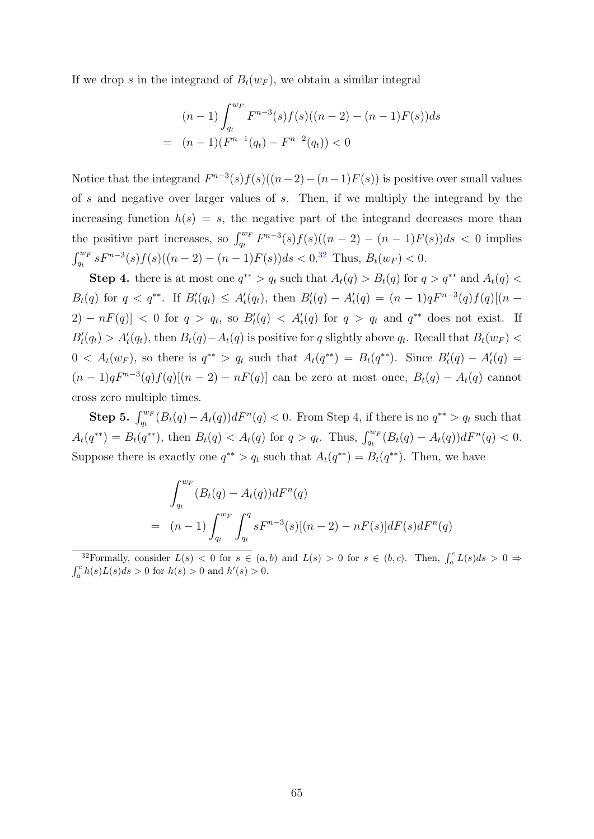If we drop s in the integrand of  $B_t(w_F)$ , we obtain a similar integral

$$
(n-1)\int_{q_t}^{w_F} F^{n-3}(s)f(s)((n-2)-(n-1)F(s))ds
$$
  
=  $(n-1)(F^{n-1}(q_t)-F^{n-2}(q_t))<0$ 

Notice that the integrand  $F^{n-3}(s)f(s)((n-2)-(n-1)F(s))$  is positive over small values of s and negative over larger values of s. Then, if we multiply the integrand by the increasing function  $h(s) = s$ , the negative part of the integrand decreases more than the positive part increases, so  $\int_{q_t}^{w_F} F^{n-3}(s) f(s) ((n-2) - (n-1)F(s)) ds < 0$  implies  $\int_{qt}^{w_F} sF^{n-3}(s)f(s)((n-2)-(n-1)F(s))ds < 0.^{32}$  $\int_{qt}^{w_F} sF^{n-3}(s)f(s)((n-2)-(n-1)F(s))ds < 0.^{32}$  $\int_{qt}^{w_F} sF^{n-3}(s)f(s)((n-2)-(n-1)F(s))ds < 0.^{32}$  Thus,  $B_t(w_F) < 0$ .

**Step 4.** there is at most one  $q^{**} > q_t$  such that  $A_t(q) > B_t(q)$  for  $q > q^{**}$  and  $A_t(q) <$  $B_t(q)$  for  $q < q^{**}$ . If  $B'_t(q_t) \leq A'_t(q_t)$ , then  $B'_t(q) - A'_t(q) = (n-1)qF^{n-3}(q)f(q)[(n-1)q]$  $2) - nF(q)$  < 0 for  $q > q_t$ , so  $B_t'(q) < A_t'(q)$  for  $q > q_t$  and  $q^{**}$  does not exist. If  $B_t'(q_t) > A_t'(q_t)$ , then  $B_t(q) - A_t(q)$  is positive for q slightly above  $q_t$ . Recall that  $B_t(w_F)$  $0 < A_t(w_F)$ , so there is  $q^{**} > q_t$  such that  $A_t(q^{**}) = B_t(q^{**})$ . Since  $B_t'(q) - A_t'(q) =$  $(n-1)qF^{n-3}(q)f(q)[(n-2)-nF(q)]$  can be zero at most once,  $B_t(q) - A_t(q)$  cannot cross zero multiple times.

Step 5.  $\int_{q_t}^{w_F} (B_t(q) - A_t(q))dF^n(q) < 0$ . From Step 4, if there is no  $q^{**} > q_t$  such that  $A_t(q^{**}) = B_t(q^{**})$ , then  $B_t(q) < A_t(q)$  for  $q > q_t$ . Thus,  $\int_{q_t}^{w_F} (B_t(q) - A_t(q))dF^n(q) < 0$ . Suppose there is exactly one  $q^{**} > q_t$  such that  $A_t(q^{**}) = B_t(q^{**})$ . Then, we have

$$
\int_{q_t}^{w_F} (B_t(q) - A_t(q))dF^n(q)
$$
  
=  $(n-1)\int_{q_t}^{w_F} \int_{q_t}^{q} sF^{n-3}(s)[(n-2) - nF(s)]dF(s)dF^n(q)$ 

<span id="page-64-0"></span><sup>&</sup>lt;sup>32</sup>Formally, consider  $L(s) < 0$  for  $s \in (a, b)$  and  $L(s) > 0$  for  $s \in (b, c)$ . Then,  $\int_a^c L(s)ds > 0 \Rightarrow$  $\int_a^c h(s)L(s)ds > 0$  for  $h(s) > 0$  and  $h'(s) > 0$ .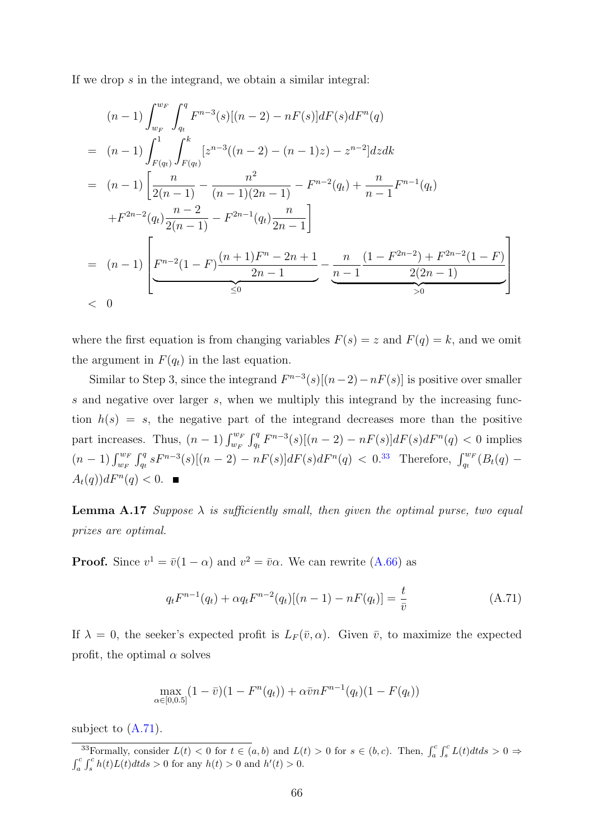If we drop s in the integrand, we obtain a similar integral:

$$
(n-1)\int_{w_F}^{w_F} \int_{q_t}^{q} F^{n-3}(s)[(n-2) - nF(s)]dF(s)dF^n(q)
$$
  
=  $(n-1)\int_{F(q_t)}^{1} \int_{F(q_t)}^{k} [z^{n-3}((n-2) - (n-1)z) - z^{n-2}]dzdk$   
=  $(n-1)\left[\frac{n}{2(n-1)} - \frac{n^2}{(n-1)(2n-1)} - F^{n-2}(q_t) + \frac{n}{n-1}F^{n-1}(q_t)\right]$   
+  $F^{2n-2}(q_t)\frac{n-2}{2(n-1)} - F^{2n-1}(q_t)\frac{n}{2n-1}\right]$   
=  $(n-1)\left[F^{n-2}(1-F)\frac{(n+1)F^n - 2n + 1}{2n-1} - \frac{n}{n-1}\frac{(1-F^{2n-2}) + F^{2n-2}(1-F)}{2(2n-1)}\right]$   
< 0

where the first equation is from changing variables  $F(s) = z$  and  $F(q) = k$ , and we omit the argument in  $F(q_t)$  in the last equation.

Similar to Step 3, since the integrand  $F^{n-3}(s)[(n-2)-nF(s)]$  is positive over smaller s and negative over larger s, when we multiply this integrand by the increasing function  $h(s) = s$ , the negative part of the integrand decreases more than the positive part increases. Thus,  $(n-1)\int_{w_F}^{w_F} \int_{q_t}^{q} F^{n-3}(s)[(n-2) - nF(s)]dF(s)dF^n(q) < 0$  implies  $(n-1)\int_{w_F}^{w_F} \int_{q_t}^{q} sF^{n-3}(s)[(n-2) - nF(s)]dF(s)dF^n(q) < 0.33$  $(n-1)\int_{w_F}^{w_F} \int_{q_t}^{q} sF^{n-3}(s)[(n-2) - nF(s)]dF(s)dF^n(q) < 0.33$  Therefore,  $\int_{q_t}^{w_F} (B_t(q) A_t(q)$ )  $dF^n(q) < 0$ .

**Lemma A.17** Suppose  $\lambda$  is sufficiently small, then given the optimal purse, two equal prizes are optimal.

**Proof.** Since  $v^1 = \bar{v}(1-\alpha)$  and  $v^2 = \bar{v}\alpha$ . We can rewrite [\(A.66\)](#page-61-0) as

$$
q_t F^{n-1}(q_t) + \alpha q_t F^{n-2}(q_t)[(n-1) - nF(q_t)] = \frac{t}{\bar{v}}
$$
(A.71)

If  $\lambda = 0$ , the seeker's expected profit is  $L_F(\bar{v}, \alpha)$ . Given  $\bar{v}$ , to maximize the expected profit, the optimal  $\alpha$  solves

<span id="page-65-1"></span>
$$
\max_{\alpha \in [0,0.5]} (1 - \bar{v})(1 - F^n(q_t)) + \alpha \bar{v} n F^{n-1}(q_t)(1 - F(q_t))
$$

subject to  $(A.71)$ .

<span id="page-65-0"></span><sup>&</sup>lt;sup>33</sup>Formally, consider  $L(t) < 0$  for  $t \in (a, b)$  and  $L(t) > 0$  for  $s \in (b, c)$ . Then,  $\int_a^c \int_s^c L(t) dt ds > 0$  $\int_a^c \int_s^c h(t)L(t)dtds > 0$  for any  $h(t) > 0$  and  $h'(t) > 0$ .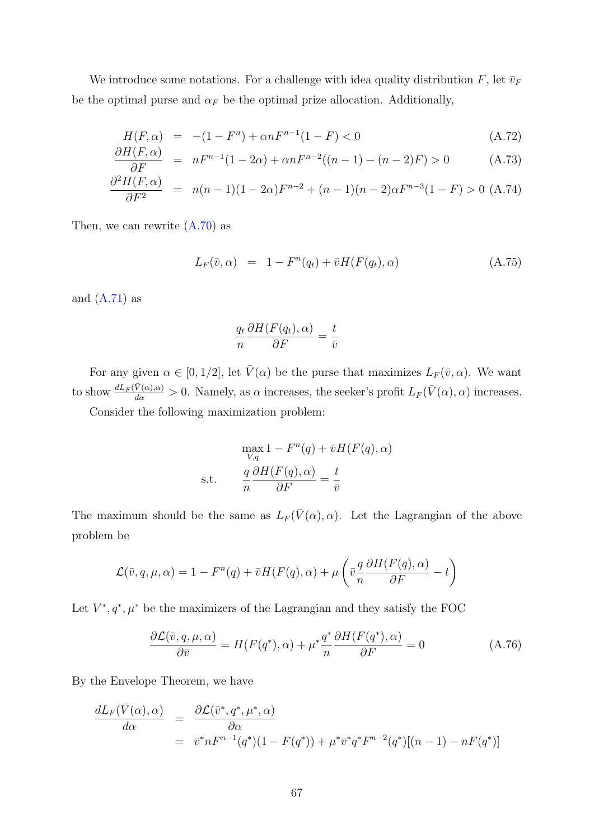We introduce some notations. For a challenge with idea quality distribution F, let  $\bar{v}_F$ be the optimal purse and  $\alpha_F$  be the optimal prize allocation. Additionally,

$$
H(F, \alpha) = -(1 - F^{n}) + \alpha n F^{n-1} (1 - F) < 0 \tag{A.72}
$$

$$
\frac{\partial H(F,\alpha)}{\partial F} = nF^{n-1}(1-2\alpha) + \alpha nF^{n-2}((n-1)-(n-2)F) > 0 \tag{A.73}
$$

$$
\frac{\partial^2 H(F,\alpha)}{\partial F^2} = n(n-1)(1-2\alpha)F^{n-2} + (n-1)(n-2)\alpha F^{n-3}(1-F) > 0
$$
 (A.74)

Then, we can rewrite  $(A.70)$  as

<span id="page-66-2"></span>
$$
L_F(\bar{v}, \alpha) = 1 - F^n(q_t) + \bar{v}H(F(q_t), \alpha)
$$
\n(A.75)

and  $(A.71)$  as

<span id="page-66-0"></span>
$$
\frac{q_t}{n} \frac{\partial H(F(q_t), \alpha)}{\partial F} = \frac{t}{\bar{v}}
$$

For any given  $\alpha \in [0, 1/2]$ , let  $\bar{V}(\alpha)$  be the purse that maximizes  $L_F(\bar{v}, \alpha)$ . We want to show  $\frac{dL_F(\bar{V}(\alpha),\alpha)}{d\alpha} > 0$ . Namely, as  $\alpha$  increases, the seeker's profit  $L_F(\bar{V}(\alpha),\alpha)$  increases.

Consider the following maximization problem:

$$
\max_{V,q} 1 - F^{n}(q) + \bar{v}H(F(q), \alpha)
$$
  
s.t. 
$$
\frac{q}{n} \frac{\partial H(F(q), \alpha)}{\partial F} = \frac{t}{\bar{v}}
$$

The maximum should be the same as  $L_F(\bar{V}(\alpha), \alpha)$ . Let the Lagrangian of the above problem be

$$
\mathcal{L}(\bar{v}, q, \mu, \alpha) = 1 - F^{n}(q) + \bar{v}H(F(q), \alpha) + \mu\left(\bar{v}\frac{q}{n}\frac{\partial H(F(q), \alpha)}{\partial F} - t\right)
$$

Let  $V^*, q^*, \mu^*$  be the maximizers of the Lagrangian and they satisfy the FOC

$$
\frac{\partial \mathcal{L}(\bar{v}, q, \mu, \alpha)}{\partial \bar{v}} = H(F(q^*), \alpha) + \mu^* \frac{q^*}{n} \frac{\partial H(F(q^*), \alpha)}{\partial F} = 0 \tag{A.76}
$$

By the Envelope Theorem, we have

<span id="page-66-1"></span>
$$
\frac{dL_F(\bar{V}(\alpha),\alpha)}{d\alpha} = \frac{\partial \mathcal{L}(\bar{v}^*,q^*,\mu^*,\alpha)}{\partial \alpha}
$$
  
=  $\bar{v}^*nF^{n-1}(q^*)(1-F(q^*))+\mu^*\bar{v}^*q^*F^{n-2}(q^*)[(n-1)-nF(q^*)]$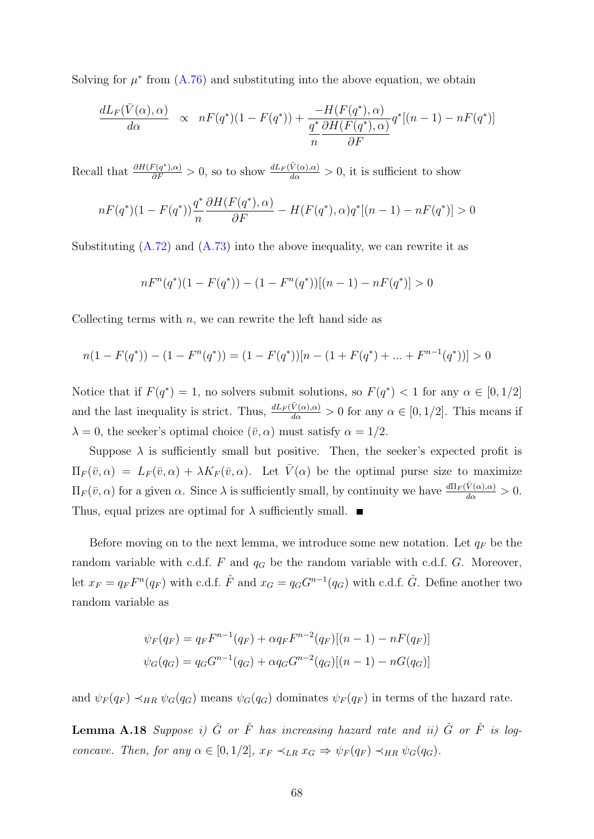Solving for  $\mu^*$  from  $(A.76)$  and substituting into the above equation, we obtain

$$
\frac{dL_F(\bar{V}(\alpha),\alpha)}{d\alpha} \propto nF(q^*)(1-F(q^*)) + \frac{-H(F(q^*),\alpha)}{\frac{q^*}{n}\frac{\partial H(F(q^*),\alpha)}{\partial F}}q^*[(n-1)-nF(q^*)]
$$

Recall that  $\frac{\partial H(F(q^*),\alpha)}{\partial F} > 0$ , so to show  $\frac{dL_F(\bar{V}(\alpha),\alpha)}{d\alpha} > 0$ , it is sufficient to show

$$
nF(q^*)(1 - F(q^*))\frac{q^*}{n}\frac{\partial H(F(q^*), \alpha)}{\partial F} - H(F(q^*), \alpha)q^*[(n-1) - nF(q^*)] > 0
$$

Substituting  $(A.72)$  and  $(A.73)$  into the above inequality, we can rewrite it as

$$
nF^{n}(q^{*})(1 - F(q^{*})) - (1 - F^{n}(q^{*}))[(n - 1) - nF(q^{*})] > 0
$$

Collecting terms with  $n$ , we can rewrite the left hand side as

$$
n(1 - F(q^*)) - (1 - F^n(q^*)) = (1 - F(q^*))[n - (1 + F(q^*) + \dots + F^{n-1}(q^*))] > 0
$$

Notice that if  $F(q^*) = 1$ , no solvers submit solutions, so  $F(q^*) < 1$  for any  $\alpha \in [0, 1/2]$ and the last inequality is strict. Thus,  $\frac{dL_F(\bar{V}(\alpha),\alpha)}{d\alpha} > 0$  for any  $\alpha \in [0,1/2]$ . This means if  $\lambda = 0$ , the seeker's optimal choice  $(\bar{v}, \alpha)$  must satisfy  $\alpha = 1/2$ .

Suppose  $\lambda$  is sufficiently small but positive. Then, the seeker's expected profit is  $\Pi_F(\bar{v}, \alpha) = L_F(\bar{v}, \alpha) + \lambda K_F(\bar{v}, \alpha)$ . Let  $\bar{V}(\alpha)$  be the optimal purse size to maximize  $\Pi_F(\bar{v}, \alpha)$  for a given  $\alpha$ . Since  $\lambda$  is sufficiently small, by continuity we have  $\frac{d\Pi_F(\bar{V}(\alpha), \alpha)}{d\alpha} > 0$ . Thus, equal prizes are optimal for  $\lambda$  sufficiently small.

Before moving on to the next lemma, we introduce some new notation. Let  $q_F$  be the random variable with c.d.f. F and  $q_G$  be the random variable with c.d.f. G. Moreover, let  $x_F = q_F F^n(q_F)$  with c.d.f.  $\hat{F}$  and  $x_G = q_G G^{n-1}(q_G)$  with c.d.f.  $\hat{G}$ . Define another two random variable as

$$
\psi_F(q_F) = q_F F^{n-1}(q_F) + \alpha q_F F^{n-2}(q_F)[(n-1) - nF(q_F)]
$$
  

$$
\psi_G(q_G) = q_G G^{n-1}(q_G) + \alpha q_G G^{n-2}(q_G)[(n-1) - nG(q_G)]
$$

<span id="page-67-0"></span>and  $\psi_F(q_F) \prec_{HR} \psi_G(q_G)$  means  $\psi_G(q_G)$  dominates  $\psi_F(q_F)$  in terms of the hazard rate.

**Lemma A.18** Suppose i)  $\hat{G}$  or  $\hat{F}$  has increasing hazard rate and ii)  $\hat{G}$  or  $\hat{F}$  is logconcave. Then, for any  $\alpha \in [0, 1/2]$ ,  $x_F \prec_{LR} x_G \Rightarrow \psi_F(q_F) \prec_{HR} \psi_G(q_G)$ .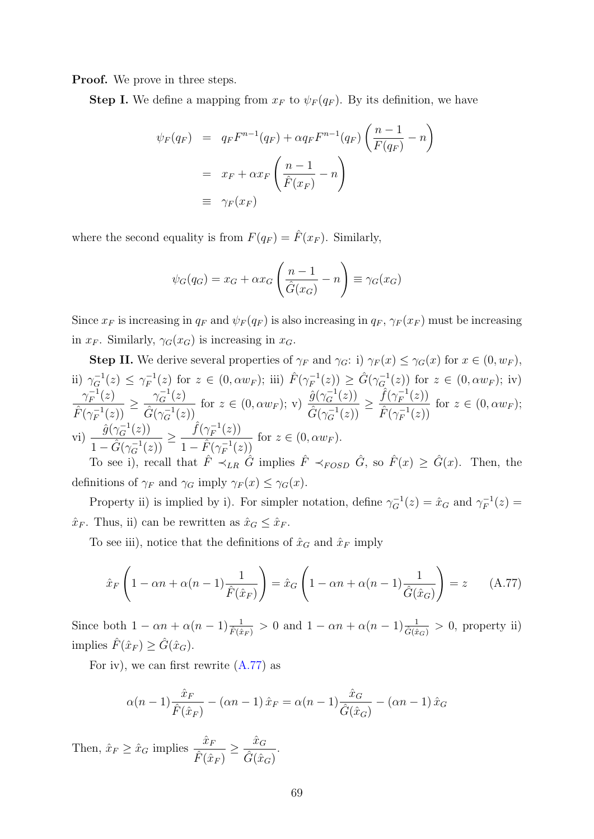**Proof.** We prove in three steps.

**Step I.** We define a mapping from  $x_F$  to  $\psi_F(q_F)$ . By its definition, we have

$$
\psi_F(q_F) = q_F F^{n-1}(q_F) + \alpha q_F F^{n-1}(q_F) \left(\frac{n-1}{F(q_F)} - n\right)
$$
  
=  $x_F + \alpha x_F \left(\frac{n-1}{\hat{F}(x_F)} - n\right)$   
\equiv  $\gamma_F(x_F)$ 

where the second equality is from  $F(q_F) = \hat{F}(x_F)$ . Similarly,

$$
\psi_G(q_G) = x_G + \alpha x_G \left(\frac{n-1}{\hat{G}(x_G)} - n\right) \equiv \gamma_G(x_G)
$$

Since  $x_F$  is increasing in  $q_F$  and  $\psi_F(q_F)$  is also increasing in  $q_F$ ,  $\gamma_F(x_F)$  must be increasing in  $x_F$ . Similarly,  $\gamma_G(x_G)$  is increasing in  $x_G$ .

**Step II.** We derive several properties of  $\gamma_F$  and  $\gamma_G$ : i)  $\gamma_F(x) \leq \gamma_G(x)$  for  $x \in (0, w_F)$ , ii)  $\gamma_G^{-1}(z) \leq \gamma_F^{-1}$  $F_F^{-1}(z)$  for  $z \in (0, \alpha w_F)$ ; iii)  $\hat{F}(\gamma_F^{-1})$  $\hat{G}(\gamma_{G}^{-1}(z)) \geq \hat{G}(\gamma_{G}^{-1}(z))$  for  $z \in (0, \alpha w_F)$ ; iv)  $\gamma_F^{-1}$  $\bar{f}^{-1}_F(z)$  $\hat{F}(\gamma_F^{-1}$  $\bar{f}^{-1}_F(z))$  $\geq \frac{\gamma_G^{-1}(z)}{\hat{z}(z-1)}$  $\hat{G}(\gamma_{G}^{-1}(z))$ for  $z \in (0, \alpha w_F)$ ; v)  $\frac{\hat{g}(\gamma_G^{-1}(z))}{\hat{g}(\gamma_{G-1}^{-1}(z))}$  $\hat{G}(\gamma_G^{-1}(z))$  $\geq \frac{\hat{f}(\gamma_F^{-1})}{\hat{f}(\gamma_F^{-1})}$  $\bar{f}^{-1}_F(z))$  $\hat{F}(\gamma_F^{-1}$  $\bar{f}^{-1}_F(z))$ for  $z \in (0, \alpha w_F);$ vi)  $\frac{\hat{g}(\gamma_G^{-1}(z))}{\hat{g}(t-1)}$  $1-\hat{G}(\gamma_G^{-1}(z))$  $\geq \frac{\hat{f}(\gamma_F^{-1})}{\hat{f}(\gamma_F^{-1})}$  $\bar{f}^{-1}_{F}(z))$  $1-\hat{F}(\gamma_F^{-1}(z))$ To see i), recall that  $\hat{F} \prec_{LR} \hat{G}$  implies  $\hat{F} \prec_{FOSD} \hat{G}$ , so  $\hat{F}(x) \geq \hat{G}(x)$ . Then, the for  $z \in (0, \alpha w_F)$ .

definitions of  $\gamma_F$  and  $\gamma_G$  imply  $\gamma_F(x) \leq \gamma_G(x)$ .

Property ii) is implied by i). For simpler notation, define  $\gamma_G^{-1}(z) = \hat{x}_G$  and  $\gamma_F^{-1}$  $\bar{g}^{-1}_F(z) =$  $\hat{x}_F$ . Thus, ii) can be rewritten as  $\hat{x}_G \leq \hat{x}_F$ .

To see iii), notice that the definitions of  $\hat{x}_G$  and  $\hat{x}_F$  imply

$$
\hat{x}_F \left( 1 - \alpha n + \alpha (n-1) \frac{1}{\hat{F}(\hat{x}_F)} \right) = \hat{x}_G \left( 1 - \alpha n + \alpha (n-1) \frac{1}{\hat{G}(\hat{x}_G)} \right) = z \quad (A.77)
$$

Since both  $1 - \alpha n + \alpha (n-1) \frac{1}{\hat{F}(\hat{x}_F)} > 0$  and  $1 - \alpha n + \alpha (n-1) \frac{1}{\hat{G}(\hat{x}_G)} > 0$ , property ii) implies  $\hat{F}(\hat{x}_F) \geq \hat{G}(\hat{x}_G)$ .

For iv), we can first rewrite  $(A.77)$  as

<span id="page-68-0"></span>
$$
\alpha(n-1)\frac{\hat{x}_F}{\hat{F}(\hat{x}_F)} - (\alpha n - 1)\hat{x}_F = \alpha(n-1)\frac{\hat{x}_G}{\hat{G}(\hat{x}_G)} - (\alpha n - 1)\hat{x}_G
$$

Then,  $\hat{x}_F \geq \hat{x}_G$  implies  $\frac{\hat{x}_F}{\hat{x}G}$  $\frac{\hat{x}_F}{\hat{F}(\hat{x}_F)} \geq \frac{\hat{x}_G}{\hat{G}(\hat{x}_e)}$  $\frac{x_G}{\hat{G}(\hat{x}_G)}$ .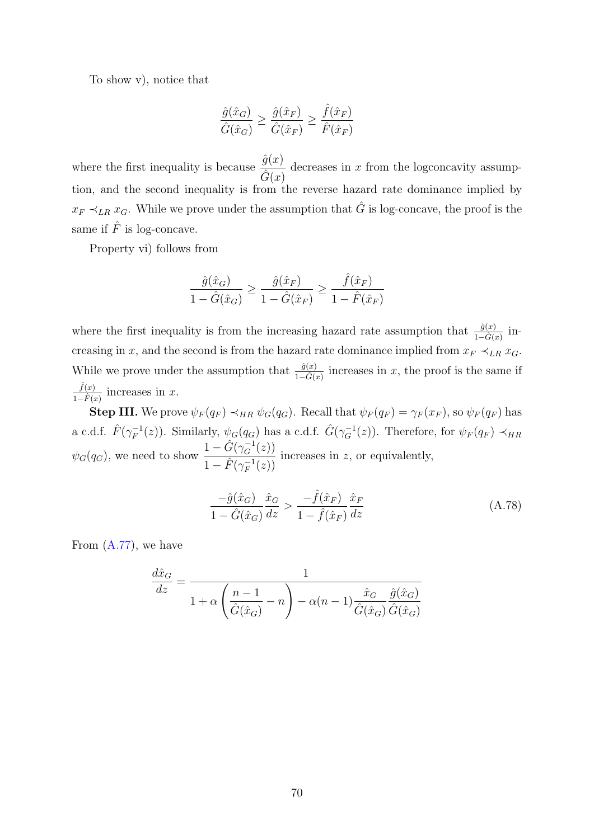To show v), notice that

$$
\frac{\hat{g}(\hat{x}_G)}{\hat{G}(\hat{x}_G)} \ge \frac{\hat{g}(\hat{x}_F)}{\hat{G}(\hat{x}_F)} \ge \frac{\hat{f}(\hat{x}_F)}{\hat{F}(\hat{x}_F)}
$$

where the first inequality is because  $\frac{\hat{g}(x)}{\hat{g}(x)}$  $\frac{\partial(x)}{\partial(x)}$  decreases in x from the logconcavity assumption, and the second inequality is from the reverse hazard rate dominance implied by  $x_F \prec_{LR} x_G$ . While we prove under the assumption that  $\hat{G}$  is log-concave, the proof is the same if  $\hat{F}$  is log-concave.

Property vi) follows from

$$
\frac{\hat{g}(\hat{x}_G)}{1 - \hat{G}(\hat{x}_G)} \ge \frac{\hat{g}(\hat{x}_F)}{1 - \hat{G}(\hat{x}_F)} \ge \frac{\hat{f}(\hat{x}_F)}{1 - \hat{F}(\hat{x}_F)}
$$

where the first inequality is from the increasing hazard rate assumption that  $\frac{\hat{g}(x)}{1-\hat{G}(x)}$  increasing in x, and the second is from the hazard rate dominance implied from  $x_F \prec_{LR} x_G$ . While we prove under the assumption that  $\frac{\hat{g}(x)}{1-\hat{G}(x)}$  increases in x, the proof is the same if  $\hat{f}(x)$  $\frac{f(x)}{1-\hat{F}(x)}$  increases in x.

**Step III.** We prove  $\psi_F(q_F) \prec_{HR} \psi_G(q_G)$ . Recall that  $\psi_F(q_F) = \gamma_F(x_F)$ , so  $\psi_F(q_F)$  has a c.d.f.  $\hat{F}(\gamma_F^{-1})$  $F_F^{-1}(z)$ ). Similarly,  $\psi_G(q_G)$  has a c.d.f.  $\hat{G}(\gamma_G^{-1}(z))$ . Therefore, for  $\psi_F(q_F) \prec_{HR}$  $\psi_G(q_G)$ , we need to show  $\frac{1-\hat{G}(\gamma_G^{-1}(z))}{\hat{G}(-1(z))}$  $1-\hat{F}(\gamma_F^{-1})$  $\bar{f}^{-1}_F(z))$ increases in  $z$ , or equivalently,

$$
\frac{-\hat{g}(\hat{x}_G)}{1 - \hat{G}(\hat{x}_G)} \frac{\hat{x}_G}{dz} > \frac{-\hat{f}(\hat{x}_F)}{1 - \hat{f}(\hat{x}_F)} \frac{\hat{x}_F}{dz}
$$
\n(A.78)

From  $(A.77)$ , we have

$$
\frac{d\hat{x}_G}{dz} = \frac{1}{1 + \alpha \left(\frac{n-1}{\hat{G}(\hat{x}_G)} - n\right) - \alpha (n-1) \frac{\hat{x}_G}{\hat{G}(\hat{x}_G)} \frac{\hat{g}(\hat{x}_G)}{\hat{G}(\hat{x}_G)}
$$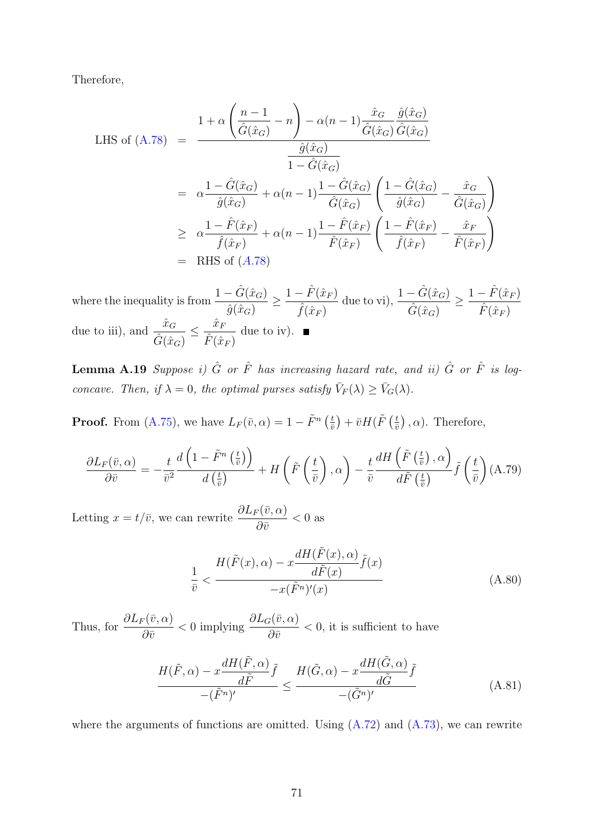Therefore,

LHS of (A.78) = 
$$
\frac{1 + \alpha \left(\frac{n-1}{\hat{G}(\hat{x}_G)} - n\right) - \alpha (n-1) \frac{\hat{x}_G}{\hat{G}(\hat{x}_G)} \frac{\hat{g}(\hat{x}_G)}{\hat{G}(\hat{x}_G)}
$$

$$
= \frac{\hat{g}(\hat{x}_G)}{\hat{g}(\hat{x}_G)} + \alpha (n-1) \frac{1 - \hat{G}(\hat{x}_G)}{\hat{G}(\hat{x}_G)} \left(\frac{1 - \hat{G}(\hat{x}_G)}{\hat{g}(\hat{x}_G)} - \frac{\hat{x}_G}{\hat{G}(\hat{x}_G)}\right)
$$

$$
\geq \frac{1 - \hat{F}(\hat{x}_F)}{\hat{f}(\hat{x}_F)} + \alpha (n-1) \frac{1 - \hat{F}(\hat{x}_F)}{\hat{F}(\hat{x}_F)} \left(\frac{1 - \hat{F}(\hat{x}_F)}{\hat{f}(\hat{x}_F)} - \frac{\hat{x}_F}{\hat{F}(\hat{x}_F)}\right)
$$

$$
= \text{RHS of } (A.78)
$$

where the inequality is from  $\frac{1 - \hat{G}(\hat{x}_G)}{\hat{G}(\hat{x}_G)}$  $\hat{g}(\hat{x}_G)$  $\geq \frac{1-\hat{F}(\hat{x}_F)}{\hat{x}$  $\hat{f}(\hat{x}_F)$ due to vi),  $\frac{1-\hat{G}(\hat{x}_G)}{\hat{g}(\hat{x}_G)}$  $\frac{-\hat{G}(\hat{x}_G)}{\hat{G}(\hat{x}_G)} \geq \frac{1-\hat{F}(\hat{x}_F)}{\hat{F}(\hat{x}_F)}$  $\hat{F}(\hat{x}_F)$ due to iii), and  $\frac{\hat{x}_G}{\hat{x}_G}$  $\frac{\hat{x}_G}{\hat{G}(\hat{x}_G)} \leq \frac{\hat{x}_F}{\hat{F}(\hat{x})}$  $\frac{x_F}{\hat{F}(\hat{x}_F)}$  due to iv).

**Lemma A.19** Suppose i)  $\hat{G}$  or  $\hat{F}$  has increasing hazard rate, and ii)  $\hat{G}$  or  $\hat{F}$  is logconcave. Then, if  $\lambda = 0$ , the optimal purses satisfy  $\bar{V}_F(\lambda) \ge \bar{V}_G(\lambda)$ .

**Proof.** From [\(A.75\)](#page-66-2), we have  $L_F(\bar{v}, \alpha) = 1 - \tilde{F}^n\left(\frac{t}{\bar{v}}\right)$  $\left(\frac{t}{\bar{v}}\right) + \bar{v}H(\tilde{F}$   $\left(\frac{t}{\bar{v}}\right)$  $(\frac{t}{\bar{v}})$ ,  $\alpha$ ). Therefore,

$$
\frac{\partial L_F(\bar{v}, \alpha)}{\partial \bar{v}} = -\frac{t}{\bar{v}^2} \frac{d\left(1 - \tilde{F}^n\left(\frac{t}{\bar{v}}\right)\right)}{d\left(\frac{t}{\bar{v}}\right)} + H\left(\tilde{F}\left(\frac{t}{\bar{v}}\right), \alpha\right) - \frac{t}{\bar{v}} \frac{dH\left(\tilde{F}\left(\frac{t}{\bar{v}}\right), \alpha\right)}{d\tilde{F}\left(\frac{t}{\bar{v}}\right)} \tilde{f}\left(\frac{t}{\bar{v}}\right) (A.79)
$$

Letting  $x = t/\bar{v}$ , we can rewrite  $\frac{\partial L_F(\bar{v}, \alpha)}{\partial z}$  $\partial \bar v$  $< 0\ \mathrm{as}$ 

$$
\frac{1}{\bar{v}} < \frac{H(\tilde{F}(x), \alpha) - x \frac{dH(\tilde{F}(x), \alpha)}{d\tilde{F}(x)} \tilde{f}(x)}{-x(\tilde{F}^n)'(x)} \tag{A.80}
$$

Thus, for  $\frac{\partial L_F(\bar{v}, \alpha)}{\partial z}$  $\partial \bar v$  $< 0$  implying  $\frac{\partial L_G(\bar{v}, \alpha)}{\partial z}$  $\partial \bar v$  $< 0$ , it is sufficient to have

$$
\frac{H(\tilde{F}, \alpha) - x \frac{dH(\tilde{F}, \alpha)}{d\tilde{F}} \tilde{f}}{-(\tilde{F}^n)'} \le \frac{H(\tilde{G}, \alpha) - x \frac{dH(\tilde{G}, \alpha)}{d\tilde{G}} \tilde{f}}{-(\tilde{G}^n)'} \tag{A.81}
$$

where the arguments of functions are omitted. Using  $(A.72)$  and  $(A.73)$ , we can rewrite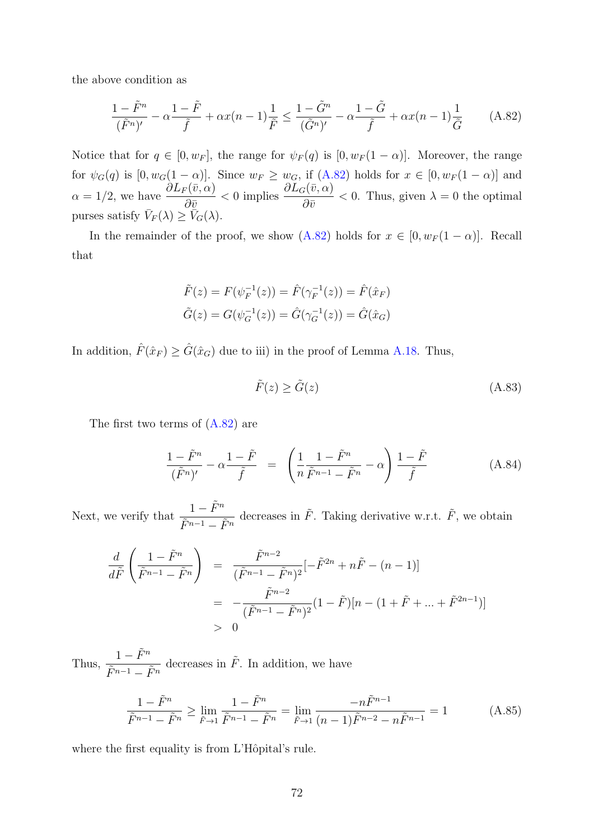the above condition as

<span id="page-71-0"></span>
$$
\frac{1-\tilde{F}^n}{(\tilde{F}^n)'} - \alpha \frac{1-\tilde{F}}{\tilde{f}} + \alpha x(n-1) \frac{1}{\tilde{F}} \le \frac{1-\tilde{G}^n}{(\tilde{G}^n)'} - \alpha \frac{1-\tilde{G}}{\tilde{f}} + \alpha x(n-1) \frac{1}{\tilde{G}} \tag{A.82}
$$

Notice that for  $q \in [0, w_F]$ , the range for  $\psi_F(q)$  is  $[0, w_F(1-\alpha)]$ . Moreover, the range for  $\psi_G(q)$  is  $[0, w_G(1-\alpha)]$ . Since  $w_F \geq w_G$ , if  $(A.82)$  holds for  $x \in [0, w_F(1-\alpha)]$  and  $\alpha = 1/2$ , we have  $\frac{\partial L_F(\bar{v}, \alpha)}{\partial z}$  $\partial \bar{v}$  $< 0$  implies  $\frac{\partial L_G(\bar{v}, \alpha)}{\partial z}$  $\partial \bar v$  $< 0$ . Thus, given  $\lambda = 0$  the optimal purses satisfy  $\bar{V}_F(\lambda) \geq \bar{\tilde{V}}_G(\lambda)$ .

In the remainder of the proof, we show [\(A.82\)](#page-71-0) holds for  $x \in [0, w_F(1-\alpha)]$ . Recall that

$$
\tilde{F}(z) = F(\psi_F^{-1}(z)) = \hat{F}(\gamma_F^{-1}(z)) = \hat{F}(\hat{x}_F)
$$
  

$$
\tilde{G}(z) = G(\psi_G^{-1}(z)) = \hat{G}(\gamma_G^{-1}(z)) = \hat{G}(\hat{x}_G)
$$

In addition,  $\hat{F}(\hat{x}_F) \geq \hat{G}(\hat{x}_G)$  due to iii) in the proof of Lemma [A.18.](#page-67-0) Thus,

$$
\tilde{F}(z) \ge \tilde{G}(z) \tag{A.83}
$$

The first two terms of [\(A.82\)](#page-71-0) are

$$
\frac{1-\tilde{F}^n}{(\tilde{F}^n)'} - \alpha \frac{1-\tilde{F}}{\tilde{f}} = \left(\frac{1}{n}\frac{1-\tilde{F}^n}{\tilde{F}^{n-1}-\tilde{F}^n} - \alpha\right) \frac{1-\tilde{F}}{\tilde{f}}
$$
(A.84)

Next, we verify that  $\frac{1-\tilde{F}^n}{\tilde{F}^n}$  $\tilde{F}^{n-1}-\tilde{F}^n$ decreases in  $\tilde{F}$ . Taking derivative w.r.t.  $\tilde{F}$ , we obtain

$$
\frac{d}{d\tilde{F}}\left(\frac{1-\tilde{F}^n}{\tilde{F}^{n-1}-\tilde{F}^n}\right) = \frac{\tilde{F}^{n-2}}{(\tilde{F}^{n-1}-\tilde{F}^n)^2}[-\tilde{F}^{2n}+n\tilde{F}-(n-1)]
$$

$$
= -\frac{\tilde{F}^{n-2}}{(\tilde{F}^{n-1}-\tilde{F}^n)^2}(1-\tilde{F})[n-(1+\tilde{F}+...+\tilde{F}^{2n-1})]
$$

$$
> 0
$$

Thus,  $\frac{1-\tilde{F}^n}{\tilde{F}^n}$  $\tilde{F}^{n-1}-\tilde{F}^n$ decreases in  $\tilde{F}$ . In addition, we have

$$
\frac{1 - \tilde{F}^n}{\tilde{F}^{n-1} - \tilde{F}^n} \ge \lim_{\tilde{F} \to 1} \frac{1 - \tilde{F}^n}{\tilde{F}^{n-1} - \tilde{F}^n} = \lim_{\tilde{F} \to 1} \frac{-n\tilde{F}^{n-1}}{(n-1)\tilde{F}^{n-2} - n\tilde{F}^{n-1}} = 1
$$
\n(A.85)

where the first equality is from L'Hôpital's rule.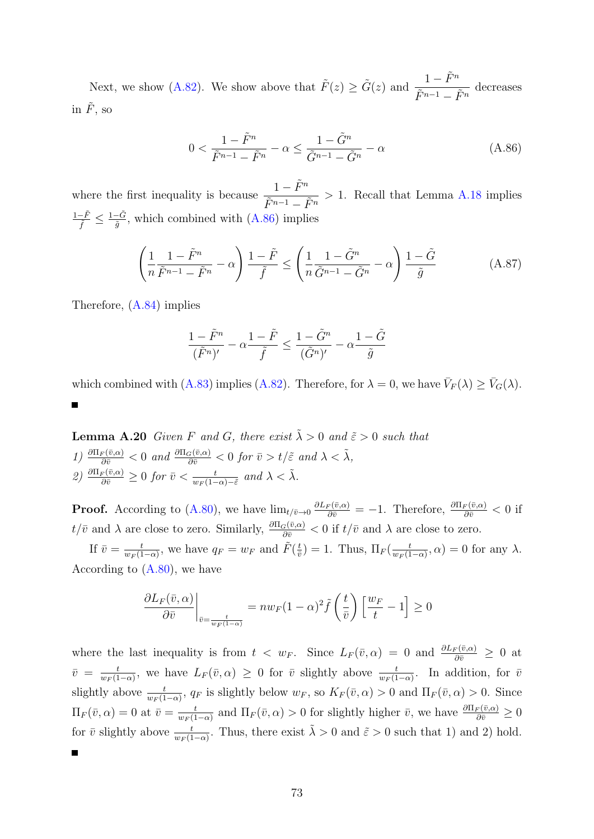Next, we show [\(A.82\)](#page-71-0). We show above that  $\tilde{F}(z) \geq \tilde{G}(z)$  and  $\frac{1 - \tilde{F}^n}{\tilde{F}^n}$  $\frac{1}{\tilde{F}^{n-1} - \tilde{F}^n}$  decreases in  $\tilde{F}$ , so

<span id="page-72-0"></span>
$$
0 < \frac{1 - \tilde{F}^n}{\tilde{F}^{n-1} - \tilde{F}^n} - \alpha \le \frac{1 - \tilde{G}^n}{\tilde{G}^{n-1} - \tilde{G}^n} - \alpha \tag{A.86}
$$

where the first inequality is because  $\frac{1-\tilde{F}^n}{\tilde{F}^n}$  $\frac{1}{\tilde{F}^{n-1} - \tilde{F}^n} > 1$ . Recall that Lemma [A.18](#page-67-0) implies  $\frac{1-\tilde{F}}{\tilde{f}} \leq \frac{1-\tilde{G}}{\tilde{g}}$  $\frac{G-G}{\tilde{g}}$ , which combined with  $(A.86)$  implies

$$
\left(\frac{1}{n}\frac{1-\tilde{F}^n}{\tilde{F}^{n-1}-\tilde{F}^n}-\alpha\right)\frac{1-\tilde{F}}{\tilde{f}}\leq \left(\frac{1}{n}\frac{1-\tilde{G}^n}{\tilde{G}^{n-1}-\tilde{G}^n}-\alpha\right)\frac{1-\tilde{G}}{\tilde{g}}\tag{A.87}
$$

Therefore, [\(A.84\)](#page-71-1) implies

<span id="page-72-2"></span>
$$
\frac{1-\tilde{F}^n}{(\tilde{F}^n)'} - \alpha \frac{1-\tilde{F}}{\tilde{f}} \le \frac{1-\tilde{G}^n}{(\tilde{G}^n)'} - \alpha \frac{1-\tilde{G}}{\tilde{g}}
$$

which combined with [\(A.83\)](#page-71-2) implies [\(A.82\)](#page-71-0). Therefore, for  $\lambda = 0$ , we have  $\bar{V}_F(\lambda) \ge \bar{V}_G(\lambda)$ .

<span id="page-72-1"></span>**Lemma A.20** Given F and G, there exist  $\tilde{\lambda} > 0$  and  $\tilde{\varepsilon} > 0$  such that  $1) \frac{\partial \Pi_F(\bar{v}, \alpha)}{\partial \bar{v}} < 0 \text{ and } \frac{\partial \Pi_G(\bar{v}, \alpha)}{\partial \bar{v}} < 0 \text{ for } \bar{v} > t/\tilde{\varepsilon} \text{ and } \lambda < \tilde{\lambda},$ 2)  $\frac{\partial \Pi_F(\bar{v}, \alpha)}{\partial \bar{v}} \geq 0$  for  $\bar{v} < \frac{t}{w_F(1-\alpha)}$  $\frac{t}{w_F(1-\alpha)-\tilde{\varepsilon}}$  and  $\lambda < \tilde{\lambda}$ .

**Proof.** According to [\(A.80\)](#page-70-0), we have  $\lim_{t \to 0} \frac{\partial L_F(\bar{v}, \alpha)}{\partial \bar{v}} = -1$ . Therefore,  $\frac{\partial \Pi_F(\bar{v}, \alpha)}{\partial \bar{v}} < 0$  if  $t/\bar{v}$  and  $\lambda$  are close to zero. Similarly,  $\frac{\partial \Pi_G(\bar{v}, \alpha)}{\partial \bar{v}} < 0$  if  $t/\bar{v}$  and  $\lambda$  are close to zero.

If  $\bar{v} = \frac{t}{w_0(1)}$  $\frac{t}{w_F(1-\alpha)}$ , we have  $q_F = w_F$  and  $\tilde{F}(\frac{t}{\tilde{v}})$  $(\frac{t}{\bar{v}})=1.$  Thus,  $\Pi_F(\frac{t}{w_F(1)})$  $\frac{t}{w_F(1-\alpha)}, \alpha) = 0$  for any  $\lambda$ . According to [\(A.80\)](#page-70-0), we have

$$
\frac{\partial L_F(\bar{v}, \alpha)}{\partial \bar{v}}\bigg|_{\bar{v}=\frac{t}{w_F(1-\alpha)}} = n w_F (1-\alpha)^2 \tilde{f}\left(\frac{t}{\bar{v}}\right) \left[\frac{w_F}{t} - 1\right] \ge 0
$$

where the last inequality is from  $t < w_F$ . Since  $L_F(\bar{v}, \alpha) = 0$  and  $\frac{\partial L_F(\bar{v}, \alpha)}{\partial \bar{v}} \geq 0$  at  $\bar{v} = \frac{t}{w_0(1)}$  $\frac{t}{w_F(1-\alpha)}$ , we have  $L_F(\bar{v}, \alpha) \geq 0$  for  $\bar{v}$  slightly above  $\frac{t}{w_F(1-\alpha)}$ . In addition, for  $\bar{v}$ slightly above  $\frac{t}{w_F(1-\alpha)}$ ,  $q_F$  is slightly below  $w_F$ , so  $K_F(\bar{v}, \alpha) > 0$  and  $\Pi_F(\bar{v}, \alpha) > 0$ . Since  $\Pi_F(\bar{v}, \alpha) = 0$  at  $\bar{v} = \frac{t}{w_F(1)}$  $\frac{t}{w_F(1-\alpha)}$  and  $\Pi_F(\bar{v}, \alpha) > 0$  for slightly higher  $\bar{v}$ , we have  $\frac{\partial \Pi_F(\bar{v}, \alpha)}{\partial \bar{v}} \geq 0$ for  $\bar{v}$  slightly above  $\frac{t}{w_F(1-\alpha)}$ . Thus, there exist  $\tilde{\lambda} > 0$  and  $\tilde{\varepsilon} > 0$  such that 1) and 2) hold.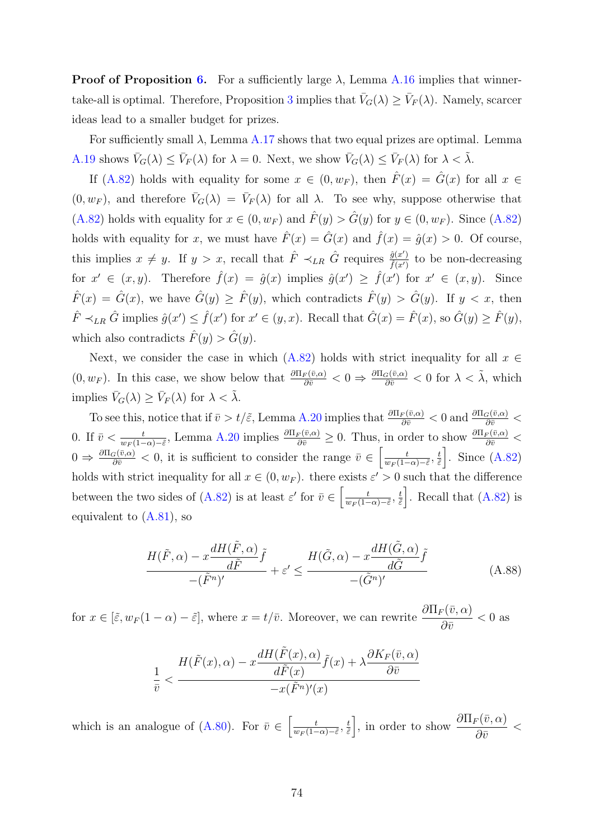**Proof of Proposition [6.](#page-23-0)** For a sufficiently large  $\lambda$ , Lemma [A.16](#page-63-0) implies that winner-take-all is optimal. Therefore, Proposition [3](#page-17-0) implies that  $\bar{V}_G(\lambda) \ge \bar{V}_F(\lambda)$ . Namely, scarcer ideas lead to a smaller budget for prizes.

For sufficiently small  $\lambda$ , Lemma [A.17](#page-65-0) shows that two equal prizes are optimal. Lemma [A.19](#page-70-1) shows  $\bar{V}_G(\lambda) \leq \bar{V}_F(\lambda)$  for  $\lambda = 0$ . Next, we show  $\bar{V}_G(\lambda) \leq \bar{V}_F(\lambda)$  for  $\lambda < \tilde{\lambda}$ .

If [\(A.82\)](#page-71-0) holds with equality for some  $x \in (0, w_F)$ , then  $\hat{F}(x) = \hat{G}(x)$  for all  $x \in$  $(0, w_F)$ , and therefore  $\bar{V}_G(\lambda) = \bar{V}_F(\lambda)$  for all  $\lambda$ . To see why, suppose otherwise that [\(A.82\)](#page-71-0) holds with equality for  $x \in (0, w_F)$  and  $\hat{F}(y) > \hat{G}(y)$  for  $y \in (0, w_F)$ . Since (A.82) holds with equality for x, we must have  $\hat{F}(x) = \hat{G}(x)$  and  $\hat{f}(x) = \hat{g}(x) > 0$ . Of course, this implies  $x \neq y$ . If  $y > x$ , recall that  $\hat{F} \prec_{LR} \hat{G}$  requires  $\frac{\hat{g}(x')}{\hat{f}(x')}$  $\frac{g(x')}{\hat{f}(x')}$  to be non-decreasing for  $x' \in (x, y)$ . Therefore  $\hat{f}(x) = \hat{g}(x)$  implies  $\hat{g}(x') \geq \hat{f}(x')$  for  $x' \in (x, y)$ . Since  $\hat{F}(x) = \hat{G}(x)$ , we have  $\hat{G}(y) \geq \hat{F}(y)$ , which contradicts  $\hat{F}(y) > \hat{G}(y)$ . If  $y < x$ , then  $\hat{F} \prec_{LR} \hat{G}$  implies  $\hat{g}(x') \leq \hat{f}(x')$  for  $x' \in (y, x)$ . Recall that  $\hat{G}(x) = \hat{F}(x)$ , so  $\hat{G}(y) \geq \hat{F}(y)$ , which also contradicts  $\hat{F}(y) > \hat{G}(y)$ .

Next, we consider the case in which [\(A.82\)](#page-71-0) holds with strict inequality for all  $x \in$  $(0, w_F)$ . In this case, we show below that  $\frac{\partial \Pi_F(\bar{v}, \alpha)}{\partial \bar{v}} < 0 \Rightarrow \frac{\partial \Pi_G(\bar{v}, \alpha)}{\partial \bar{v}} < 0$  for  $\lambda < \tilde{\lambda}$ , which implies  $\bar{V}_G(\lambda) \ge \bar{V}_F(\lambda)$  for  $\lambda < \tilde{\lambda}$ .

To see this, notice that if  $\bar{v} > t/\tilde{\varepsilon}$ , Lemma [A.20](#page-72-1) implies that  $\frac{\partial \Pi_F(\bar{v}, \alpha)}{\partial \bar{v}} < 0$  and  $\frac{\partial \Pi_G(\bar{v}, \alpha)}{\partial \bar{v}} <$ 0. If  $\bar{v} < \frac{t}{w_F(1-\alpha)-\tilde{\varepsilon}},$  Lemma [A.20](#page-72-1) implies  $\frac{\partial \Pi_F(\bar{v}, \alpha)}{\partial \bar{v}} \geq 0$ . Thus, in order to show  $\frac{\partial \Pi_F(\bar{v}, \alpha)}{\partial \bar{v}}$  $0 \Rightarrow \frac{\partial \Pi_G(\bar{v}, \alpha)}{\partial \bar{v}} < 0$ , it is sufficient to consider the range  $\bar{v} \in \left[\frac{t}{w_F(1-\alpha)}\right]$  $\frac{t}{w_F(1-\alpha)-\tilde{\varepsilon}},\frac{t}{\tilde{\varepsilon}}$  $\left(\frac{t}{\tilde{\varepsilon}}\right)$ . Since [\(A.82\)](#page-71-0) holds with strict inequality for all  $x \in (0, w_F)$ . there exists  $\varepsilon' > 0$  such that the difference between the two sides of [\(A.82\)](#page-71-0) is at least  $\varepsilon'$  for  $\bar{v} \in \left[\frac{t}{\sqrt{1-t}}\right]$  $\frac{t}{w_F(1-\alpha)-\tilde{\varepsilon}},\frac{t}{\tilde{\varepsilon}}$  $\left(\frac{t}{\tilde{\varepsilon}}\right)$ . Recall that  $(A.82)$  is equivalent to [\(A.81\)](#page-70-2), so

$$
\frac{H(\tilde{F}, \alpha) - x \frac{dH(\tilde{F}, \alpha)}{d\tilde{F}} \tilde{f}}{-(\tilde{F}^n)'} + \varepsilon' \le \frac{H(\tilde{G}, \alpha) - x \frac{dH(\tilde{G}, \alpha)}{d\tilde{G}} \tilde{f}}{-(\tilde{G}^n)'} \tag{A.88}
$$

for  $x \in [\tilde{\varepsilon}, w_F(1-\alpha)-\tilde{\varepsilon}],$  where  $x = t/\bar{v}$ . Moreover, we can rewrite  $\frac{\partial \Pi_F(\bar{v}, \alpha)}{\partial \bar{v}}$  $< 0\ \mathrm{as}$ 

$$
\frac{1}{\bar{v}} < \frac{H(\tilde{F}(x), \alpha) - x \frac{dH(\tilde{F}(x), \alpha)}{d\tilde{F}(x)} \tilde{f}(x) + \lambda \frac{\partial K_F(\bar{v}, \alpha)}{\partial \bar{v}}}{-x(\tilde{F}^n)'(x)}
$$

which is an analogue of [\(A.80\)](#page-70-0). For  $\bar{v} \in \left[\frac{t}{w_0(1-\epsilon)}\right]$  $\frac{t}{w_F(1-\alpha)-\tilde{\varepsilon}},\frac{t}{\tilde{\varepsilon}}$  $\frac{t}{\tilde{\varepsilon}}$ , in order to show  $\frac{\partial \Pi_F(\bar{v}, \alpha)}{\partial \bar{v}}$  $\partial \bar v$  $\lt$